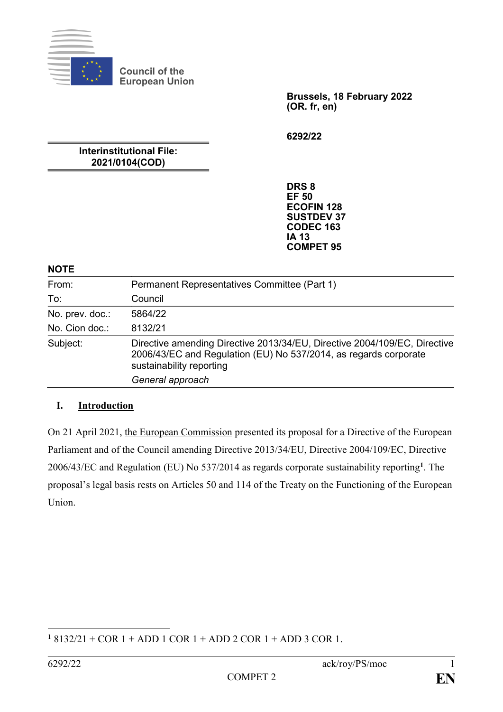

**Council of the European Union**

> **Brussels, 18 February 2022 (OR. fr, en)**

**6292/22**

**Interinstitutional File: 2021/0104(COD)**

> **DRS 8 EF 50 ECOFIN 128 SUSTDEV 37 CODEC 163 IA 13 COMPET 95**

#### **NOTE**

| From:           | Permanent Representatives Committee (Part 1)                                                                                                                              |
|-----------------|---------------------------------------------------------------------------------------------------------------------------------------------------------------------------|
| To:             | Council                                                                                                                                                                   |
| No. prev. doc.: | 5864/22                                                                                                                                                                   |
| No. Cion doc.:  | 8132/21                                                                                                                                                                   |
| Subject:        | Directive amending Directive 2013/34/EU, Directive 2004/109/EC, Directive<br>2006/43/EC and Regulation (EU) No 537/2014, as regards corporate<br>sustainability reporting |
|                 | General approach                                                                                                                                                          |

## **I. Introduction**

On 21 April 2021, the European Commission presented its proposal for a Directive of the European Parliament and of the Council amending Directive 2013/34/EU, Directive 2004/109/EC, Directive 2006/43/EC and Regulation (EU) No 537/2014 as regards corporate sustainability reporting**<sup>1</sup>** . The proposal's legal basis rests on Articles 50 and 114 of the Treaty on the Functioning of the European Union.

<sup>&</sup>lt;u>.</u> **<sup>1</sup>** 8132/21 + COR 1 + ADD 1 COR 1 + ADD 2 COR 1 + ADD 3 COR 1.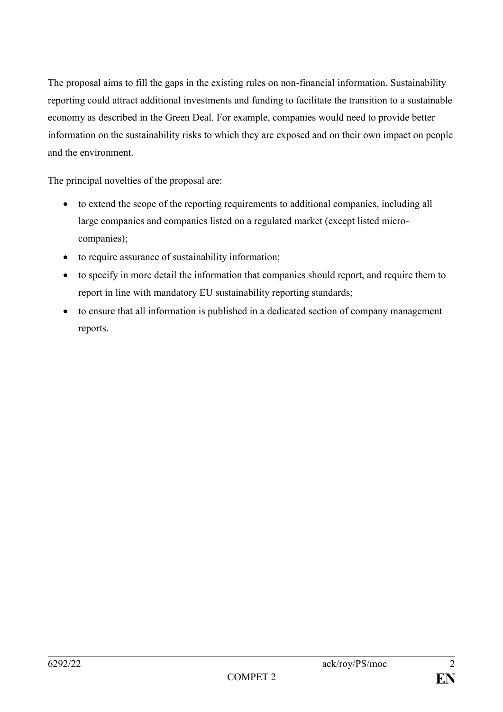The proposal aims to fill the gaps in the existing rules on non-financial information. Sustainability reporting could attract additional investments and funding to facilitate the transition to a sustainable economy as described in the Green Deal. For example, companies would need to provide better information on the sustainability risks to which they are exposed and on their own impact on people and the environment.

The principal novelties of the proposal are:

- to extend the scope of the reporting requirements to additional companies, including all large companies and companies listed on a regulated market (except listed microcompanies);
- to require assurance of sustainability information;
- to specify in more detail the information that companies should report, and require them to report in line with mandatory EU sustainability reporting standards;
- to ensure that all information is published in a dedicated section of company management reports.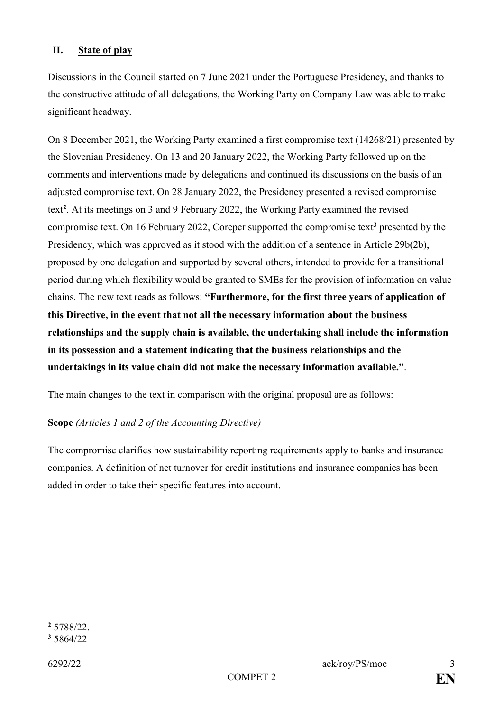### **II. State of play**

Discussions in the Council started on 7 June 2021 under the Portuguese Presidency, and thanks to the constructive attitude of all delegations, the Working Party on Company Law was able to make significant headway.

On 8 December 2021, the Working Party examined a first compromise text (14268/21) presented by the Slovenian Presidency. On 13 and 20 January 2022, the Working Party followed up on the comments and interventions made by delegations and continued its discussions on the basis of an adjusted compromise text. On 28 January 2022, the Presidency presented a revised compromise text**<sup>2</sup>** . At its meetings on 3 and 9 February 2022, the Working Party examined the revised compromise text. On 16 February 2022, Coreper supported the compromise text**<sup>3</sup>** presented by the Presidency, which was approved as it stood with the addition of a sentence in Article 29b(2b), proposed by one delegation and supported by several others, intended to provide for a transitional period during which flexibility would be granted to SMEs for the provision of information on value chains. The new text reads as follows: **"Furthermore, for the first three years of application of this Directive, in the event that not all the necessary information about the business relationships and the supply chain is available, the undertaking shall include the information in its possession and a statement indicating that the business relationships and the undertakings in its value chain did not make the necessary information available."**.

The main changes to the text in comparison with the original proposal are as follows:

### **Scope** *(Articles 1 and 2 of the Accounting Directive)*

The compromise clarifies how sustainability reporting requirements apply to banks and insurance companies. A definition of net turnover for credit institutions and insurance companies has been added in order to take their specific features into account.

<sup>1</sup> **<sup>2</sup>** 5788/22.

**<sup>3</sup>** 5864/22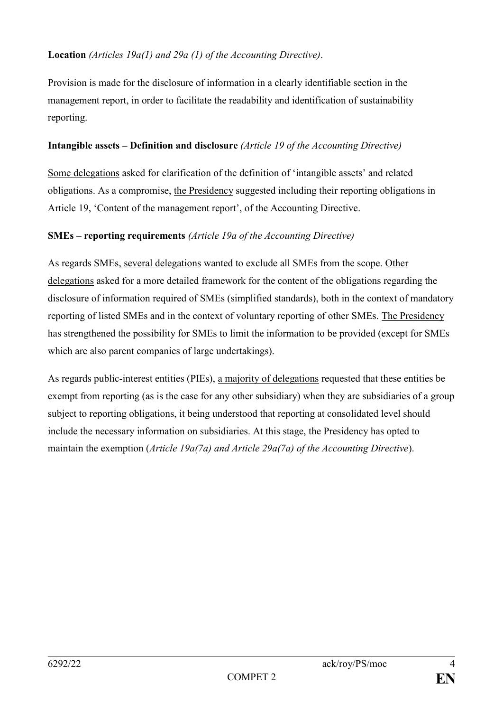## **Location** *(Articles 19a(1) and 29a (1) of the Accounting Directive)*.

Provision is made for the disclosure of information in a clearly identifiable section in the management report, in order to facilitate the readability and identification of sustainability reporting.

### **Intangible assets – Definition and disclosure** *(Article 19 of the Accounting Directive)*

Some delegations asked for clarification of the definition of 'intangible assets' and related obligations. As a compromise, the Presidency suggested including their reporting obligations in Article 19, 'Content of the management report', of the Accounting Directive.

### **SMEs – reporting requirements** *(Article 19a of the Accounting Directive)*

As regards SMEs, several delegations wanted to exclude all SMEs from the scope. Other delegations asked for a more detailed framework for the content of the obligations regarding the disclosure of information required of SMEs (simplified standards), both in the context of mandatory reporting of listed SMEs and in the context of voluntary reporting of other SMEs. The Presidency has strengthened the possibility for SMEs to limit the information to be provided (except for SMEs which are also parent companies of large undertakings).

As regards public-interest entities (PIEs), a majority of delegations requested that these entities be exempt from reporting (as is the case for any other subsidiary) when they are subsidiaries of a group subject to reporting obligations, it being understood that reporting at consolidated level should include the necessary information on subsidiaries. At this stage, the Presidency has opted to maintain the exemption (*Article 19a(7a) and Article 29a(7a) of the Accounting Directive*).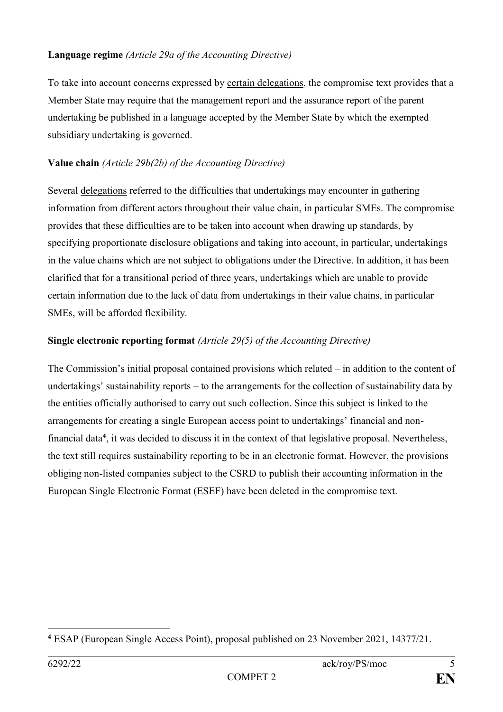### **Language regime** *(Article 29a of the Accounting Directive)*

To take into account concerns expressed by certain delegations, the compromise text provides that a Member State may require that the management report and the assurance report of the parent undertaking be published in a language accepted by the Member State by which the exempted subsidiary undertaking is governed.

# **Value chain** *(Article 29b(2b) of the Accounting Directive)*

Several delegations referred to the difficulties that undertakings may encounter in gathering information from different actors throughout their value chain, in particular SMEs. The compromise provides that these difficulties are to be taken into account when drawing up standards, by specifying proportionate disclosure obligations and taking into account, in particular, undertakings in the value chains which are not subject to obligations under the Directive. In addition, it has been clarified that for a transitional period of three years, undertakings which are unable to provide certain information due to the lack of data from undertakings in their value chains, in particular SMEs, will be afforded flexibility.

# **Single electronic reporting format** *(Article 29(5) of the Accounting Directive)*

The Commission's initial proposal contained provisions which related – in addition to the content of undertakings' sustainability reports – to the arrangements for the collection of sustainability data by the entities officially authorised to carry out such collection. Since this subject is linked to the arrangements for creating a single European access point to undertakings' financial and nonfinancial data**<sup>4</sup>** , it was decided to discuss it in the context of that legislative proposal. Nevertheless, the text still requires sustainability reporting to be in an electronic format. However, the provisions obliging non-listed companies subject to the CSRD to publish their accounting information in the European Single Electronic Format (ESEF) have been deleted in the compromise text.

<sup>&</sup>lt;u>.</u> **<sup>4</sup>** ESAP (European Single Access Point), proposal published on 23 November 2021, 14377/21.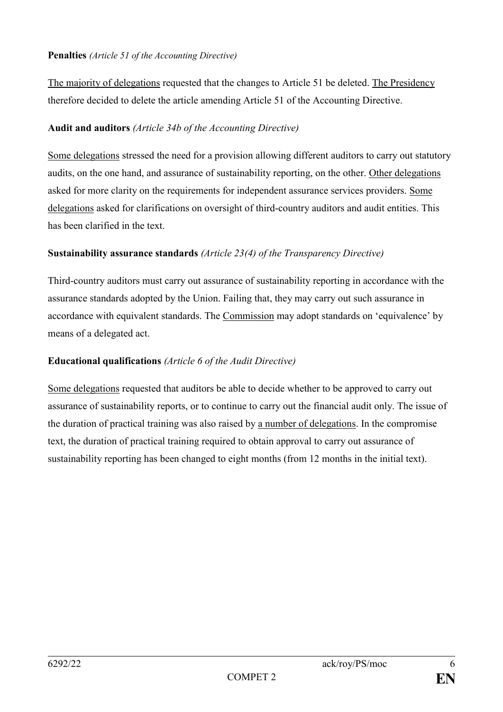### **Penalties** *(Article 51 of the Accounting Directive)*

The majority of delegations requested that the changes to Article 51 be deleted. The Presidency therefore decided to delete the article amending Article 51 of the Accounting Directive.

### **Audit and auditors** *(Article 34b of the Accounting Directive)*

Some delegations stressed the need for a provision allowing different auditors to carry out statutory audits, on the one hand, and assurance of sustainability reporting, on the other. Other delegations asked for more clarity on the requirements for independent assurance services providers. Some delegations asked for clarifications on oversight of third-country auditors and audit entities. This has been clarified in the text.

### **Sustainability assurance standards** *(Article 23(4) of the Transparency Directive)*

Third-country auditors must carry out assurance of sustainability reporting in accordance with the assurance standards adopted by the Union. Failing that, they may carry out such assurance in accordance with equivalent standards. The Commission may adopt standards on 'equivalence' by means of a delegated act.

### **Educational qualifications** *(Article 6 of the Audit Directive)*

Some delegations requested that auditors be able to decide whether to be approved to carry out assurance of sustainability reports, or to continue to carry out the financial audit only. The issue of the duration of practical training was also raised by a number of delegations. In the compromise text, the duration of practical training required to obtain approval to carry out assurance of sustainability reporting has been changed to eight months (from 12 months in the initial text).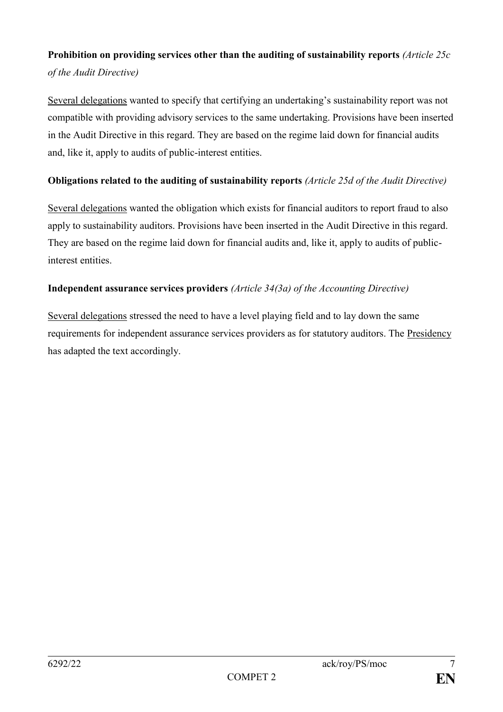# **Prohibition on providing services other than the auditing of sustainability reports** *(Article 25c of the Audit Directive)*

Several delegations wanted to specify that certifying an undertaking's sustainability report was not compatible with providing advisory services to the same undertaking. Provisions have been inserted in the Audit Directive in this regard. They are based on the regime laid down for financial audits and, like it, apply to audits of public-interest entities.

## **Obligations related to the auditing of sustainability reports** *(Article 25d of the Audit Directive)*

Several delegations wanted the obligation which exists for financial auditors to report fraud to also apply to sustainability auditors. Provisions have been inserted in the Audit Directive in this regard. They are based on the regime laid down for financial audits and, like it, apply to audits of publicinterest entities.

## **Independent assurance services providers** *(Article 34(3a) of the Accounting Directive)*

Several delegations stressed the need to have a level playing field and to lay down the same requirements for independent assurance services providers as for statutory auditors. The Presidency has adapted the text accordingly.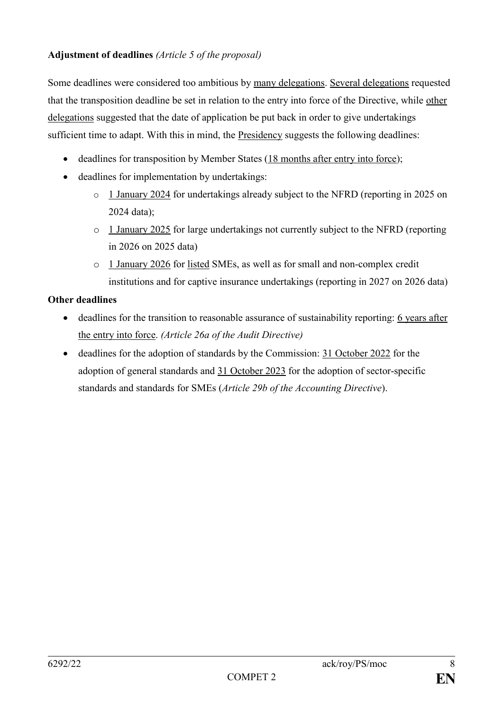## **Adjustment of deadlines** *(Article 5 of the proposal)*

Some deadlines were considered too ambitious by many delegations. Several delegations requested that the transposition deadline be set in relation to the entry into force of the Directive, while other delegations suggested that the date of application be put back in order to give undertakings sufficient time to adapt. With this in mind, the Presidency suggests the following deadlines:

- deadlines for transposition by Member States (18 months after entry into force);
- deadlines for implementation by undertakings:
	- o 1 January 2024 for undertakings already subject to the NFRD (reporting in 2025 on 2024 data);
	- o 1 January 2025 for large undertakings not currently subject to the NFRD (reporting in 2026 on 2025 data)
	- o 1 January 2026 for listed SMEs, as well as for small and non-complex credit institutions and for captive insurance undertakings (reporting in 2027 on 2026 data)

## **Other deadlines**

- deadlines for the transition to reasonable assurance of sustainability reporting: 6 years after the entry into force. *(Article 26a of the Audit Directive)*
- deadlines for the adoption of standards by the Commission: 31 October 2022 for the adoption of general standards and 31 October 2023 for the adoption of sector-specific standards and standards for SMEs (*Article 29b of the Accounting Directive*).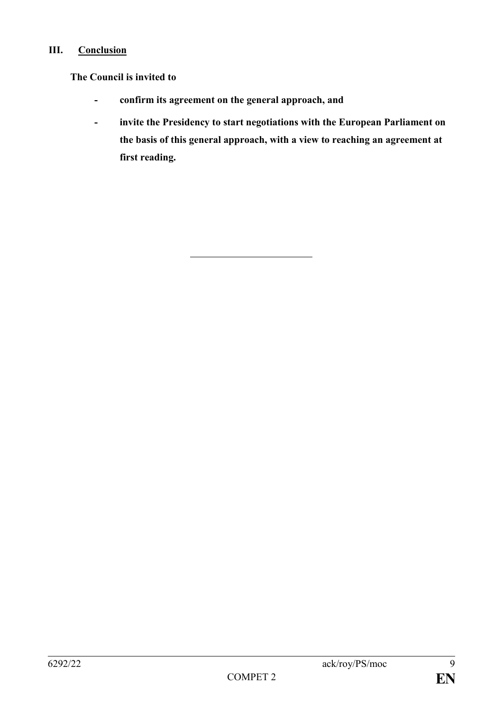## **III. Conclusion**

## **The Council is invited to**

- **- confirm its agreement on the general approach, and**
- **- invite the Presidency to start negotiations with the European Parliament on the basis of this general approach, with a view to reaching an agreement at first reading.**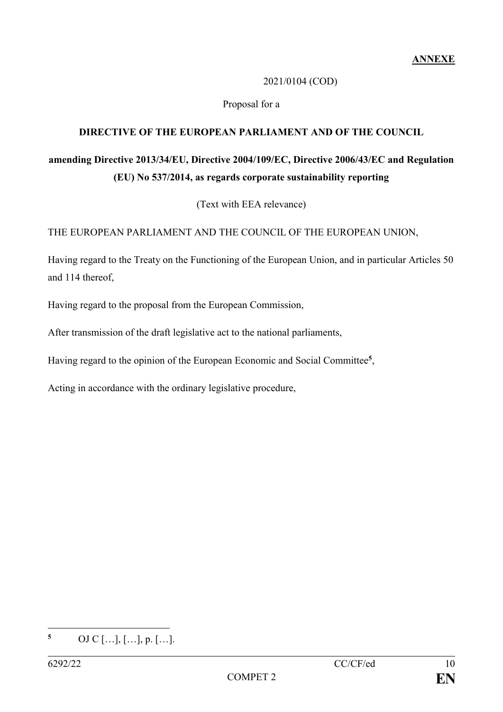## 2021/0104 (COD)

## Proposal for a

## **DIRECTIVE OF THE EUROPEAN PARLIAMENT AND OF THE COUNCIL**

# **amending Directive 2013/34/EU, Directive 2004/109/EC, Directive 2006/43/EC and Regulation (EU) No 537/2014, as regards corporate sustainability reporting**

(Text with EEA relevance)

THE EUROPEAN PARLIAMENT AND THE COUNCIL OF THE EUROPEAN UNION,

Having regard to the Treaty on the Functioning of the European Union, and in particular Articles 50 and 114 thereof,

Having regard to the proposal from the European Commission,

After transmission of the draft legislative act to the national parliaments,

Having regard to the opinion of the European Economic and Social Committee**<sup>5</sup>** ,

Acting in accordance with the ordinary legislative procedure,

 $\overline{5}$ **<sup>5</sup>** OJ C […], […], p. […].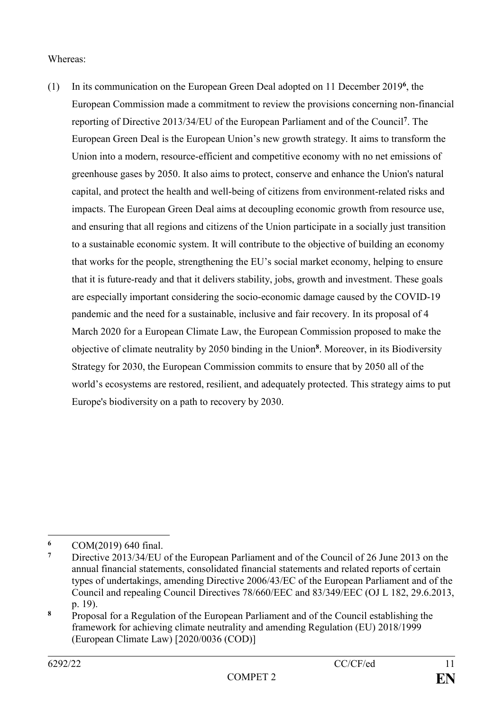### Whereas:

(1) In its communication on the European Green Deal adopted on 11 December 2019**<sup>6</sup>** , the European Commission made a commitment to review the provisions concerning non-financial reporting of Directive 2013/34/EU of the European Parliament and of the Council**<sup>7</sup>** . The European Green Deal is the European Union's new growth strategy. It aims to transform the Union into a modern, resource-efficient and competitive economy with no net emissions of greenhouse gases by 2050. It also aims to protect, conserve and enhance the Union's natural capital, and protect the health and well-being of citizens from environment-related risks and impacts. The European Green Deal aims at decoupling economic growth from resource use, and ensuring that all regions and citizens of the Union participate in a socially just transition to a sustainable economic system. It will contribute to the objective of building an economy that works for the people, strengthening the EU's social market economy, helping to ensure that it is future-ready and that it delivers stability, jobs, growth and investment. These goals are especially important considering the socio-economic damage caused by the COVID-19 pandemic and the need for a sustainable, inclusive and fair recovery. In its proposal of 4 March 2020 for a European Climate Law, the European Commission proposed to make the objective of climate neutrality by 2050 binding in the Union**<sup>8</sup>** . Moreover, in its Biodiversity Strategy for 2030, the European Commission commits to ensure that by 2050 all of the world's ecosystems are restored, resilient, and adequately protected. This strategy aims to put Europe's biodiversity on a path to recovery by 2030.

1

**<sup>6</sup>** COM(2019) 640 final.

**<sup>7</sup>** Directive 2013/34/EU of the European Parliament and of the Council of 26 June 2013 on the annual financial statements, consolidated financial statements and related reports of certain types of undertakings, amending Directive 2006/43/EC of the European Parliament and of the Council and repealing Council Directives 78/660/EEC and 83/349/EEC (OJ L 182, 29.6.2013, p. 19).

**<sup>8</sup>** Proposal for a Regulation of the European Parliament and of the Council establishing the framework for achieving climate neutrality and amending Regulation (EU) 2018/1999 (European Climate Law) [2020/0036 (COD)]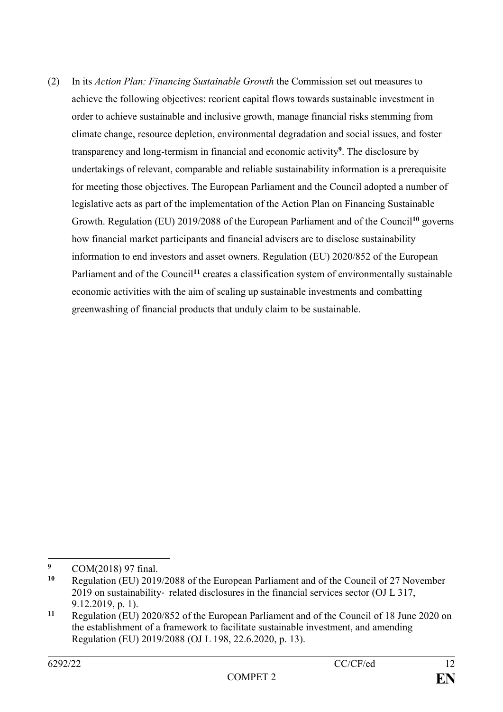(2) In its *Action Plan: Financing Sustainable Growth* the Commission set out measures to achieve the following objectives: reorient capital flows towards sustainable investment in order to achieve sustainable and inclusive growth, manage financial risks stemming from climate change, resource depletion, environmental degradation and social issues, and foster transparency and long-termism in financial and economic activity**<sup>9</sup>** . The disclosure by undertakings of relevant, comparable and reliable sustainability information is a prerequisite for meeting those objectives. The European Parliament and the Council adopted a number of legislative acts as part of the implementation of the Action Plan on Financing Sustainable Growth. Regulation (EU) 2019/2088 of the European Parliament and of the Council**<sup>10</sup>** governs how financial market participants and financial advisers are to disclose sustainability information to end investors and asset owners. Regulation (EU) 2020/852 of the European Parliament and of the Council<sup>11</sup> creates a classification system of environmentally sustainable economic activities with the aim of scaling up sustainable investments and combatting greenwashing of financial products that unduly claim to be sustainable.

<sup>&</sup>lt;u>.</u> <sup>9</sup> COM(2018) 97 final.<br><sup>10</sup> Peopletian (ELD 2016)

**<sup>10</sup>** Regulation (EU) 2019/2088 of the European Parliament and of the Council of 27 November 2019 on sustainability‐ related disclosures in the financial services sector (OJ L 317, 9.12.2019, p. 1).

**<sup>11</sup>** Regulation (EU) 2020/852 of the European Parliament and of the Council of 18 June 2020 on the establishment of a framework to facilitate sustainable investment, and amending Regulation (EU) 2019/2088 (OJ L 198, 22.6.2020, p. 13).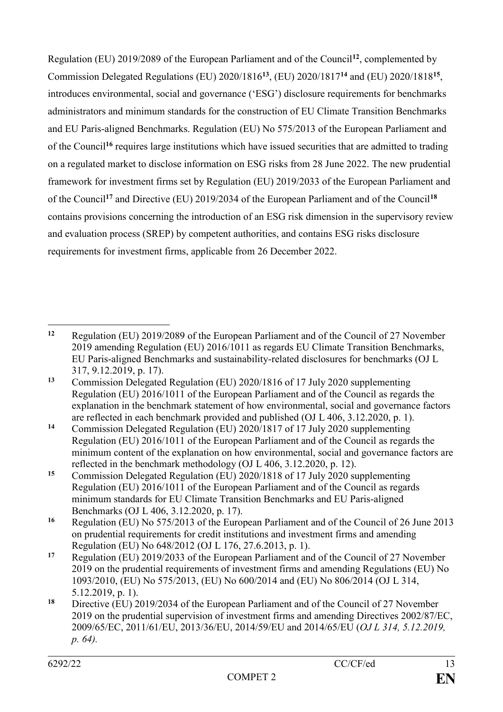Regulation (EU) 2019/2089 of the European Parliament and of the Council**<sup>12</sup>**, complemented by Commission Delegated Regulations (EU) 2020/1816**<sup>13</sup>**, (EU) 2020/1817**<sup>14</sup>** and (EU) 2020/1818**<sup>15</sup>** , introduces environmental, social and governance ('ESG') disclosure requirements for benchmarks administrators and minimum standards for the construction of EU Climate Transition Benchmarks and EU Paris-aligned Benchmarks. Regulation (EU) No 575/2013 of the European Parliament and of the Council**<sup>16</sup>** requires large institutions which have issued securities that are admitted to trading on a regulated market to disclose information on ESG risks from 28 June 2022. The new prudential framework for investment firms set by Regulation (EU) 2019/2033 of the European Parliament and of the Council**<sup>17</sup>** and Directive (EU) 2019/2034 of the European Parliament and of the Council**<sup>18</sup>** contains provisions concerning the introduction of an ESG risk dimension in the supervisory review and evaluation process (SREP) by competent authorities, and contains ESG risks disclosure requirements for investment firms, applicable from 26 December 2022.

<sup>1</sup> **<sup>12</sup>** Regulation (EU) 2019/2089 of the European Parliament and of the Council of 27 November 2019 amending Regulation (EU) 2016/1011 as regards EU Climate Transition Benchmarks, EU Paris-aligned Benchmarks and sustainability-related disclosures for benchmarks (OJ L 317, 9.12.2019, p. 17).

**<sup>13</sup>** Commission Delegated Regulation (EU) 2020/1816 of 17 July 2020 supplementing Regulation (EU) 2016/1011 of the European Parliament and of the Council as regards the explanation in the benchmark statement of how environmental, social and governance factors are reflected in each benchmark provided and published (OJ L 406, 3.12.2020, p. 1).

**<sup>14</sup>** Commission Delegated Regulation (EU) 2020/1817 of 17 July 2020 supplementing Regulation (EU) 2016/1011 of the European Parliament and of the Council as regards the minimum content of the explanation on how environmental, social and governance factors are reflected in the benchmark methodology (OJ L 406, 3.12.2020, p. 12).

**<sup>15</sup>** Commission Delegated Regulation (EU) 2020/1818 of 17 July 2020 supplementing Regulation (EU) 2016/1011 of the European Parliament and of the Council as regards minimum standards for EU Climate Transition Benchmarks and EU Paris-aligned Benchmarks (OJ L 406, 3.12.2020, p. 17).

**<sup>16</sup>** Regulation (EU) No 575/2013 of the European Parliament and of the Council of 26 June 2013 on prudential requirements for credit institutions and investment firms and amending Regulation (EU) No 648/2012 (OJ L 176, 27.6.2013, p. 1).

**<sup>17</sup>** Regulation (EU) 2019/2033 of the European Parliament and of the Council of 27 November 2019 on the prudential requirements of investment firms and amending Regulations (EU) No 1093/2010, (EU) No 575/2013, (EU) No 600/2014 and (EU) No 806/2014 (OJ L 314, 5.12.2019, p. 1).

**<sup>18</sup>** Directive (EU) 2019/2034 of the European Parliament and of the Council of 27 November 2019 on the prudential supervision of investment firms and amending Directives 2002/87/EC, 2009/65/EC, 2011/61/EU, 2013/36/EU, 2014/59/EU and 2014/65/EU (*OJ L 314, 5.12.2019, p. 64).*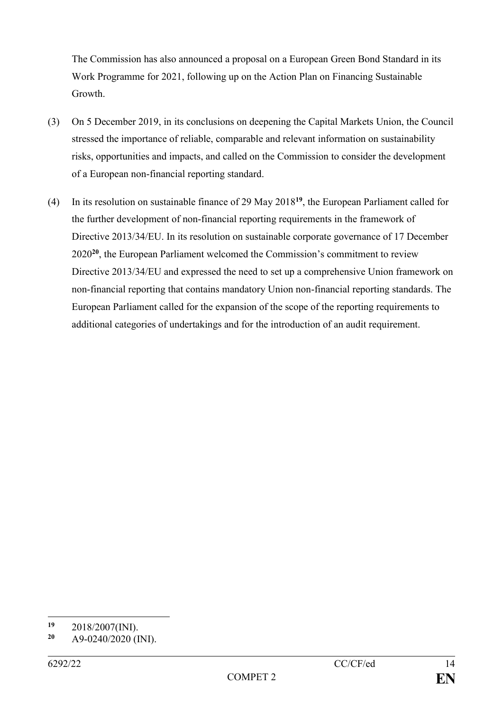The Commission has also announced a proposal on a European Green Bond Standard in its Work Programme for 2021, following up on the Action Plan on Financing Sustainable Growth.

- (3) On 5 December 2019, in its conclusions on deepening the Capital Markets Union, the Council stressed the importance of reliable, comparable and relevant information on sustainability risks, opportunities and impacts, and called on the Commission to consider the development of a European non-financial reporting standard.
- (4) In its resolution on sustainable finance of 29 May 2018**<sup>19</sup>**, the European Parliament called for the further development of non-financial reporting requirements in the framework of Directive 2013/34/EU. In its resolution on sustainable corporate governance of 17 December 2020**<sup>20</sup>**, the European Parliament welcomed the Commission's commitment to review Directive 2013/34/EU and expressed the need to set up a comprehensive Union framework on non-financial reporting that contains mandatory Union non-financial reporting standards. The European Parliament called for the expansion of the scope of the reporting requirements to additional categories of undertakings and for the introduction of an audit requirement.

 $19$ **<sup>19</sup>** 2018/2007(INI).

**<sup>20</sup>** A9-0240/2020 (INI).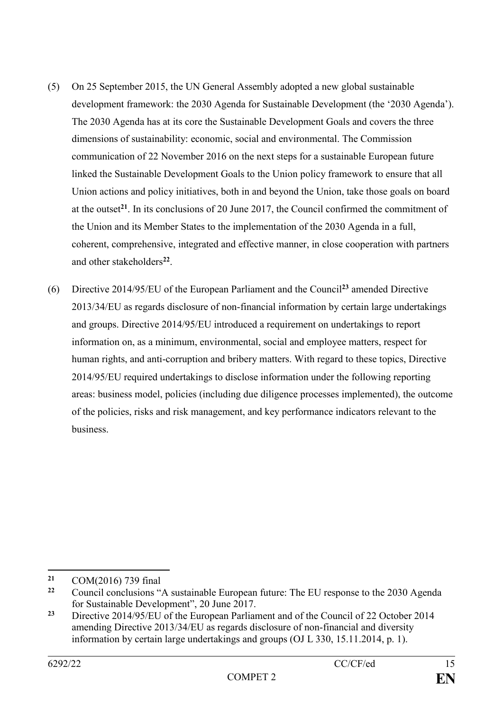- (5) On 25 September 2015, the UN General Assembly adopted a new global sustainable development framework: the 2030 Agenda for Sustainable Development (the '2030 Agenda'). The 2030 Agenda has at its core the Sustainable Development Goals and covers the three dimensions of sustainability: economic, social and environmental. The Commission communication of 22 November 2016 on the next steps for a sustainable European future linked the Sustainable Development Goals to the Union policy framework to ensure that all Union actions and policy initiatives, both in and beyond the Union, take those goals on board at the outset**<sup>21</sup>**. In its conclusions of 20 June 2017, the Council confirmed the commitment of the Union and its Member States to the implementation of the 2030 Agenda in a full, coherent, comprehensive, integrated and effective manner, in close cooperation with partners and other stakeholders**<sup>22</sup>** .
- (6) Directive 2014/95/EU of the European Parliament and the Council**<sup>23</sup>** amended Directive 2013/34/EU as regards disclosure of non-financial information by certain large undertakings and groups. Directive 2014/95/EU introduced a requirement on undertakings to report information on, as a minimum, environmental, social and employee matters, respect for human rights, and anti-corruption and bribery matters. With regard to these topics, Directive 2014/95/EU required undertakings to disclose information under the following reporting areas: business model, policies (including due diligence processes implemented), the outcome of the policies, risks and risk management, and key performance indicators relevant to the business.

 $21$ **<sup>21</sup>** COM(2016) 739 final

**<sup>22</sup>** Council conclusions "A sustainable European future: The EU response to the 2030 Agenda for Sustainable Development", 20 June 2017.

**<sup>23</sup>** Directive 2014/95/EU of the European Parliament and of the Council of 22 October 2014 amending Directive 2013/34/EU as regards disclosure of non-financial and diversity information by certain large undertakings and groups (OJ L 330, 15.11.2014, p. 1).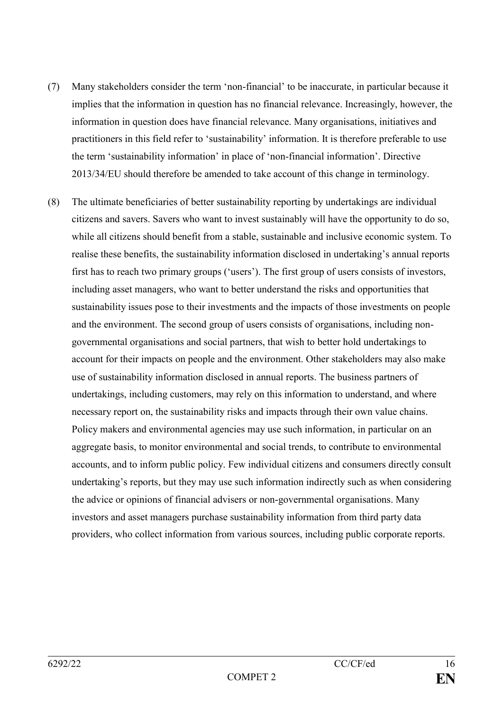- (7) Many stakeholders consider the term 'non-financial' to be inaccurate, in particular because it implies that the information in question has no financial relevance. Increasingly, however, the information in question does have financial relevance. Many organisations, initiatives and practitioners in this field refer to 'sustainability' information. It is therefore preferable to use the term 'sustainability information' in place of 'non-financial information'. Directive 2013/34/EU should therefore be amended to take account of this change in terminology.
- (8) The ultimate beneficiaries of better sustainability reporting by undertakings are individual citizens and savers. Savers who want to invest sustainably will have the opportunity to do so, while all citizens should benefit from a stable, sustainable and inclusive economic system. To realise these benefits, the sustainability information disclosed in undertaking's annual reports first has to reach two primary groups ('users'). The first group of users consists of investors, including asset managers, who want to better understand the risks and opportunities that sustainability issues pose to their investments and the impacts of those investments on people and the environment. The second group of users consists of organisations, including nongovernmental organisations and social partners, that wish to better hold undertakings to account for their impacts on people and the environment. Other stakeholders may also make use of sustainability information disclosed in annual reports. The business partners of undertakings, including customers, may rely on this information to understand, and where necessary report on, the sustainability risks and impacts through their own value chains. Policy makers and environmental agencies may use such information, in particular on an aggregate basis, to monitor environmental and social trends, to contribute to environmental accounts, and to inform public policy. Few individual citizens and consumers directly consult undertaking's reports, but they may use such information indirectly such as when considering the advice or opinions of financial advisers or non-governmental organisations. Many investors and asset managers purchase sustainability information from third party data providers, who collect information from various sources, including public corporate reports.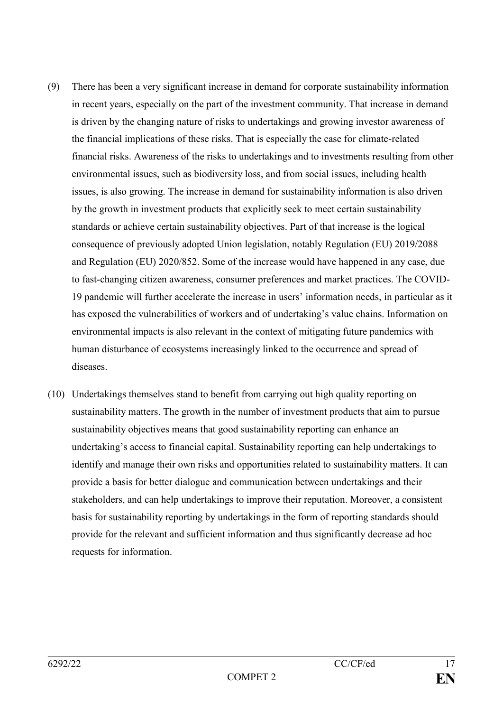- (9) There has been a very significant increase in demand for corporate sustainability information in recent years, especially on the part of the investment community. That increase in demand is driven by the changing nature of risks to undertakings and growing investor awareness of the financial implications of these risks. That is especially the case for climate-related financial risks. Awareness of the risks to undertakings and to investments resulting from other environmental issues, such as biodiversity loss, and from social issues, including health issues, is also growing. The increase in demand for sustainability information is also driven by the growth in investment products that explicitly seek to meet certain sustainability standards or achieve certain sustainability objectives. Part of that increase is the logical consequence of previously adopted Union legislation, notably Regulation (EU) 2019/2088 and Regulation (EU) 2020/852. Some of the increase would have happened in any case, due to fast-changing citizen awareness, consumer preferences and market practices. The COVID-19 pandemic will further accelerate the increase in users' information needs, in particular as it has exposed the vulnerabilities of workers and of undertaking's value chains. Information on environmental impacts is also relevant in the context of mitigating future pandemics with human disturbance of ecosystems increasingly linked to the occurrence and spread of diseases.
- (10) Undertakings themselves stand to benefit from carrying out high quality reporting on sustainability matters. The growth in the number of investment products that aim to pursue sustainability objectives means that good sustainability reporting can enhance an undertaking's access to financial capital. Sustainability reporting can help undertakings to identify and manage their own risks and opportunities related to sustainability matters. It can provide a basis for better dialogue and communication between undertakings and their stakeholders, and can help undertakings to improve their reputation. Moreover, a consistent basis for sustainability reporting by undertakings in the form of reporting standards should provide for the relevant and sufficient information and thus significantly decrease ad hoc requests for information.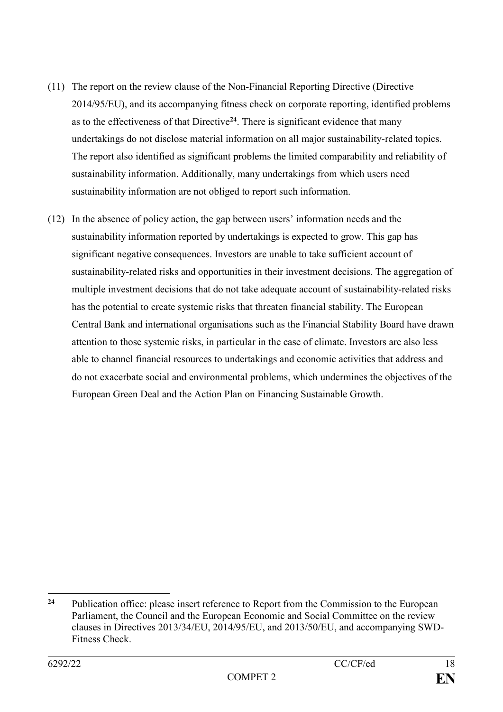- (11) The report on the review clause of the Non-Financial Reporting Directive (Directive 2014/95/EU), and its accompanying fitness check on corporate reporting, identified problems as to the effectiveness of that Directive**<sup>24</sup>**. There is significant evidence that many undertakings do not disclose material information on all major sustainability-related topics. The report also identified as significant problems the limited comparability and reliability of sustainability information. Additionally, many undertakings from which users need sustainability information are not obliged to report such information.
- (12) In the absence of policy action, the gap between users' information needs and the sustainability information reported by undertakings is expected to grow. This gap has significant negative consequences. Investors are unable to take sufficient account of sustainability-related risks and opportunities in their investment decisions. The aggregation of multiple investment decisions that do not take adequate account of sustainability-related risks has the potential to create systemic risks that threaten financial stability. The European Central Bank and international organisations such as the Financial Stability Board have drawn attention to those systemic risks, in particular in the case of climate. Investors are also less able to channel financial resources to undertakings and economic activities that address and do not exacerbate social and environmental problems, which undermines the objectives of the European Green Deal and the Action Plan on Financing Sustainable Growth.

1

**<sup>24</sup>** Publication office: please insert reference to Report from the Commission to the European Parliament, the Council and the European Economic and Social Committee on the review clauses in Directives 2013/34/EU, 2014/95/EU, and 2013/50/EU, and accompanying SWD-Fitness Check.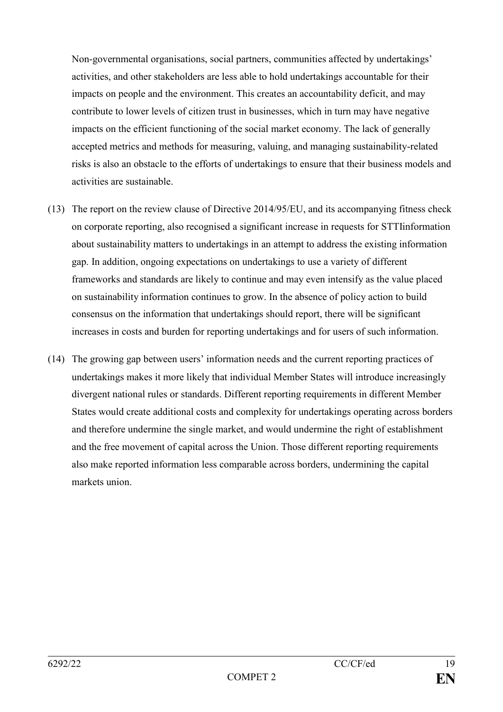Non-governmental organisations, social partners, communities affected by undertakings' activities, and other stakeholders are less able to hold undertakings accountable for their impacts on people and the environment. This creates an accountability deficit, and may contribute to lower levels of citizen trust in businesses, which in turn may have negative impacts on the efficient functioning of the social market economy. The lack of generally accepted metrics and methods for measuring, valuing, and managing sustainability-related risks is also an obstacle to the efforts of undertakings to ensure that their business models and activities are sustainable.

- (13) The report on the review clause of Directive 2014/95/EU, and its accompanying fitness check on corporate reporting, also recognised a significant increase in requests for STTIinformation about sustainability matters to undertakings in an attempt to address the existing information gap. In addition, ongoing expectations on undertakings to use a variety of different frameworks and standards are likely to continue and may even intensify as the value placed on sustainability information continues to grow. In the absence of policy action to build consensus on the information that undertakings should report, there will be significant increases in costs and burden for reporting undertakings and for users of such information.
- (14) The growing gap between users' information needs and the current reporting practices of undertakings makes it more likely that individual Member States will introduce increasingly divergent national rules or standards. Different reporting requirements in different Member States would create additional costs and complexity for undertakings operating across borders and therefore undermine the single market, and would undermine the right of establishment and the free movement of capital across the Union. Those different reporting requirements also make reported information less comparable across borders, undermining the capital markets union.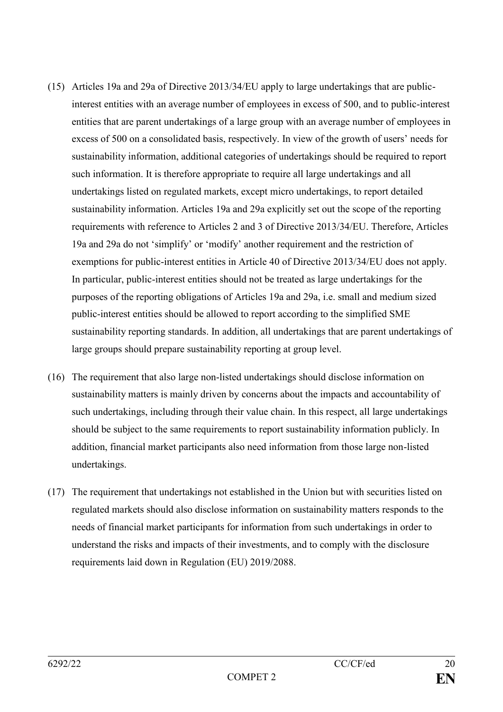- (15) Articles 19a and 29a of Directive 2013/34/EU apply to large undertakings that are publicinterest entities with an average number of employees in excess of 500, and to public-interest entities that are parent undertakings of a large group with an average number of employees in excess of 500 on a consolidated basis, respectively. In view of the growth of users' needs for sustainability information, additional categories of undertakings should be required to report such information. It is therefore appropriate to require all large undertakings and all undertakings listed on regulated markets, except micro undertakings, to report detailed sustainability information. Articles 19a and 29a explicitly set out the scope of the reporting requirements with reference to Articles 2 and 3 of Directive 2013/34/EU. Therefore, Articles 19a and 29a do not 'simplify' or 'modify' another requirement and the restriction of exemptions for public-interest entities in Article 40 of Directive 2013/34/EU does not apply. In particular, public-interest entities should not be treated as large undertakings for the purposes of the reporting obligations of Articles 19a and 29a, i.e. small and medium sized public-interest entities should be allowed to report according to the simplified SME sustainability reporting standards. In addition, all undertakings that are parent undertakings of large groups should prepare sustainability reporting at group level.
- (16) The requirement that also large non-listed undertakings should disclose information on sustainability matters is mainly driven by concerns about the impacts and accountability of such undertakings, including through their value chain. In this respect, all large undertakings should be subject to the same requirements to report sustainability information publicly. In addition, financial market participants also need information from those large non-listed undertakings.
- (17) The requirement that undertakings not established in the Union but with securities listed on regulated markets should also disclose information on sustainability matters responds to the needs of financial market participants for information from such undertakings in order to understand the risks and impacts of their investments, and to comply with the disclosure requirements laid down in Regulation (EU) 2019/2088.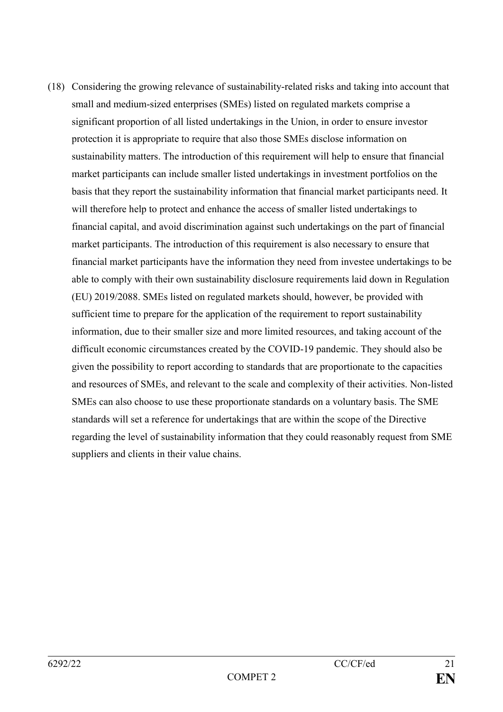(18) Considering the growing relevance of sustainability-related risks and taking into account that small and medium-sized enterprises (SMEs) listed on regulated markets comprise a significant proportion of all listed undertakings in the Union, in order to ensure investor protection it is appropriate to require that also those SMEs disclose information on sustainability matters. The introduction of this requirement will help to ensure that financial market participants can include smaller listed undertakings in investment portfolios on the basis that they report the sustainability information that financial market participants need. It will therefore help to protect and enhance the access of smaller listed undertakings to financial capital, and avoid discrimination against such undertakings on the part of financial market participants. The introduction of this requirement is also necessary to ensure that financial market participants have the information they need from investee undertakings to be able to comply with their own sustainability disclosure requirements laid down in Regulation (EU) 2019/2088. SMEs listed on regulated markets should, however, be provided with sufficient time to prepare for the application of the requirement to report sustainability information, due to their smaller size and more limited resources, and taking account of the difficult economic circumstances created by the COVID-19 pandemic. They should also be given the possibility to report according to standards that are proportionate to the capacities and resources of SMEs, and relevant to the scale and complexity of their activities. Non-listed SMEs can also choose to use these proportionate standards on a voluntary basis. The SME standards will set a reference for undertakings that are within the scope of the Directive regarding the level of sustainability information that they could reasonably request from SME suppliers and clients in their value chains.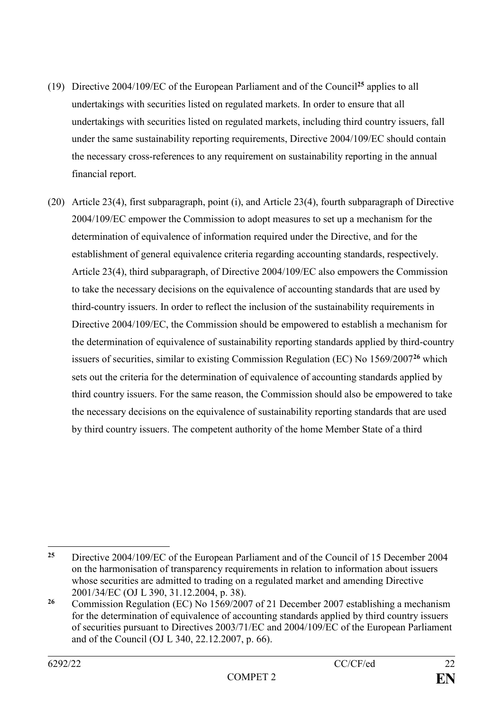- (19) Directive 2004/109/EC of the European Parliament and of the Council**<sup>25</sup>** applies to all undertakings with securities listed on regulated markets. In order to ensure that all undertakings with securities listed on regulated markets, including third country issuers, fall under the same sustainability reporting requirements, Directive 2004/109/EC should contain the necessary cross-references to any requirement on sustainability reporting in the annual financial report.
- (20) Article 23(4), first subparagraph, point (i), and Article 23(4), fourth subparagraph of Directive 2004/109/EC empower the Commission to adopt measures to set up a mechanism for the determination of equivalence of information required under the Directive, and for the establishment of general equivalence criteria regarding accounting standards, respectively. Article 23(4), third subparagraph, of Directive 2004/109/EC also empowers the Commission to take the necessary decisions on the equivalence of accounting standards that are used by third-country issuers. In order to reflect the inclusion of the sustainability requirements in Directive 2004/109/EC, the Commission should be empowered to establish a mechanism for the determination of equivalence of sustainability reporting standards applied by third-country issuers of securities, similar to existing Commission Regulation (EC) No 1569/2007**<sup>26</sup>** which sets out the criteria for the determination of equivalence of accounting standards applied by third country issuers. For the same reason, the Commission should also be empowered to take the necessary decisions on the equivalence of sustainability reporting standards that are used by third country issuers. The competent authority of the home Member State of a third

<sup>1</sup> **<sup>25</sup>** Directive 2004/109/EC of the European Parliament and of the Council of 15 December 2004 on the harmonisation of transparency requirements in relation to information about issuers whose securities are admitted to trading on a regulated market and amending Directive 2001/34/EC (OJ L 390, 31.12.2004, p. 38).

**<sup>26</sup>** Commission Regulation (EC) No 1569/2007 of 21 December 2007 establishing a mechanism for the determination of equivalence of accounting standards applied by third country issuers of securities pursuant to Directives 2003/71/EC and 2004/109/EC of the European Parliament and of the Council (OJ L 340, 22.12.2007, p. 66).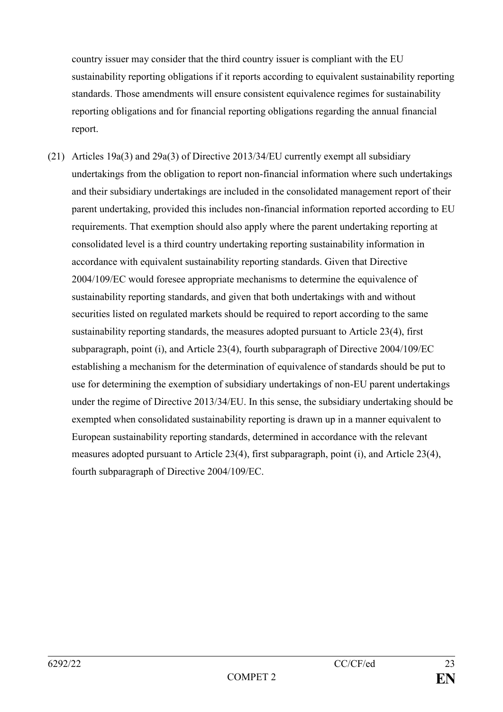country issuer may consider that the third country issuer is compliant with the EU sustainability reporting obligations if it reports according to equivalent sustainability reporting standards. Those amendments will ensure consistent equivalence regimes for sustainability reporting obligations and for financial reporting obligations regarding the annual financial report.

(21) Articles 19a(3) and 29a(3) of Directive 2013/34/EU currently exempt all subsidiary undertakings from the obligation to report non-financial information where such undertakings and their subsidiary undertakings are included in the consolidated management report of their parent undertaking, provided this includes non-financial information reported according to EU requirements. That exemption should also apply where the parent undertaking reporting at consolidated level is a third country undertaking reporting sustainability information in accordance with equivalent sustainability reporting standards. Given that Directive 2004/109/EC would foresee appropriate mechanisms to determine the equivalence of sustainability reporting standards, and given that both undertakings with and without securities listed on regulated markets should be required to report according to the same sustainability reporting standards, the measures adopted pursuant to Article 23(4), first subparagraph, point (i), and Article 23(4), fourth subparagraph of Directive 2004/109/EC establishing a mechanism for the determination of equivalence of standards should be put to use for determining the exemption of subsidiary undertakings of non-EU parent undertakings under the regime of Directive 2013/34/EU. In this sense, the subsidiary undertaking should be exempted when consolidated sustainability reporting is drawn up in a manner equivalent to European sustainability reporting standards, determined in accordance with the relevant measures adopted pursuant to Article 23(4), first subparagraph, point (i), and Article 23(4), fourth subparagraph of Directive 2004/109/EC.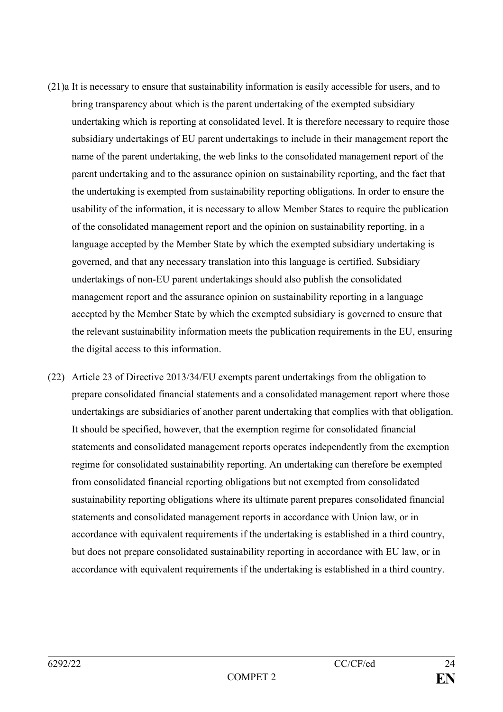- (21)a It is necessary to ensure that sustainability information is easily accessible for users, and to bring transparency about which is the parent undertaking of the exempted subsidiary undertaking which is reporting at consolidated level. It is therefore necessary to require those subsidiary undertakings of EU parent undertakings to include in their management report the name of the parent undertaking, the web links to the consolidated management report of the parent undertaking and to the assurance opinion on sustainability reporting, and the fact that the undertaking is exempted from sustainability reporting obligations. In order to ensure the usability of the information, it is necessary to allow Member States to require the publication of the consolidated management report and the opinion on sustainability reporting, in a language accepted by the Member State by which the exempted subsidiary undertaking is governed, and that any necessary translation into this language is certified. Subsidiary undertakings of non-EU parent undertakings should also publish the consolidated management report and the assurance opinion on sustainability reporting in a language accepted by the Member State by which the exempted subsidiary is governed to ensure that the relevant sustainability information meets the publication requirements in the EU, ensuring the digital access to this information.
- (22) Article 23 of Directive 2013/34/EU exempts parent undertakings from the obligation to prepare consolidated financial statements and a consolidated management report where those undertakings are subsidiaries of another parent undertaking that complies with that obligation. It should be specified, however, that the exemption regime for consolidated financial statements and consolidated management reports operates independently from the exemption regime for consolidated sustainability reporting. An undertaking can therefore be exempted from consolidated financial reporting obligations but not exempted from consolidated sustainability reporting obligations where its ultimate parent prepares consolidated financial statements and consolidated management reports in accordance with Union law, or in accordance with equivalent requirements if the undertaking is established in a third country, but does not prepare consolidated sustainability reporting in accordance with EU law, or in accordance with equivalent requirements if the undertaking is established in a third country.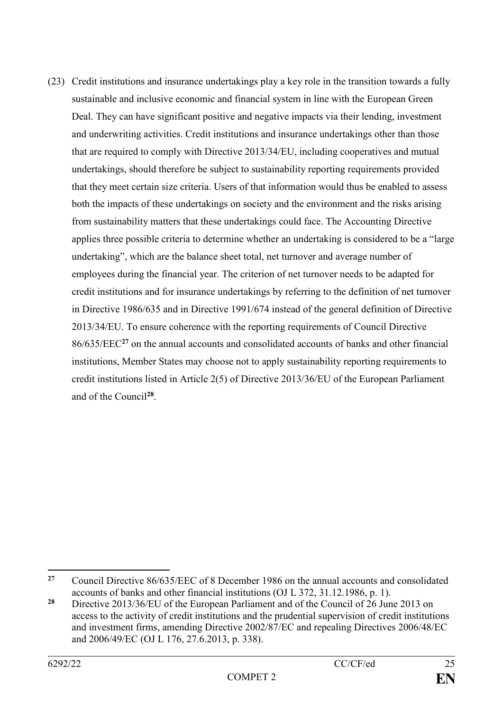(23) Credit institutions and insurance undertakings play a key role in the transition towards a fully sustainable and inclusive economic and financial system in line with the European Green Deal. They can have significant positive and negative impacts via their lending, investment and underwriting activities. Credit institutions and insurance undertakings other than those that are required to comply with Directive 2013/34/EU, including cooperatives and mutual undertakings, should therefore be subject to sustainability reporting requirements provided that they meet certain size criteria. Users of that information would thus be enabled to assess both the impacts of these undertakings on society and the environment and the risks arising from sustainability matters that these undertakings could face. The Accounting Directive applies three possible criteria to determine whether an undertaking is considered to be a "large undertaking", which are the balance sheet total, net turnover and average number of employees during the financial year. The criterion of net turnover needs to be adapted for credit institutions and for insurance undertakings by referring to the definition of net turnover in Directive 1986/635 and in Directive 1991/674 instead of the general definition of Directive 2013/34/EU. To ensure coherence with the reporting requirements of Council Directive 86/635/EEC**<sup>27</sup>** on the annual accounts and consolidated accounts of banks and other financial institutions, Member States may choose not to apply sustainability reporting requirements to credit institutions listed in Article 2(5) of Directive 2013/36/EU of the European Parliament and of the Council**<sup>28</sup>** .

 $27$ **<sup>27</sup>** Council Directive 86/635/EEC of 8 December 1986 on the annual accounts and consolidated accounts of banks and other financial institutions (OJ L 372, 31.12.1986, p. 1).

**<sup>28</sup>** Directive 2013/36/EU of the European Parliament and of the Council of 26 June 2013 on access to the activity of credit institutions and the prudential supervision of credit institutions and investment firms, amending Directive 2002/87/EC and repealing Directives 2006/48/EC and 2006/49/EC (OJ L 176, 27.6.2013, p. 338).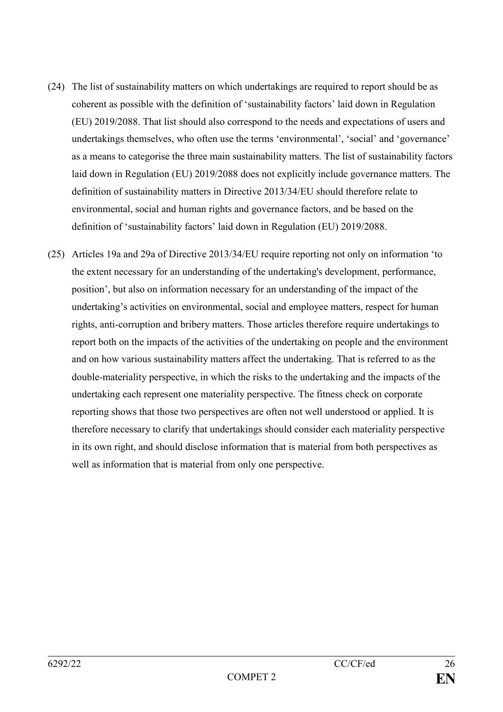- (24) The list of sustainability matters on which undertakings are required to report should be as coherent as possible with the definition of 'sustainability factors' laid down in Regulation (EU) 2019/2088. That list should also correspond to the needs and expectations of users and undertakings themselves, who often use the terms 'environmental', 'social' and 'governance' as a means to categorise the three main sustainability matters. The list of sustainability factors laid down in Regulation (EU) 2019/2088 does not explicitly include governance matters. The definition of sustainability matters in Directive 2013/34/EU should therefore relate to environmental, social and human rights and governance factors, and be based on the definition of 'sustainability factors' laid down in Regulation (EU) 2019/2088.
- (25) Articles 19a and 29a of Directive 2013/34/EU require reporting not only on information 'to the extent necessary for an understanding of the undertaking's development, performance, position', but also on information necessary for an understanding of the impact of the undertaking's activities on environmental, social and employee matters, respect for human rights, anti-corruption and bribery matters. Those articles therefore require undertakings to report both on the impacts of the activities of the undertaking on people and the environment and on how various sustainability matters affect the undertaking. That is referred to as the double-materiality perspective, in which the risks to the undertaking and the impacts of the undertaking each represent one materiality perspective. The fitness check on corporate reporting shows that those two perspectives are often not well understood or applied. It is therefore necessary to clarify that undertakings should consider each materiality perspective in its own right, and should disclose information that is material from both perspectives as well as information that is material from only one perspective.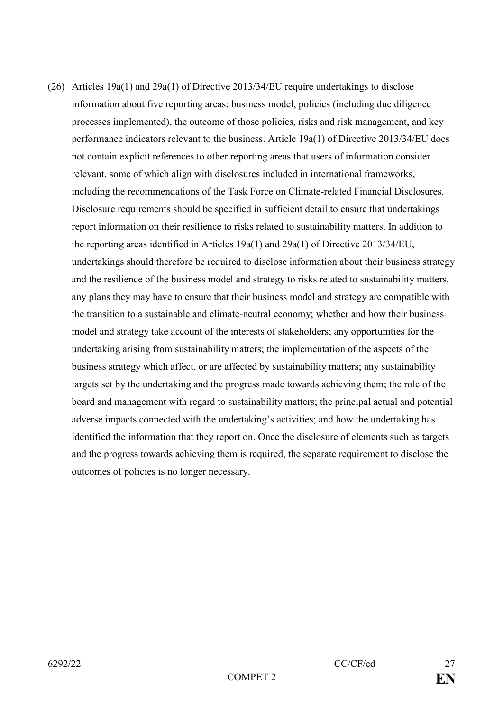(26) Articles 19a(1) and 29a(1) of Directive 2013/34/EU require undertakings to disclose information about five reporting areas: business model, policies (including due diligence processes implemented), the outcome of those policies, risks and risk management, and key performance indicators relevant to the business. Article 19a(1) of Directive 2013/34/EU does not contain explicit references to other reporting areas that users of information consider relevant, some of which align with disclosures included in international frameworks, including the recommendations of the Task Force on Climate-related Financial Disclosures. Disclosure requirements should be specified in sufficient detail to ensure that undertakings report information on their resilience to risks related to sustainability matters. In addition to the reporting areas identified in Articles 19a(1) and 29a(1) of Directive 2013/34/EU, undertakings should therefore be required to disclose information about their business strategy and the resilience of the business model and strategy to risks related to sustainability matters, any plans they may have to ensure that their business model and strategy are compatible with the transition to a sustainable and climate-neutral economy; whether and how their business model and strategy take account of the interests of stakeholders; any opportunities for the undertaking arising from sustainability matters; the implementation of the aspects of the business strategy which affect, or are affected by sustainability matters; any sustainability targets set by the undertaking and the progress made towards achieving them; the role of the board and management with regard to sustainability matters; the principal actual and potential adverse impacts connected with the undertaking's activities; and how the undertaking has identified the information that they report on. Once the disclosure of elements such as targets and the progress towards achieving them is required, the separate requirement to disclose the outcomes of policies is no longer necessary.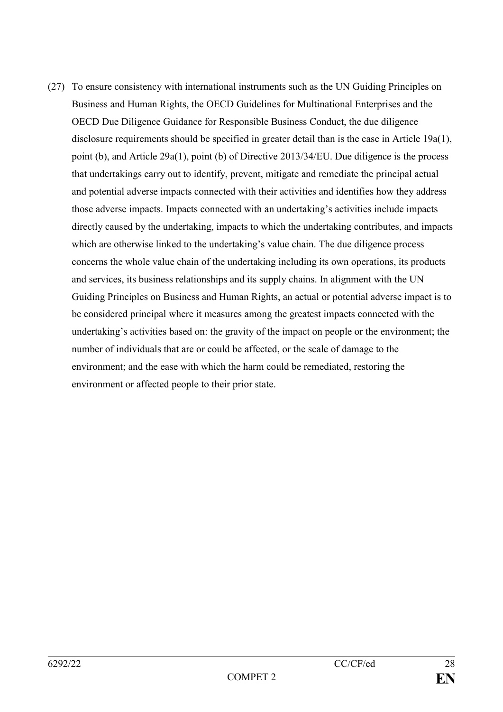(27) To ensure consistency with international instruments such as the UN Guiding Principles on Business and Human Rights, the OECD Guidelines for Multinational Enterprises and the OECD Due Diligence Guidance for Responsible Business Conduct, the due diligence disclosure requirements should be specified in greater detail than is the case in Article 19 $a(1)$ , point (b), and Article 29a(1), point (b) of Directive 2013/34/EU. Due diligence is the process that undertakings carry out to identify, prevent, mitigate and remediate the principal actual and potential adverse impacts connected with their activities and identifies how they address those adverse impacts. Impacts connected with an undertaking's activities include impacts directly caused by the undertaking, impacts to which the undertaking contributes, and impacts which are otherwise linked to the undertaking's value chain. The due diligence process concerns the whole value chain of the undertaking including its own operations, its products and services, its business relationships and its supply chains. In alignment with the UN Guiding Principles on Business and Human Rights, an actual or potential adverse impact is to be considered principal where it measures among the greatest impacts connected with the undertaking's activities based on: the gravity of the impact on people or the environment; the number of individuals that are or could be affected, or the scale of damage to the environment; and the ease with which the harm could be remediated, restoring the environment or affected people to their prior state.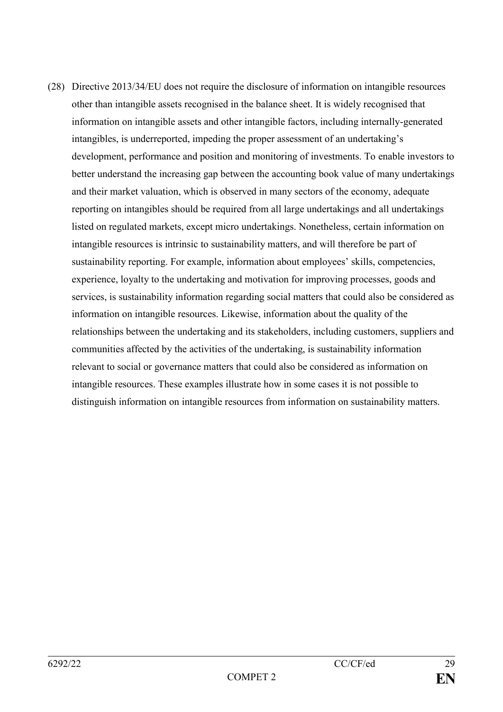(28) Directive 2013/34/EU does not require the disclosure of information on intangible resources other than intangible assets recognised in the balance sheet. It is widely recognised that information on intangible assets and other intangible factors, including internally-generated intangibles, is underreported, impeding the proper assessment of an undertaking's development, performance and position and monitoring of investments. To enable investors to better understand the increasing gap between the accounting book value of many undertakings and their market valuation, which is observed in many sectors of the economy, adequate reporting on intangibles should be required from all large undertakings and all undertakings listed on regulated markets, except micro undertakings. Nonetheless, certain information on intangible resources is intrinsic to sustainability matters, and will therefore be part of sustainability reporting. For example, information about employees' skills, competencies, experience, loyalty to the undertaking and motivation for improving processes, goods and services, is sustainability information regarding social matters that could also be considered as information on intangible resources. Likewise, information about the quality of the relationships between the undertaking and its stakeholders, including customers, suppliers and communities affected by the activities of the undertaking, is sustainability information relevant to social or governance matters that could also be considered as information on intangible resources. These examples illustrate how in some cases it is not possible to distinguish information on intangible resources from information on sustainability matters.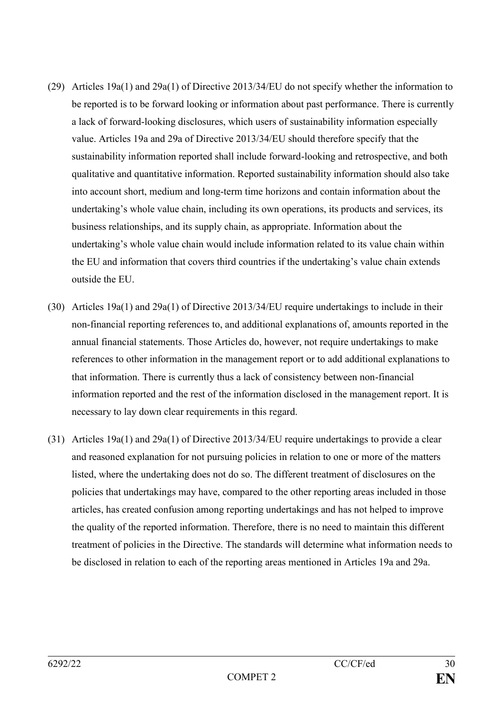- (29) Articles 19a(1) and 29a(1) of Directive 2013/34/EU do not specify whether the information to be reported is to be forward looking or information about past performance. There is currently a lack of forward-looking disclosures, which users of sustainability information especially value. Articles 19a and 29a of Directive 2013/34/EU should therefore specify that the sustainability information reported shall include forward-looking and retrospective, and both qualitative and quantitative information. Reported sustainability information should also take into account short, medium and long-term time horizons and contain information about the undertaking's whole value chain, including its own operations, its products and services, its business relationships, and its supply chain, as appropriate. Information about the undertaking's whole value chain would include information related to its value chain within the EU and information that covers third countries if the undertaking's value chain extends outside the EU.
- (30) Articles 19a(1) and 29a(1) of Directive 2013/34/EU require undertakings to include in their non-financial reporting references to, and additional explanations of, amounts reported in the annual financial statements. Those Articles do, however, not require undertakings to make references to other information in the management report or to add additional explanations to that information. There is currently thus a lack of consistency between non-financial information reported and the rest of the information disclosed in the management report. It is necessary to lay down clear requirements in this regard.
- (31) Articles 19a(1) and 29a(1) of Directive 2013/34/EU require undertakings to provide a clear and reasoned explanation for not pursuing policies in relation to one or more of the matters listed, where the undertaking does not do so. The different treatment of disclosures on the policies that undertakings may have, compared to the other reporting areas included in those articles, has created confusion among reporting undertakings and has not helped to improve the quality of the reported information. Therefore, there is no need to maintain this different treatment of policies in the Directive. The standards will determine what information needs to be disclosed in relation to each of the reporting areas mentioned in Articles 19a and 29a.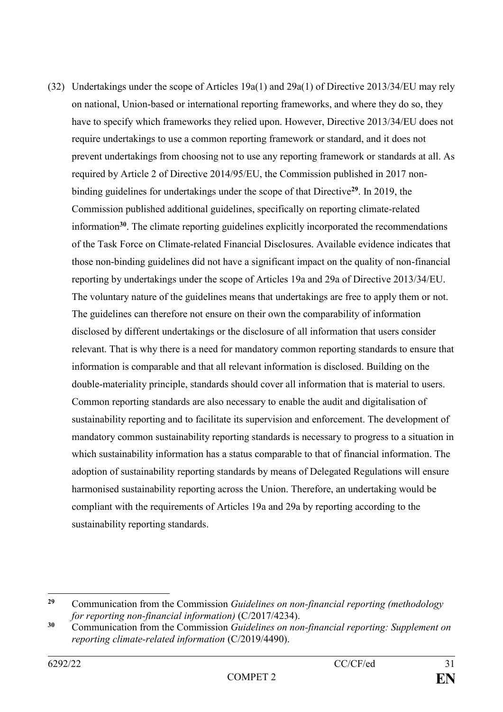(32) Undertakings under the scope of Articles 19a(1) and 29a(1) of Directive 2013/34/EU may rely on national, Union-based or international reporting frameworks, and where they do so, they have to specify which frameworks they relied upon. However, Directive 2013/34/EU does not require undertakings to use a common reporting framework or standard, and it does not prevent undertakings from choosing not to use any reporting framework or standards at all. As required by Article 2 of Directive 2014/95/EU, the Commission published in 2017 nonbinding guidelines for undertakings under the scope of that Directive**<sup>29</sup>**. In 2019, the Commission published additional guidelines, specifically on reporting climate-related information**<sup>30</sup>**. The climate reporting guidelines explicitly incorporated the recommendations of the Task Force on Climate-related Financial Disclosures. Available evidence indicates that those non-binding guidelines did not have a significant impact on the quality of non-financial reporting by undertakings under the scope of Articles 19a and 29a of Directive 2013/34/EU. The voluntary nature of the guidelines means that undertakings are free to apply them or not. The guidelines can therefore not ensure on their own the comparability of information disclosed by different undertakings or the disclosure of all information that users consider relevant. That is why there is a need for mandatory common reporting standards to ensure that information is comparable and that all relevant information is disclosed. Building on the double-materiality principle, standards should cover all information that is material to users. Common reporting standards are also necessary to enable the audit and digitalisation of sustainability reporting and to facilitate its supervision and enforcement. The development of mandatory common sustainability reporting standards is necessary to progress to a situation in which sustainability information has a status comparable to that of financial information. The adoption of sustainability reporting standards by means of Delegated Regulations will ensure harmonised sustainability reporting across the Union. Therefore, an undertaking would be compliant with the requirements of Articles 19a and 29a by reporting according to the sustainability reporting standards.

1

**<sup>29</sup>** Communication from the Commission *Guidelines on non-financial reporting (methodology for reporting non-financial information)* (C/2017/4234).

**<sup>30</sup>** Communication from the Commission *Guidelines on non-financial reporting: Supplement on reporting climate-related information* (C/2019/4490).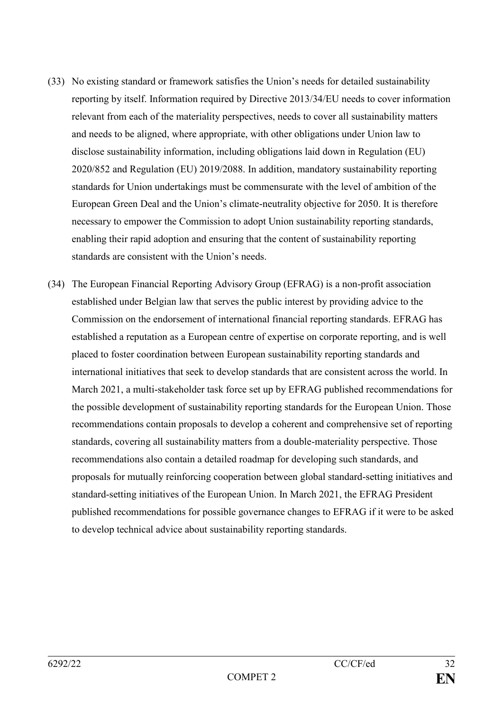- (33) No existing standard or framework satisfies the Union's needs for detailed sustainability reporting by itself. Information required by Directive 2013/34/EU needs to cover information relevant from each of the materiality perspectives, needs to cover all sustainability matters and needs to be aligned, where appropriate, with other obligations under Union law to disclose sustainability information, including obligations laid down in Regulation (EU) 2020/852 and Regulation (EU) 2019/2088. In addition, mandatory sustainability reporting standards for Union undertakings must be commensurate with the level of ambition of the European Green Deal and the Union's climate-neutrality objective for 2050. It is therefore necessary to empower the Commission to adopt Union sustainability reporting standards, enabling their rapid adoption and ensuring that the content of sustainability reporting standards are consistent with the Union's needs.
- (34) The European Financial Reporting Advisory Group (EFRAG) is a non-profit association established under Belgian law that serves the public interest by providing advice to the Commission on the endorsement of international financial reporting standards. EFRAG has established a reputation as a European centre of expertise on corporate reporting, and is well placed to foster coordination between European sustainability reporting standards and international initiatives that seek to develop standards that are consistent across the world. In March 2021, a multi-stakeholder task force set up by EFRAG published recommendations for the possible development of sustainability reporting standards for the European Union. Those recommendations contain proposals to develop a coherent and comprehensive set of reporting standards, covering all sustainability matters from a double-materiality perspective. Those recommendations also contain a detailed roadmap for developing such standards, and proposals for mutually reinforcing cooperation between global standard-setting initiatives and standard-setting initiatives of the European Union. In March 2021, the EFRAG President published recommendations for possible governance changes to EFRAG if it were to be asked to develop technical advice about sustainability reporting standards.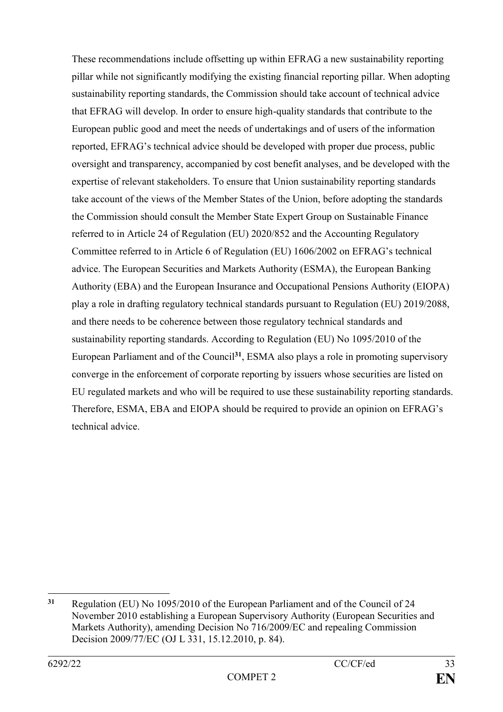These recommendations include offsetting up within EFRAG a new sustainability reporting pillar while not significantly modifying the existing financial reporting pillar. When adopting sustainability reporting standards, the Commission should take account of technical advice that EFRAG will develop. In order to ensure high-quality standards that contribute to the European public good and meet the needs of undertakings and of users of the information reported, EFRAG's technical advice should be developed with proper due process, public oversight and transparency, accompanied by cost benefit analyses, and be developed with the expertise of relevant stakeholders. To ensure that Union sustainability reporting standards take account of the views of the Member States of the Union, before adopting the standards the Commission should consult the Member State Expert Group on Sustainable Finance referred to in Article 24 of Regulation (EU) 2020/852 and the Accounting Regulatory Committee referred to in Article 6 of Regulation (EU) 1606/2002 on EFRAG's technical advice. The European Securities and Markets Authority (ESMA), the European Banking Authority (EBA) and the European Insurance and Occupational Pensions Authority (EIOPA) play a role in drafting regulatory technical standards pursuant to Regulation (EU) 2019/2088, and there needs to be coherence between those regulatory technical standards and sustainability reporting standards. According to Regulation (EU) No 1095/2010 of the European Parliament and of the Council**<sup>31</sup>**, ESMA also plays a role in promoting supervisory converge in the enforcement of corporate reporting by issuers whose securities are listed on EU regulated markets and who will be required to use these sustainability reporting standards. Therefore, ESMA, EBA and EIOPA should be required to provide an opinion on EFRAG's technical advice.

<sup>1</sup> **<sup>31</sup>** Regulation (EU) No 1095/2010 of the European Parliament and of the Council of 24 November 2010 establishing a European Supervisory Authority (European Securities and Markets Authority), amending Decision No 716/2009/EC and repealing Commission Decision 2009/77/EC (OJ L 331, 15.12.2010, p. 84).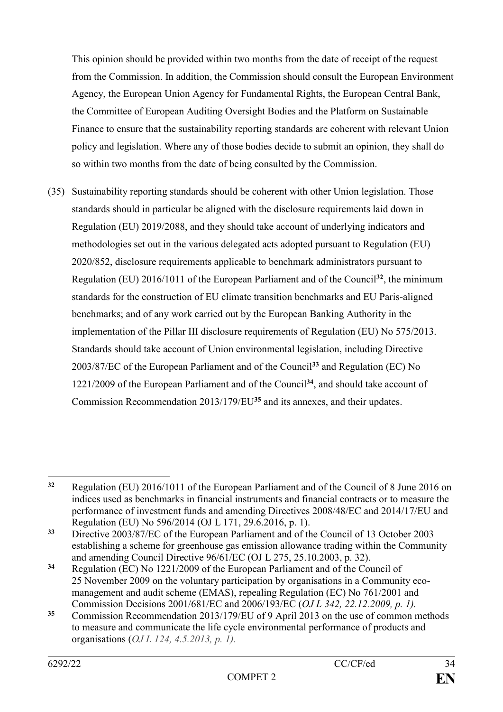This opinion should be provided within two months from the date of receipt of the request from the Commission. In addition, the Commission should consult the European Environment Agency, the European Union Agency for Fundamental Rights, the European Central Bank, the Committee of European Auditing Oversight Bodies and the Platform on Sustainable Finance to ensure that the sustainability reporting standards are coherent with relevant Union policy and legislation. Where any of those bodies decide to submit an opinion, they shall do so within two months from the date of being consulted by the Commission.

(35) Sustainability reporting standards should be coherent with other Union legislation. Those standards should in particular be aligned with the disclosure requirements laid down in Regulation (EU) 2019/2088, and they should take account of underlying indicators and methodologies set out in the various delegated acts adopted pursuant to Regulation (EU) 2020/852, disclosure requirements applicable to benchmark administrators pursuant to Regulation (EU) 2016/1011 of the European Parliament and of the Council**<sup>32</sup>**, the minimum standards for the construction of EU climate transition benchmarks and EU Paris-aligned benchmarks; and of any work carried out by the European Banking Authority in the implementation of the Pillar III disclosure requirements of Regulation (EU) No 575/2013. Standards should take account of Union environmental legislation, including Directive 2003/87/EC of the European Parliament and of the Council**<sup>33</sup>** and Regulation (EC) No 1221/2009 of the European Parliament and of the Council**<sup>34</sup>**, and should take account of Commission Recommendation 2013/179/EU**<sup>35</sup>** and its annexes, and their updates.

 $32$ **<sup>32</sup>** Regulation (EU) 2016/1011 of the European Parliament and of the Council of 8 June 2016 on indices used as benchmarks in financial instruments and financial contracts or to measure the performance of investment funds and amending Directives 2008/48/EC and 2014/17/EU and Regulation (EU) No 596/2014 (OJ L 171, 29.6.2016, p. 1).

**<sup>33</sup>** Directive 2003/87/EC of the European Parliament and of the Council of 13 October 2003 establishing a scheme for greenhouse gas emission allowance trading within the Community and amending Council Directive 96/61/EC (OJ L 275, 25.10.2003, p. 32).

**<sup>34</sup>** Regulation (EC) No 1221/2009 of the European Parliament and of the Council of 25 November 2009 on the voluntary participation by organisations in a Community ecomanagement and audit scheme (EMAS), repealing Regulation (EC) No 761/2001 and Commission Decisions 2001/681/EC and 2006/193/EC (*OJ L 342, 22.12.2009, p. 1).*

**<sup>35</sup>** Commission Recommendation 2013/179/EU of 9 April 2013 on the use of common methods to measure and communicate the life cycle environmental performance of products and organisations (*OJ L 124, 4.5.2013, p. 1).*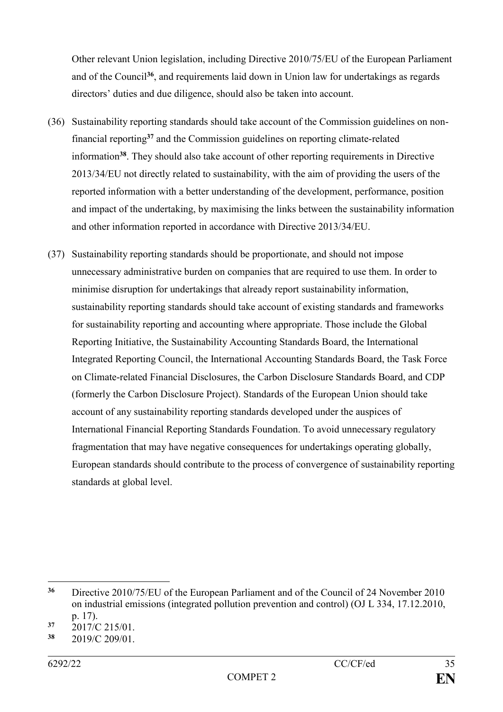Other relevant Union legislation, including Directive 2010/75/EU of the European Parliament and of the Council**<sup>36</sup>**, and requirements laid down in Union law for undertakings as regards directors' duties and due diligence, should also be taken into account.

- (36) Sustainability reporting standards should take account of the Commission guidelines on nonfinancial reporting**<sup>37</sup>** and the Commission guidelines on reporting climate-related information**<sup>38</sup>**. They should also take account of other reporting requirements in Directive 2013/34/EU not directly related to sustainability, with the aim of providing the users of the reported information with a better understanding of the development, performance, position and impact of the undertaking, by maximising the links between the sustainability information and other information reported in accordance with Directive 2013/34/EU.
- (37) Sustainability reporting standards should be proportionate, and should not impose unnecessary administrative burden on companies that are required to use them. In order to minimise disruption for undertakings that already report sustainability information, sustainability reporting standards should take account of existing standards and frameworks for sustainability reporting and accounting where appropriate. Those include the Global Reporting Initiative, the Sustainability Accounting Standards Board, the International Integrated Reporting Council, the International Accounting Standards Board, the Task Force on Climate-related Financial Disclosures, the Carbon Disclosure Standards Board, and CDP (formerly the Carbon Disclosure Project). Standards of the European Union should take account of any sustainability reporting standards developed under the auspices of International Financial Reporting Standards Foundation. To avoid unnecessary regulatory fragmentation that may have negative consequences for undertakings operating globally, European standards should contribute to the process of convergence of sustainability reporting standards at global level.

1

**<sup>36</sup>** Directive 2010/75/EU of the European Parliament and of the Council of 24 November 2010 on industrial emissions (integrated pollution prevention and control) (OJ L 334, 17.12.2010, p. 17).

 $\frac{37}{38}$  2017/C 215/01.

**<sup>38</sup>** 2019/C 209/01.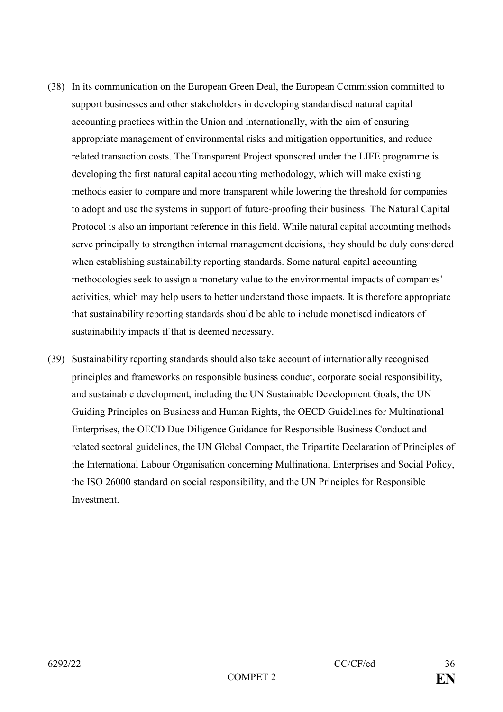- (38) In its communication on the European Green Deal, the European Commission committed to support businesses and other stakeholders in developing standardised natural capital accounting practices within the Union and internationally, with the aim of ensuring appropriate management of environmental risks and mitigation opportunities, and reduce related transaction costs. The Transparent Project sponsored under the LIFE programme is developing the first natural capital accounting methodology, which will make existing methods easier to compare and more transparent while lowering the threshold for companies to adopt and use the systems in support of future-proofing their business. The Natural Capital Protocol is also an important reference in this field. While natural capital accounting methods serve principally to strengthen internal management decisions, they should be duly considered when establishing sustainability reporting standards. Some natural capital accounting methodologies seek to assign a monetary value to the environmental impacts of companies' activities, which may help users to better understand those impacts. It is therefore appropriate that sustainability reporting standards should be able to include monetised indicators of sustainability impacts if that is deemed necessary.
- (39) Sustainability reporting standards should also take account of internationally recognised principles and frameworks on responsible business conduct, corporate social responsibility, and sustainable development, including the UN Sustainable Development Goals, the UN Guiding Principles on Business and Human Rights, the OECD Guidelines for Multinational Enterprises, the OECD Due Diligence Guidance for Responsible Business Conduct and related sectoral guidelines, the UN Global Compact, the Tripartite Declaration of Principles of the International Labour Organisation concerning Multinational Enterprises and Social Policy, the ISO 26000 standard on social responsibility, and the UN Principles for Responsible **Investment**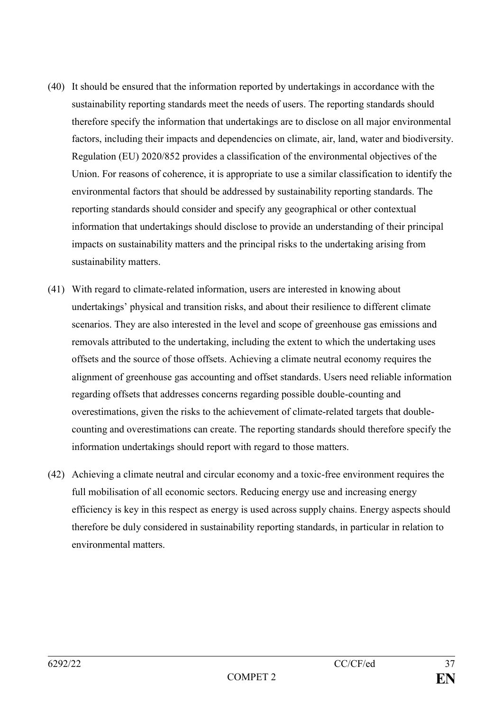- (40) It should be ensured that the information reported by undertakings in accordance with the sustainability reporting standards meet the needs of users. The reporting standards should therefore specify the information that undertakings are to disclose on all major environmental factors, including their impacts and dependencies on climate, air, land, water and biodiversity. Regulation (EU) 2020/852 provides a classification of the environmental objectives of the Union. For reasons of coherence, it is appropriate to use a similar classification to identify the environmental factors that should be addressed by sustainability reporting standards. The reporting standards should consider and specify any geographical or other contextual information that undertakings should disclose to provide an understanding of their principal impacts on sustainability matters and the principal risks to the undertaking arising from sustainability matters.
- (41) With regard to climate-related information, users are interested in knowing about undertakings' physical and transition risks, and about their resilience to different climate scenarios. They are also interested in the level and scope of greenhouse gas emissions and removals attributed to the undertaking, including the extent to which the undertaking uses offsets and the source of those offsets. Achieving a climate neutral economy requires the alignment of greenhouse gas accounting and offset standards. Users need reliable information regarding offsets that addresses concerns regarding possible double-counting and overestimations, given the risks to the achievement of climate-related targets that doublecounting and overestimations can create. The reporting standards should therefore specify the information undertakings should report with regard to those matters.
- (42) Achieving a climate neutral and circular economy and a toxic-free environment requires the full mobilisation of all economic sectors. Reducing energy use and increasing energy efficiency is key in this respect as energy is used across supply chains. Energy aspects should therefore be duly considered in sustainability reporting standards, in particular in relation to environmental matters.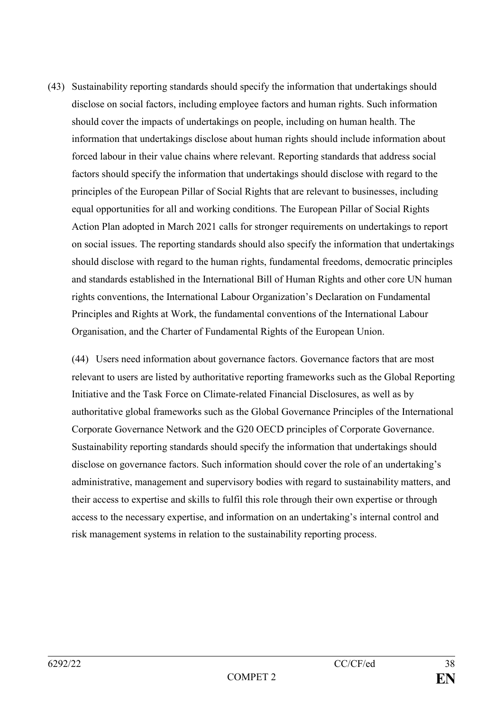(43) Sustainability reporting standards should specify the information that undertakings should disclose on social factors, including employee factors and human rights. Such information should cover the impacts of undertakings on people, including on human health. The information that undertakings disclose about human rights should include information about forced labour in their value chains where relevant. Reporting standards that address social factors should specify the information that undertakings should disclose with regard to the principles of the European Pillar of Social Rights that are relevant to businesses, including equal opportunities for all and working conditions. The European Pillar of Social Rights Action Plan adopted in March 2021 calls for stronger requirements on undertakings to report on social issues. The reporting standards should also specify the information that undertakings should disclose with regard to the human rights, fundamental freedoms, democratic principles and standards established in the International Bill of Human Rights and other core UN human rights conventions, the International Labour Organization's Declaration on Fundamental Principles and Rights at Work, the fundamental conventions of the International Labour Organisation, and the Charter of Fundamental Rights of the European Union.

(44) Users need information about governance factors. Governance factors that are most relevant to users are listed by authoritative reporting frameworks such as the Global Reporting Initiative and the Task Force on Climate-related Financial Disclosures, as well as by authoritative global frameworks such as the Global Governance Principles of the International Corporate Governance Network and the G20 OECD principles of Corporate Governance. Sustainability reporting standards should specify the information that undertakings should disclose on governance factors. Such information should cover the role of an undertaking's administrative, management and supervisory bodies with regard to sustainability matters, and their access to expertise and skills to fulfil this role through their own expertise or through access to the necessary expertise, and information on an undertaking's internal control and risk management systems in relation to the sustainability reporting process.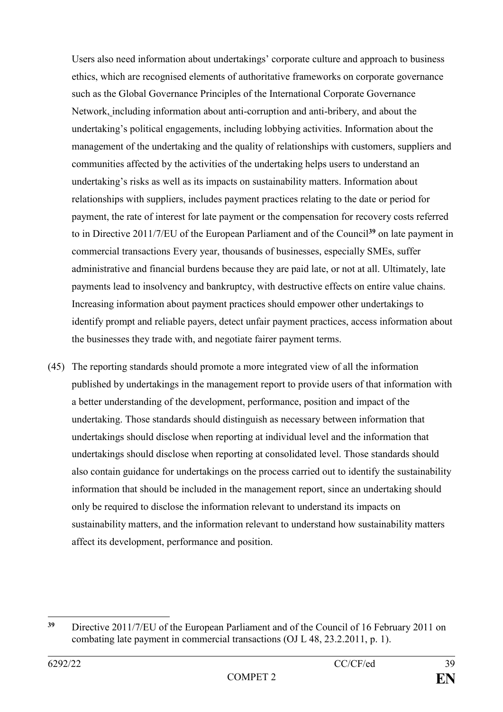Users also need information about undertakings' corporate culture and approach to business ethics, which are recognised elements of authoritative frameworks on corporate governance such as the Global Governance Principles of the International Corporate Governance Network, including information about anti-corruption and anti-bribery, and about the undertaking's political engagements, including lobbying activities. Information about the management of the undertaking and the quality of relationships with customers, suppliers and communities affected by the activities of the undertaking helps users to understand an undertaking's risks as well as its impacts on sustainability matters. Information about relationships with suppliers, includes payment practices relating to the date or period for payment, the rate of interest for late payment or the compensation for recovery costs referred to in Directive 2011/7/EU of the European Parliament and of the Council**<sup>39</sup>** on late payment in commercial transactions Every year, thousands of businesses, especially SMEs, suffer administrative and financial burdens because they are paid late, or not at all. Ultimately, late payments lead to insolvency and bankruptcy, with destructive effects on entire value chains. Increasing information about payment practices should empower other undertakings to identify prompt and reliable payers, detect unfair payment practices, access information about the businesses they trade with, and negotiate fairer payment terms.

(45) The reporting standards should promote a more integrated view of all the information published by undertakings in the management report to provide users of that information with a better understanding of the development, performance, position and impact of the undertaking. Those standards should distinguish as necessary between information that undertakings should disclose when reporting at individual level and the information that undertakings should disclose when reporting at consolidated level. Those standards should also contain guidance for undertakings on the process carried out to identify the sustainability information that should be included in the management report, since an undertaking should only be required to disclose the information relevant to understand its impacts on sustainability matters, and the information relevant to understand how sustainability matters affect its development, performance and position.

 $39$ **<sup>39</sup>** Directive 2011/7/EU of the European Parliament and of the Council of 16 February 2011 on combating late payment in commercial transactions (OJ L 48, 23.2.2011, p. 1).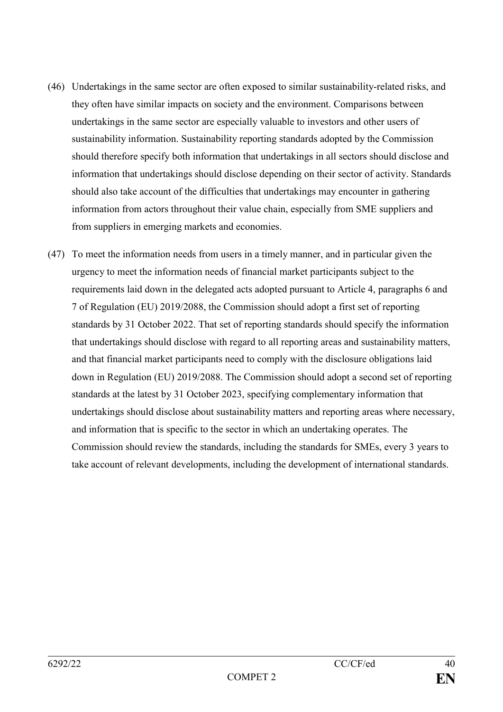- (46) Undertakings in the same sector are often exposed to similar sustainability-related risks, and they often have similar impacts on society and the environment. Comparisons between undertakings in the same sector are especially valuable to investors and other users of sustainability information. Sustainability reporting standards adopted by the Commission should therefore specify both information that undertakings in all sectors should disclose and information that undertakings should disclose depending on their sector of activity. Standards should also take account of the difficulties that undertakings may encounter in gathering information from actors throughout their value chain, especially from SME suppliers and from suppliers in emerging markets and economies.
- (47) To meet the information needs from users in a timely manner, and in particular given the urgency to meet the information needs of financial market participants subject to the requirements laid down in the delegated acts adopted pursuant to Article 4, paragraphs 6 and 7 of Regulation (EU) 2019/2088, the Commission should adopt a first set of reporting standards by 31 October 2022. That set of reporting standards should specify the information that undertakings should disclose with regard to all reporting areas and sustainability matters, and that financial market participants need to comply with the disclosure obligations laid down in Regulation (EU) 2019/2088. The Commission should adopt a second set of reporting standards at the latest by 31 October 2023, specifying complementary information that undertakings should disclose about sustainability matters and reporting areas where necessary, and information that is specific to the sector in which an undertaking operates. The Commission should review the standards, including the standards for SMEs, every 3 years to take account of relevant developments, including the development of international standards.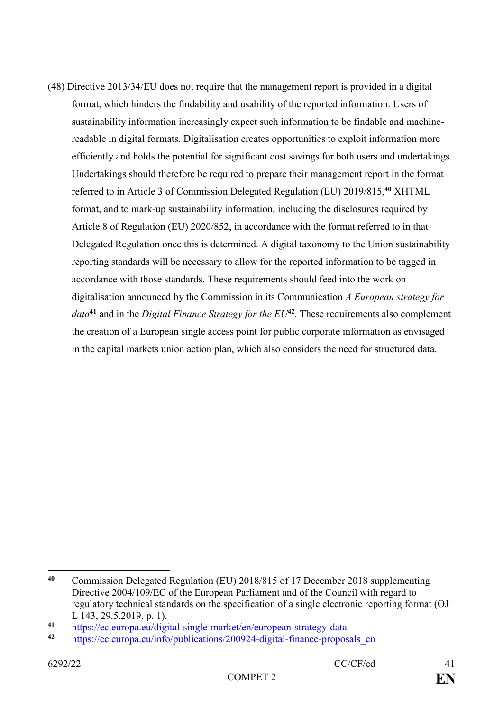(48) Directive 2013/34/EU does not require that the management report is provided in a digital format, which hinders the findability and usability of the reported information. Users of sustainability information increasingly expect such information to be findable and machinereadable in digital formats. Digitalisation creates opportunities to exploit information more efficiently and holds the potential for significant cost savings for both users and undertakings. Undertakings should therefore be required to prepare their management report in the format referred to in Article 3 of Commission Delegated Regulation (EU) 2019/815,**<sup>40</sup>** XHTML format, and to mark-up sustainability information, including the disclosures required by Article 8 of Regulation (EU) 2020/852, in accordance with the format referred to in that Delegated Regulation once this is determined. A digital taxonomy to the Union sustainability reporting standards will be necessary to allow for the reported information to be tagged in accordance with those standards. These requirements should feed into the work on digitalisation announced by the Commission in its Communication *A European strategy for data***<sup>41</sup>** and in the *Digital Finance Strategy for the EU***<sup>42</sup>** *.* These requirements also complement the creation of a European single access point for public corporate information as envisaged in the capital markets union action plan, which also considers the need for structured data.

 $40$ **<sup>40</sup>** Commission Delegated Regulation (EU) 2018/815 of 17 December 2018 supplementing Directive 2004/109/EC of the European Parliament and of the Council with regard to regulatory technical standards on the specification of a single electronic reporting format (OJ L 143, 29.5.2019, p. 1).

<sup>&</sup>lt;sup>41</sup> <https://ec.europa.eu/digital-single-market/en/european-strategy-data>

**<sup>42</sup>** [https://ec.europa.eu/info/publications/200924-digital-finance-proposals\\_en](https://ec.europa.eu/info/publications/200924-digital-finance-proposals_en)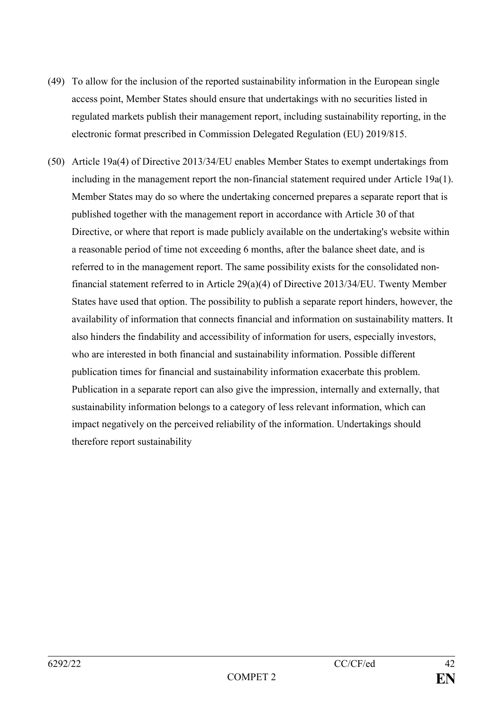- (49) To allow for the inclusion of the reported sustainability information in the European single access point, Member States should ensure that undertakings with no securities listed in regulated markets publish their management report, including sustainability reporting, in the electronic format prescribed in Commission Delegated Regulation (EU) 2019/815.
- (50) Article 19a(4) of Directive 2013/34/EU enables Member States to exempt undertakings from including in the management report the non-financial statement required under Article 19a(1). Member States may do so where the undertaking concerned prepares a separate report that is published together with the management report in accordance with Article 30 of that Directive, or where that report is made publicly available on the undertaking's website within a reasonable period of time not exceeding 6 months, after the balance sheet date, and is referred to in the management report. The same possibility exists for the consolidated nonfinancial statement referred to in Article 29(a)(4) of Directive 2013/34/EU. Twenty Member States have used that option. The possibility to publish a separate report hinders, however, the availability of information that connects financial and information on sustainability matters. It also hinders the findability and accessibility of information for users, especially investors, who are interested in both financial and sustainability information. Possible different publication times for financial and sustainability information exacerbate this problem. Publication in a separate report can also give the impression, internally and externally, that sustainability information belongs to a category of less relevant information, which can impact negatively on the perceived reliability of the information. Undertakings should therefore report sustainability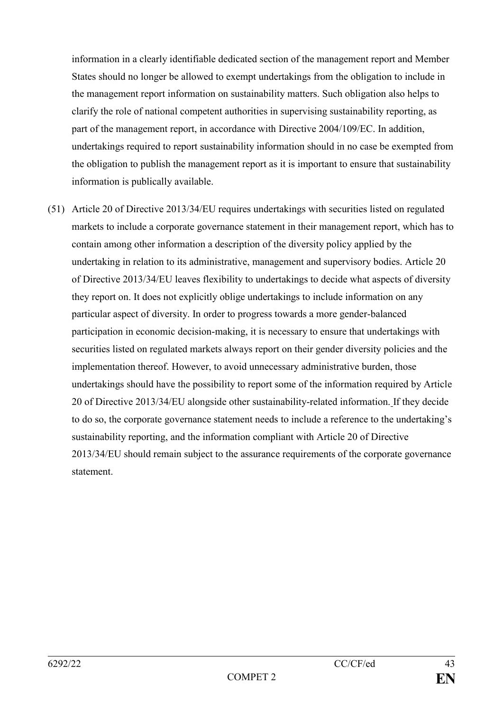information in a clearly identifiable dedicated section of the management report and Member States should no longer be allowed to exempt undertakings from the obligation to include in the management report information on sustainability matters. Such obligation also helps to clarify the role of national competent authorities in supervising sustainability reporting, as part of the management report, in accordance with Directive 2004/109/EC. In addition, undertakings required to report sustainability information should in no case be exempted from the obligation to publish the management report as it is important to ensure that sustainability information is publically available.

(51) Article 20 of Directive 2013/34/EU requires undertakings with securities listed on regulated markets to include a corporate governance statement in their management report, which has to contain among other information a description of the diversity policy applied by the undertaking in relation to its administrative, management and supervisory bodies. Article 20 of Directive 2013/34/EU leaves flexibility to undertakings to decide what aspects of diversity they report on. It does not explicitly oblige undertakings to include information on any particular aspect of diversity. In order to progress towards a more gender-balanced participation in economic decision-making, it is necessary to ensure that undertakings with securities listed on regulated markets always report on their gender diversity policies and the implementation thereof. However, to avoid unnecessary administrative burden, those undertakings should have the possibility to report some of the information required by Article 20 of Directive 2013/34/EU alongside other sustainability-related information. If they decide to do so, the corporate governance statement needs to include a reference to the undertaking's sustainability reporting, and the information compliant with Article 20 of Directive 2013/34/EU should remain subject to the assurance requirements of the corporate governance statement.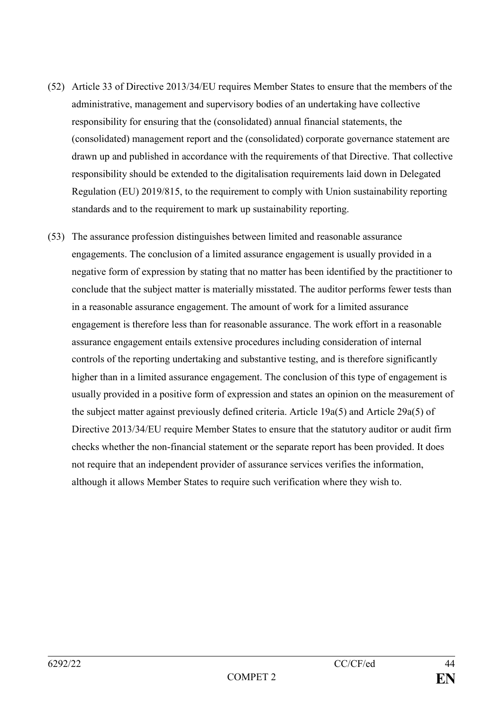- (52) Article 33 of Directive 2013/34/EU requires Member States to ensure that the members of the administrative, management and supervisory bodies of an undertaking have collective responsibility for ensuring that the (consolidated) annual financial statements, the (consolidated) management report and the (consolidated) corporate governance statement are drawn up and published in accordance with the requirements of that Directive. That collective responsibility should be extended to the digitalisation requirements laid down in Delegated Regulation (EU) 2019/815, to the requirement to comply with Union sustainability reporting standards and to the requirement to mark up sustainability reporting.
- (53) The assurance profession distinguishes between limited and reasonable assurance engagements. The conclusion of a limited assurance engagement is usually provided in a negative form of expression by stating that no matter has been identified by the practitioner to conclude that the subject matter is materially misstated. The auditor performs fewer tests than in a reasonable assurance engagement. The amount of work for a limited assurance engagement is therefore less than for reasonable assurance. The work effort in a reasonable assurance engagement entails extensive procedures including consideration of internal controls of the reporting undertaking and substantive testing, and is therefore significantly higher than in a limited assurance engagement. The conclusion of this type of engagement is usually provided in a positive form of expression and states an opinion on the measurement of the subject matter against previously defined criteria. Article 19a(5) and Article 29a(5) of Directive 2013/34/EU require Member States to ensure that the statutory auditor or audit firm checks whether the non-financial statement or the separate report has been provided. It does not require that an independent provider of assurance services verifies the information, although it allows Member States to require such verification where they wish to.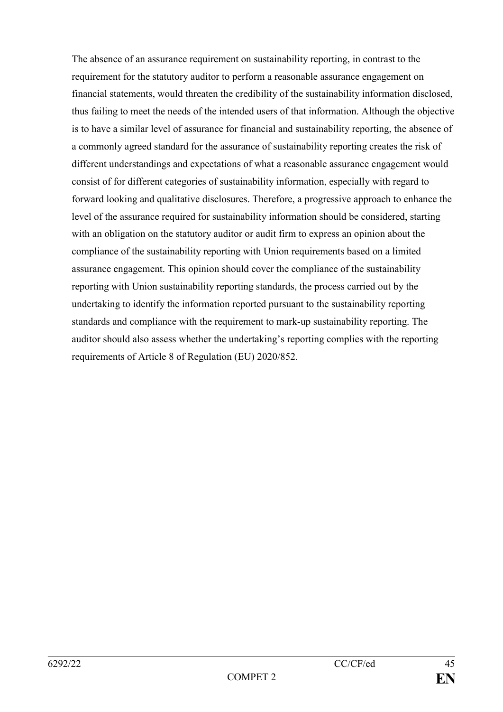The absence of an assurance requirement on sustainability reporting, in contrast to the requirement for the statutory auditor to perform a reasonable assurance engagement on financial statements, would threaten the credibility of the sustainability information disclosed, thus failing to meet the needs of the intended users of that information. Although the objective is to have a similar level of assurance for financial and sustainability reporting, the absence of a commonly agreed standard for the assurance of sustainability reporting creates the risk of different understandings and expectations of what a reasonable assurance engagement would consist of for different categories of sustainability information, especially with regard to forward looking and qualitative disclosures. Therefore, a progressive approach to enhance the level of the assurance required for sustainability information should be considered, starting with an obligation on the statutory auditor or audit firm to express an opinion about the compliance of the sustainability reporting with Union requirements based on a limited assurance engagement. This opinion should cover the compliance of the sustainability reporting with Union sustainability reporting standards, the process carried out by the undertaking to identify the information reported pursuant to the sustainability reporting standards and compliance with the requirement to mark-up sustainability reporting. The auditor should also assess whether the undertaking's reporting complies with the reporting requirements of Article 8 of Regulation (EU) 2020/852.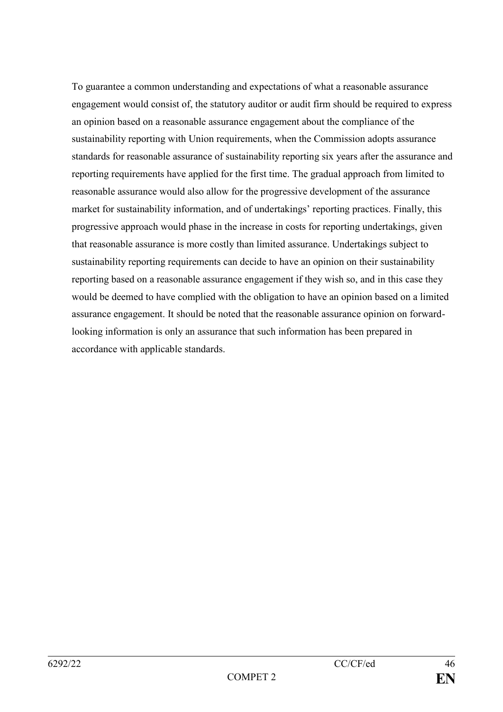To guarantee a common understanding and expectations of what a reasonable assurance engagement would consist of, the statutory auditor or audit firm should be required to express an opinion based on a reasonable assurance engagement about the compliance of the sustainability reporting with Union requirements, when the Commission adopts assurance standards for reasonable assurance of sustainability reporting six years after the assurance and reporting requirements have applied for the first time. The gradual approach from limited to reasonable assurance would also allow for the progressive development of the assurance market for sustainability information, and of undertakings' reporting practices. Finally, this progressive approach would phase in the increase in costs for reporting undertakings, given that reasonable assurance is more costly than limited assurance. Undertakings subject to sustainability reporting requirements can decide to have an opinion on their sustainability reporting based on a reasonable assurance engagement if they wish so, and in this case they would be deemed to have complied with the obligation to have an opinion based on a limited assurance engagement. It should be noted that the reasonable assurance opinion on forwardlooking information is only an assurance that such information has been prepared in accordance with applicable standards.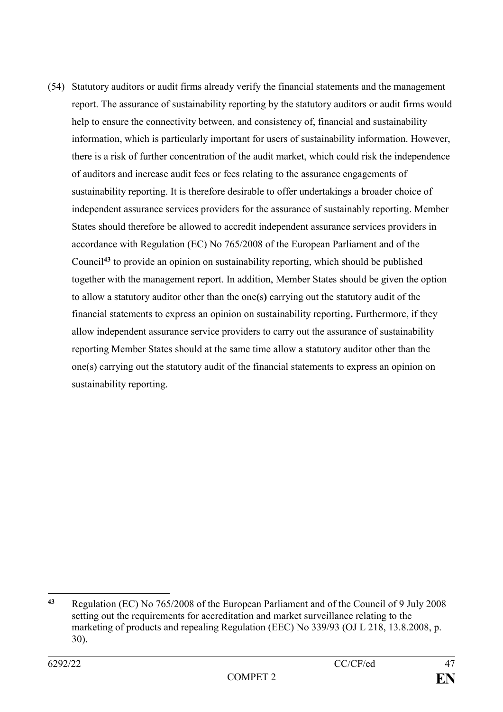(54) Statutory auditors or audit firms already verify the financial statements and the management report. The assurance of sustainability reporting by the statutory auditors or audit firms would help to ensure the connectivity between, and consistency of, financial and sustainability information, which is particularly important for users of sustainability information. However, there is a risk of further concentration of the audit market, which could risk the independence of auditors and increase audit fees or fees relating to the assurance engagements of sustainability reporting. It is therefore desirable to offer undertakings a broader choice of independent assurance services providers for the assurance of sustainably reporting. Member States should therefore be allowed to accredit independent assurance services providers in accordance with Regulation (EC) No 765/2008 of the European Parliament and of the Council**<sup>43</sup>** to provide an opinion on sustainability reporting, which should be published together with the management report. In addition, Member States should be given the option to allow a statutory auditor other than the one**(**s**)** carrying out the statutory audit of the financial statements to express an opinion on sustainability reporting**.** Furthermore, if they allow independent assurance service providers to carry out the assurance of sustainability reporting Member States should at the same time allow a statutory auditor other than the one(s) carrying out the statutory audit of the financial statements to express an opinion on sustainability reporting.

<sup>1</sup> **<sup>43</sup>** Regulation (EC) No 765/2008 of the European Parliament and of the Council of 9 July 2008 setting out the requirements for accreditation and market surveillance relating to the marketing of products and repealing Regulation (EEC) No 339/93 (OJ L 218, 13.8.2008, p. 30).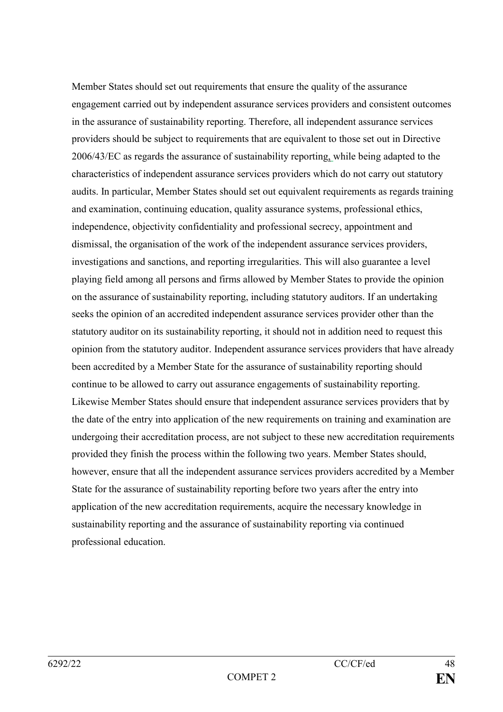Member States should set out requirements that ensure the quality of the assurance engagement carried out by independent assurance services providers and consistent outcomes in the assurance of sustainability reporting. Therefore, all independent assurance services providers should be subject to requirements that are equivalent to those set out in Directive 2006/43/EC as regards the assurance of sustainability reporting, while being adapted to the characteristics of independent assurance services providers which do not carry out statutory audits. In particular, Member States should set out equivalent requirements as regards training and examination, continuing education, quality assurance systems, professional ethics, independence, objectivity confidentiality and professional secrecy, appointment and dismissal, the organisation of the work of the independent assurance services providers, investigations and sanctions, and reporting irregularities. This will also guarantee a level playing field among all persons and firms allowed by Member States to provide the opinion on the assurance of sustainability reporting, including statutory auditors. If an undertaking seeks the opinion of an accredited independent assurance services provider other than the statutory auditor on its sustainability reporting, it should not in addition need to request this opinion from the statutory auditor. Independent assurance services providers that have already been accredited by a Member State for the assurance of sustainability reporting should continue to be allowed to carry out assurance engagements of sustainability reporting. Likewise Member States should ensure that independent assurance services providers that by the date of the entry into application of the new requirements on training and examination are undergoing their accreditation process, are not subject to these new accreditation requirements provided they finish the process within the following two years. Member States should, however, ensure that all the independent assurance services providers accredited by a Member State for the assurance of sustainability reporting before two years after the entry into application of the new accreditation requirements, acquire the necessary knowledge in sustainability reporting and the assurance of sustainability reporting via continued professional education.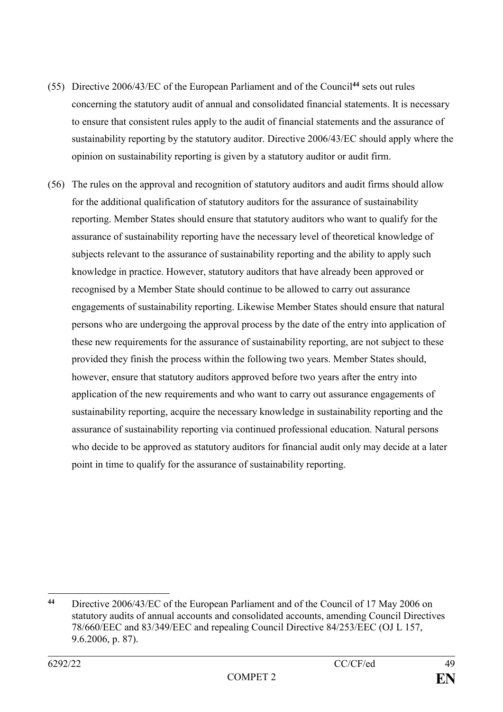- (55) Directive 2006/43/EC of the European Parliament and of the Council**<sup>44</sup>** sets out rules concerning the statutory audit of annual and consolidated financial statements. It is necessary to ensure that consistent rules apply to the audit of financial statements and the assurance of sustainability reporting by the statutory auditor. Directive 2006/43/EC should apply where the opinion on sustainability reporting is given by a statutory auditor or audit firm.
- (56) The rules on the approval and recognition of statutory auditors and audit firms should allow for the additional qualification of statutory auditors for the assurance of sustainability reporting. Member States should ensure that statutory auditors who want to qualify for the assurance of sustainability reporting have the necessary level of theoretical knowledge of subjects relevant to the assurance of sustainability reporting and the ability to apply such knowledge in practice. However, statutory auditors that have already been approved or recognised by a Member State should continue to be allowed to carry out assurance engagements of sustainability reporting. Likewise Member States should ensure that natural persons who are undergoing the approval process by the date of the entry into application of these new requirements for the assurance of sustainability reporting, are not subject to these provided they finish the process within the following two years. Member States should, however, ensure that statutory auditors approved before two years after the entry into application of the new requirements and who want to carry out assurance engagements of sustainability reporting, acquire the necessary knowledge in sustainability reporting and the assurance of sustainability reporting via continued professional education. Natural persons who decide to be approved as statutory auditors for financial audit only may decide at a later point in time to qualify for the assurance of sustainability reporting.

<sup>1</sup> **<sup>44</sup>** Directive 2006/43/EC of the European Parliament and of the Council of 17 May 2006 on statutory audits of annual accounts and consolidated accounts, amending Council Directives 78/660/EEC and 83/349/EEC and repealing Council Directive 84/253/EEC (OJ L 157, 9.6.2006, p. 87).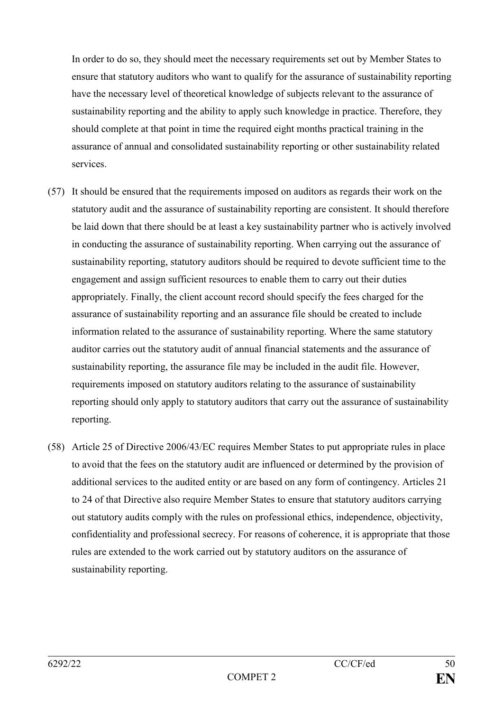In order to do so, they should meet the necessary requirements set out by Member States to ensure that statutory auditors who want to qualify for the assurance of sustainability reporting have the necessary level of theoretical knowledge of subjects relevant to the assurance of sustainability reporting and the ability to apply such knowledge in practice. Therefore, they should complete at that point in time the required eight months practical training in the assurance of annual and consolidated sustainability reporting or other sustainability related services.

- (57) It should be ensured that the requirements imposed on auditors as regards their work on the statutory audit and the assurance of sustainability reporting are consistent. It should therefore be laid down that there should be at least a key sustainability partner who is actively involved in conducting the assurance of sustainability reporting. When carrying out the assurance of sustainability reporting, statutory auditors should be required to devote sufficient time to the engagement and assign sufficient resources to enable them to carry out their duties appropriately. Finally, the client account record should specify the fees charged for the assurance of sustainability reporting and an assurance file should be created to include information related to the assurance of sustainability reporting. Where the same statutory auditor carries out the statutory audit of annual financial statements and the assurance of sustainability reporting, the assurance file may be included in the audit file. However, requirements imposed on statutory auditors relating to the assurance of sustainability reporting should only apply to statutory auditors that carry out the assurance of sustainability reporting.
- (58) Article 25 of Directive 2006/43/EC requires Member States to put appropriate rules in place to avoid that the fees on the statutory audit are influenced or determined by the provision of additional services to the audited entity or are based on any form of contingency. Articles 21 to 24 of that Directive also require Member States to ensure that statutory auditors carrying out statutory audits comply with the rules on professional ethics, independence, objectivity, confidentiality and professional secrecy. For reasons of coherence, it is appropriate that those rules are extended to the work carried out by statutory auditors on the assurance of sustainability reporting.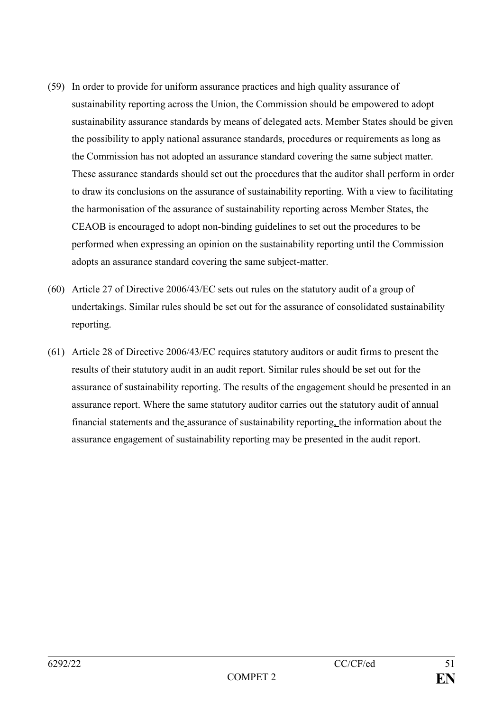- (59) In order to provide for uniform assurance practices and high quality assurance of sustainability reporting across the Union, the Commission should be empowered to adopt sustainability assurance standards by means of delegated acts. Member States should be given the possibility to apply national assurance standards, procedures or requirements as long as the Commission has not adopted an assurance standard covering the same subject matter. These assurance standards should set out the procedures that the auditor shall perform in order to draw its conclusions on the assurance of sustainability reporting. With a view to facilitating the harmonisation of the assurance of sustainability reporting across Member States, the CEAOB is encouraged to adopt non-binding guidelines to set out the procedures to be performed when expressing an opinion on the sustainability reporting until the Commission adopts an assurance standard covering the same subject-matter.
- (60) Article 27 of Directive 2006/43/EC sets out rules on the statutory audit of a group of undertakings. Similar rules should be set out for the assurance of consolidated sustainability reporting.
- (61) Article 28 of Directive 2006/43/EC requires statutory auditors or audit firms to present the results of their statutory audit in an audit report. Similar rules should be set out for the assurance of sustainability reporting. The results of the engagement should be presented in an assurance report. Where the same statutory auditor carries out the statutory audit of annual financial statements and the assurance of sustainability reporting, the information about the assurance engagement of sustainability reporting may be presented in the audit report.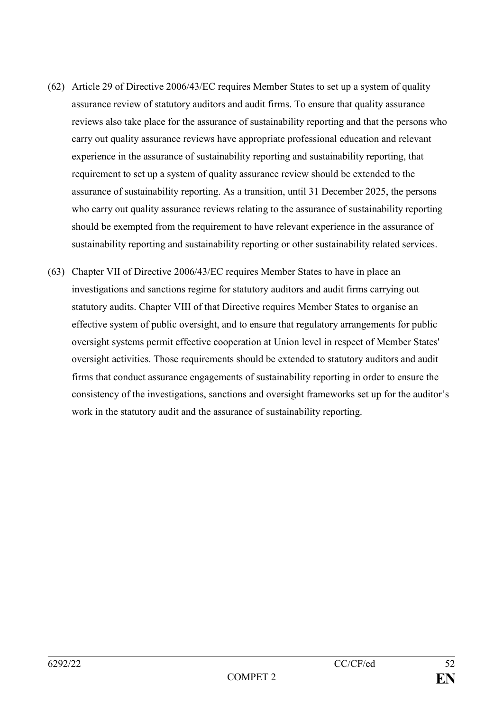- (62) Article 29 of Directive 2006/43/EC requires Member States to set up a system of quality assurance review of statutory auditors and audit firms. To ensure that quality assurance reviews also take place for the assurance of sustainability reporting and that the persons who carry out quality assurance reviews have appropriate professional education and relevant experience in the assurance of sustainability reporting and sustainability reporting, that requirement to set up a system of quality assurance review should be extended to the assurance of sustainability reporting. As a transition, until 31 December 2025, the persons who carry out quality assurance reviews relating to the assurance of sustainability reporting should be exempted from the requirement to have relevant experience in the assurance of sustainability reporting and sustainability reporting or other sustainability related services.
- (63) Chapter VII of Directive 2006/43/EC requires Member States to have in place an investigations and sanctions regime for statutory auditors and audit firms carrying out statutory audits. Chapter VIII of that Directive requires Member States to organise an effective system of public oversight, and to ensure that regulatory arrangements for public oversight systems permit effective cooperation at Union level in respect of Member States' oversight activities. Those requirements should be extended to statutory auditors and audit firms that conduct assurance engagements of sustainability reporting in order to ensure the consistency of the investigations, sanctions and oversight frameworks set up for the auditor's work in the statutory audit and the assurance of sustainability reporting.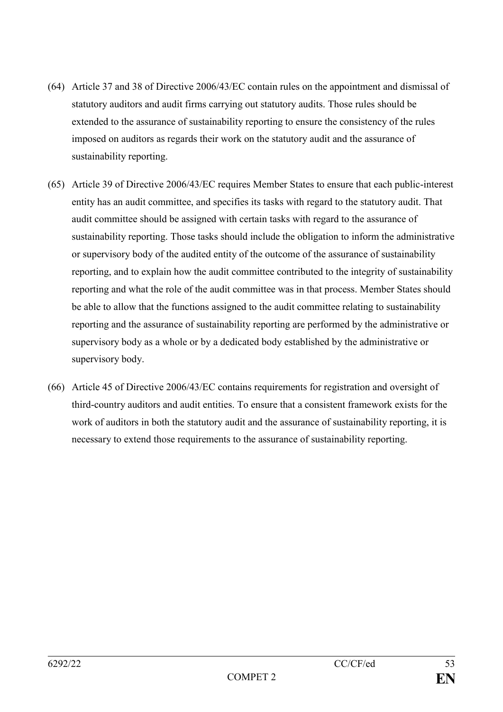- (64) Article 37 and 38 of Directive 2006/43/EC contain rules on the appointment and dismissal of statutory auditors and audit firms carrying out statutory audits. Those rules should be extended to the assurance of sustainability reporting to ensure the consistency of the rules imposed on auditors as regards their work on the statutory audit and the assurance of sustainability reporting.
- (65) Article 39 of Directive 2006/43/EC requires Member States to ensure that each public-interest entity has an audit committee, and specifies its tasks with regard to the statutory audit. That audit committee should be assigned with certain tasks with regard to the assurance of sustainability reporting. Those tasks should include the obligation to inform the administrative or supervisory body of the audited entity of the outcome of the assurance of sustainability reporting, and to explain how the audit committee contributed to the integrity of sustainability reporting and what the role of the audit committee was in that process. Member States should be able to allow that the functions assigned to the audit committee relating to sustainability reporting and the assurance of sustainability reporting are performed by the administrative or supervisory body as a whole or by a dedicated body established by the administrative or supervisory body.
- (66) Article 45 of Directive 2006/43/EC contains requirements for registration and oversight of third-country auditors and audit entities. To ensure that a consistent framework exists for the work of auditors in both the statutory audit and the assurance of sustainability reporting, it is necessary to extend those requirements to the assurance of sustainability reporting.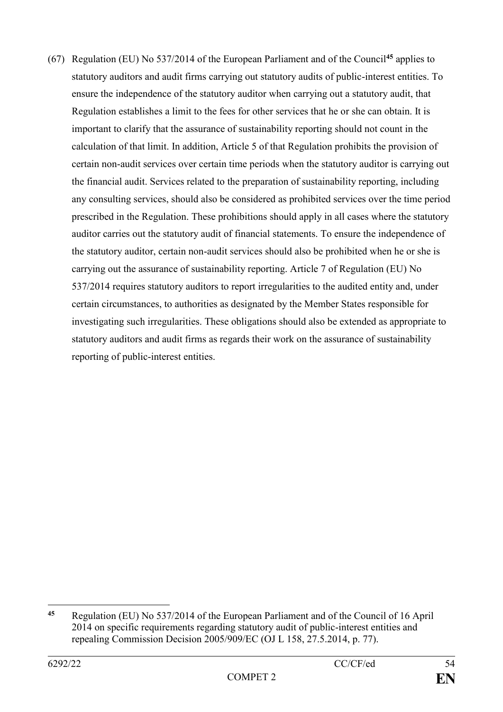(67) Regulation (EU) No 537/2014 of the European Parliament and of the Council**<sup>45</sup>** applies to statutory auditors and audit firms carrying out statutory audits of public-interest entities. To ensure the independence of the statutory auditor when carrying out a statutory audit, that Regulation establishes a limit to the fees for other services that he or she can obtain. It is important to clarify that the assurance of sustainability reporting should not count in the calculation of that limit. In addition, Article 5 of that Regulation prohibits the provision of certain non-audit services over certain time periods when the statutory auditor is carrying out the financial audit. Services related to the preparation of sustainability reporting, including any consulting services, should also be considered as prohibited services over the time period prescribed in the Regulation. These prohibitions should apply in all cases where the statutory auditor carries out the statutory audit of financial statements. To ensure the independence of the statutory auditor, certain non-audit services should also be prohibited when he or she is carrying out the assurance of sustainability reporting. Article 7 of Regulation (EU) No 537/2014 requires statutory auditors to report irregularities to the audited entity and, under certain circumstances, to authorities as designated by the Member States responsible for investigating such irregularities. These obligations should also be extended as appropriate to statutory auditors and audit firms as regards their work on the assurance of sustainability reporting of public-interest entities.

1

**<sup>45</sup>** Regulation (EU) No 537/2014 of the European Parliament and of the Council of 16 April 2014 on specific requirements regarding statutory audit of public-interest entities and repealing Commission Decision 2005/909/EC (OJ L 158, 27.5.2014, p. 77).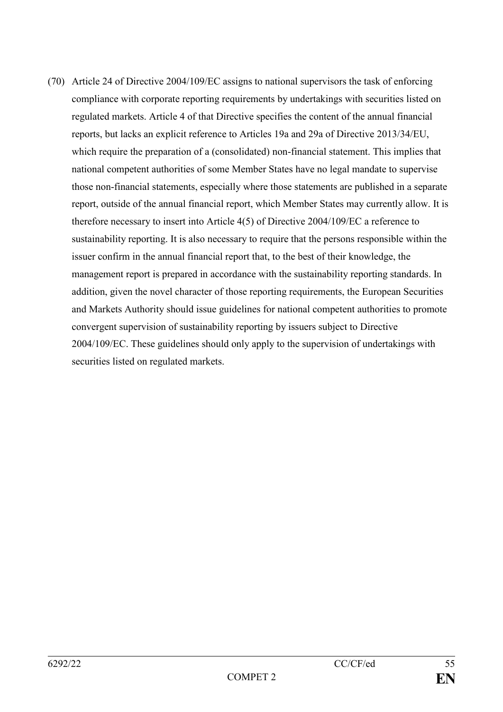(70) Article 24 of Directive 2004/109/EC assigns to national supervisors the task of enforcing compliance with corporate reporting requirements by undertakings with securities listed on regulated markets. Article 4 of that Directive specifies the content of the annual financial reports, but lacks an explicit reference to Articles 19a and 29a of Directive 2013/34/EU, which require the preparation of a (consolidated) non-financial statement. This implies that national competent authorities of some Member States have no legal mandate to supervise those non-financial statements, especially where those statements are published in a separate report, outside of the annual financial report, which Member States may currently allow. It is therefore necessary to insert into Article 4(5) of Directive 2004/109/EC a reference to sustainability reporting. It is also necessary to require that the persons responsible within the issuer confirm in the annual financial report that, to the best of their knowledge, the management report is prepared in accordance with the sustainability reporting standards. In addition, given the novel character of those reporting requirements, the European Securities and Markets Authority should issue guidelines for national competent authorities to promote convergent supervision of sustainability reporting by issuers subject to Directive 2004/109/EC. These guidelines should only apply to the supervision of undertakings with securities listed on regulated markets.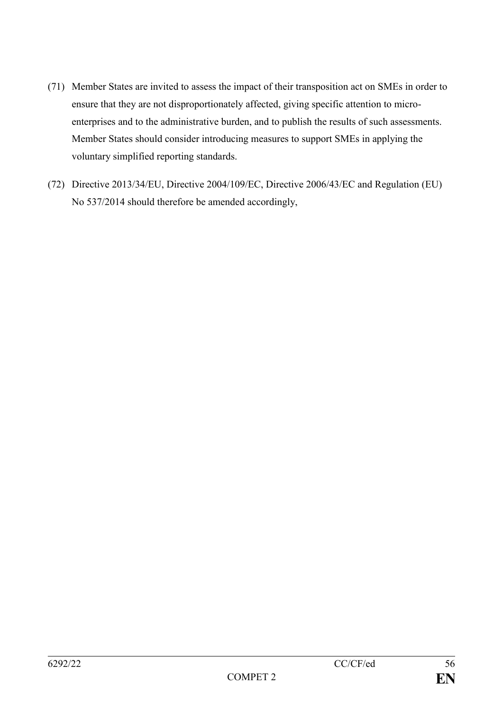- (71) Member States are invited to assess the impact of their transposition act on SMEs in order to ensure that they are not disproportionately affected, giving specific attention to microenterprises and to the administrative burden, and to publish the results of such assessments. Member States should consider introducing measures to support SMEs in applying the voluntary simplified reporting standards.
- (72) Directive 2013/34/EU, Directive 2004/109/EC, Directive 2006/43/EC and Regulation (EU) No 537/2014 should therefore be amended accordingly,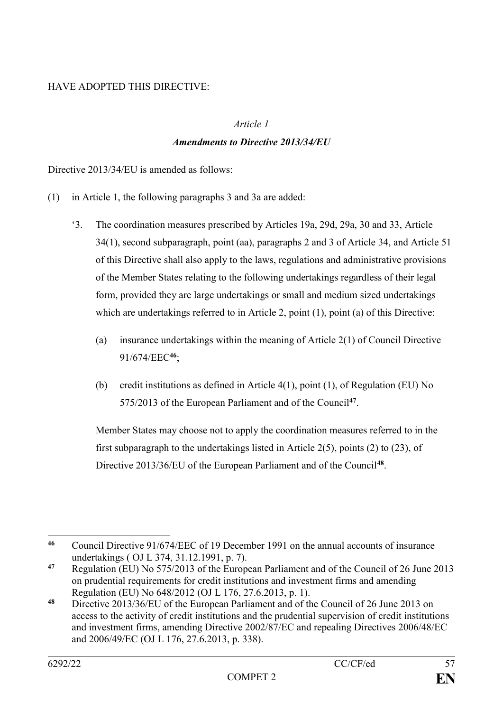# HAVE ADOPTED THIS DIRECTIVE:

## *Article 1*

# *Amendments to Directive 2013/34/EU*

Directive 2013/34/EU is amended as follows:

- (1) in Article 1, the following paragraphs 3 and 3a are added:
	- '3. The coordination measures prescribed by Articles 19a, 29d, 29a, 30 and 33, Article 34(1), second subparagraph, point (aa), paragraphs 2 and 3 of Article 34, and Article 51 of this Directive shall also apply to the laws, regulations and administrative provisions of the Member States relating to the following undertakings regardless of their legal form, provided they are large undertakings or small and medium sized undertakings which are undertakings referred to in Article 2, point (1), point (a) of this Directive:
		- (a) insurance undertakings within the meaning of Article 2(1) of Council Directive 91/674/EEC**<sup>46</sup>**;
		- (b) credit institutions as defined in Article 4(1), point (1), of Regulation (EU) No 575/2013 of the European Parliament and of the Council**<sup>47</sup>** .

Member States may choose not to apply the coordination measures referred to in the first subparagraph to the undertakings listed in Article 2(5), points (2) to (23), of Directive 2013/36/EU of the European Parliament and of the Council**<sup>48</sup>** .

<sup>1</sup> **<sup>46</sup>** Council Directive 91/674/EEC of 19 December 1991 on the annual accounts of insurance undertakings ( OJ L 374, 31.12.1991, p. 7).

**<sup>47</sup>** Regulation (EU) No 575/2013 of the European Parliament and of the Council of 26 June 2013 on prudential requirements for credit institutions and investment firms and amending Regulation (EU) No 648/2012 (OJ L 176, 27.6.2013, p. 1).

**<sup>48</sup>** Directive 2013/36/EU of the European Parliament and of the Council of 26 June 2013 on access to the activity of credit institutions and the prudential supervision of credit institutions and investment firms, amending Directive 2002/87/EC and repealing Directives 2006/48/EC and 2006/49/EC (OJ L 176, 27.6.2013, p. 338).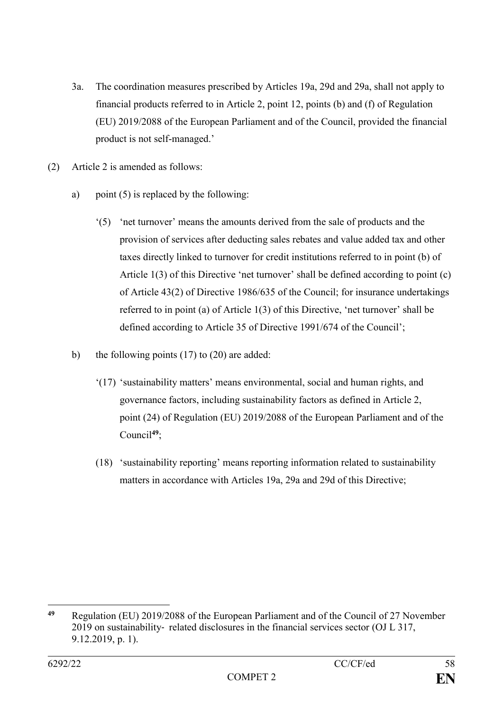- 3a. The coordination measures prescribed by Articles 19a, 29d and 29a, shall not apply to financial products referred to in Article 2, point 12, points (b) and (f) of Regulation (EU) 2019/2088 of the European Parliament and of the Council, provided the financial product is not self-managed.'
- (2) Article 2 is amended as follows:
	- a) point (5) is replaced by the following:
		- '(5) 'net turnover' means the amounts derived from the sale of products and the provision of services after deducting sales rebates and value added tax and other taxes directly linked to turnover for credit institutions referred to in point (b) of Article 1(3) of this Directive 'net turnover' shall be defined according to point (c) of Article 43(2) of Directive 1986/635 of the Council; for insurance undertakings referred to in point (a) of Article 1(3) of this Directive, 'net turnover' shall be defined according to Article 35 of Directive 1991/674 of the Council';
	- b) the following points (17) to (20) are added:
		- '(17) 'sustainability matters' means environmental, social and human rights, and governance factors, including sustainability factors as defined in Article 2, point (24) of Regulation (EU) 2019/2088 of the European Parliament and of the Council**<sup>49</sup>**;
		- (18) 'sustainability reporting' means reporting information related to sustainability matters in accordance with Articles 19a, 29a and 29d of this Directive;

<sup>1</sup> **<sup>49</sup>** Regulation (EU) 2019/2088 of the European Parliament and of the Council of 27 November 2019 on sustainability‐ related disclosures in the financial services sector (OJ L 317, 9.12.2019, p. 1).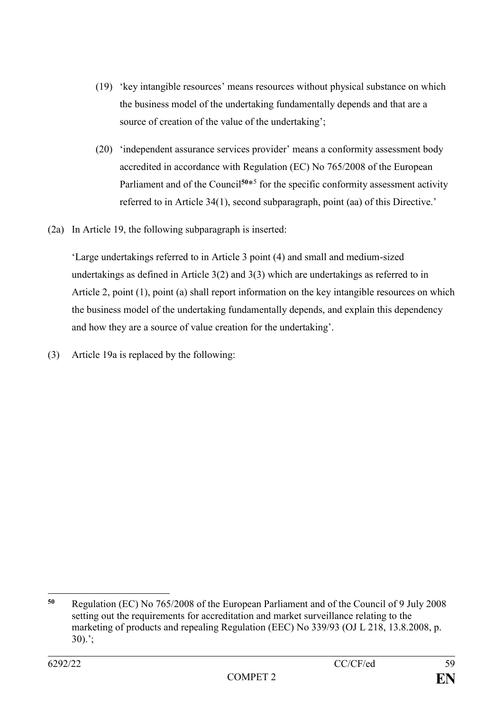- (19) 'key intangible resources' means resources without physical substance on which the business model of the undertaking fundamentally depends and that are a source of creation of the value of the undertaking';
- (20) 'independent assurance services provider' means a conformity assessment body accredited in accordance with Regulation (EC) No 765/2008 of the European Parliament and of the Council<sup>50\*5</sup> for the specific conformity assessment activity referred to in Article 34(1), second subparagraph, point (aa) of this Directive.'
- (2a) In Article 19, the following subparagraph is inserted:

'Large undertakings referred to in Article 3 point (4) and small and medium-sized undertakings as defined in Article 3(2) and 3(3) which are undertakings as referred to in Article 2, point (1), point (a) shall report information on the key intangible resources on which the business model of the undertaking fundamentally depends, and explain this dependency and how they are a source of value creation for the undertaking'.

(3) Article 19a is replaced by the following:

<sup>1</sup> **<sup>50</sup>** Regulation (EC) No 765/2008 of the European Parliament and of the Council of 9 July 2008 setting out the requirements for accreditation and market surveillance relating to the marketing of products and repealing Regulation (EEC) No 339/93 (OJ L 218, 13.8.2008, p. 30).';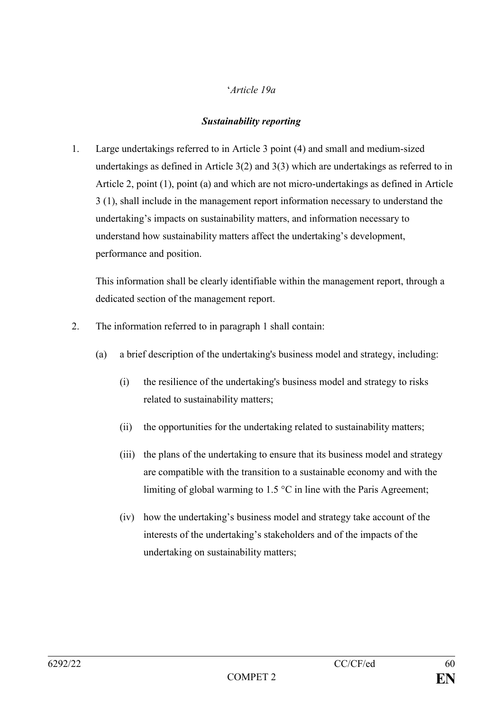# '*Article 19a*

## *Sustainability reporting*

1. Large undertakings referred to in Article 3 point (4) and small and medium-sized undertakings as defined in Article 3(2) and 3(3) which are undertakings as referred to in Article 2, point (1), point (a) and which are not micro-undertakings as defined in Article 3 (1), shall include in the management report information necessary to understand the undertaking's impacts on sustainability matters, and information necessary to understand how sustainability matters affect the undertaking's development, performance and position.

This information shall be clearly identifiable within the management report, through a dedicated section of the management report.

- 2. The information referred to in paragraph 1 shall contain:
	- (a) a brief description of the undertaking's business model and strategy, including:
		- (i) the resilience of the undertaking's business model and strategy to risks related to sustainability matters;
		- (ii) the opportunities for the undertaking related to sustainability matters;
		- (iii) the plans of the undertaking to ensure that its business model and strategy are compatible with the transition to a sustainable economy and with the limiting of global warming to 1.5 °C in line with the Paris Agreement;
		- (iv) how the undertaking's business model and strategy take account of the interests of the undertaking's stakeholders and of the impacts of the undertaking on sustainability matters;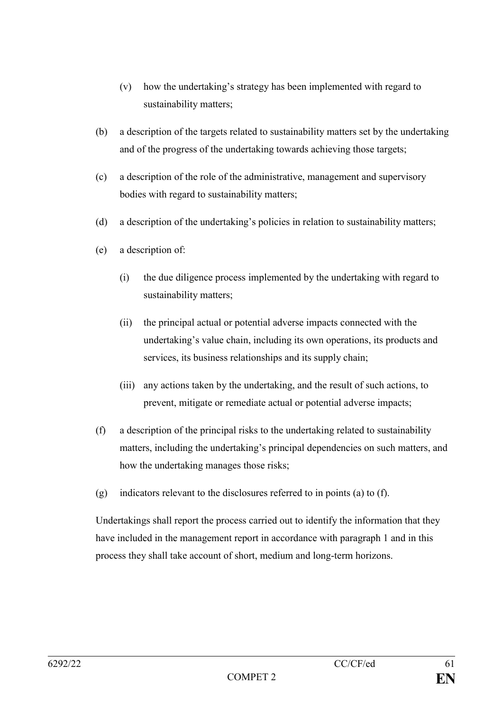- (v) how the undertaking's strategy has been implemented with regard to sustainability matters;
- (b) a description of the targets related to sustainability matters set by the undertaking and of the progress of the undertaking towards achieving those targets;
- (c) a description of the role of the administrative, management and supervisory bodies with regard to sustainability matters;
- (d) a description of the undertaking's policies in relation to sustainability matters;
- (e) a description of:
	- (i) the due diligence process implemented by the undertaking with regard to sustainability matters;
	- (ii) the principal actual or potential adverse impacts connected with the undertaking's value chain, including its own operations, its products and services, its business relationships and its supply chain;
	- (iii) any actions taken by the undertaking, and the result of such actions, to prevent, mitigate or remediate actual or potential adverse impacts;
- (f) a description of the principal risks to the undertaking related to sustainability matters, including the undertaking's principal dependencies on such matters, and how the undertaking manages those risks;
- (g) indicators relevant to the disclosures referred to in points (a) to (f).

Undertakings shall report the process carried out to identify the information that they have included in the management report in accordance with paragraph 1 and in this process they shall take account of short, medium and long-term horizons.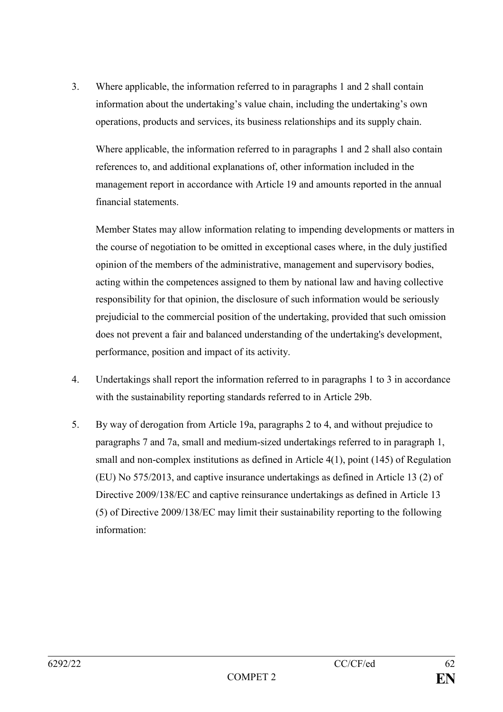3. Where applicable, the information referred to in paragraphs 1 and 2 shall contain information about the undertaking's value chain, including the undertaking's own operations, products and services, its business relationships and its supply chain.

Where applicable, the information referred to in paragraphs 1 and 2 shall also contain references to, and additional explanations of, other information included in the management report in accordance with Article 19 and amounts reported in the annual financial statements.

Member States may allow information relating to impending developments or matters in the course of negotiation to be omitted in exceptional cases where, in the duly justified opinion of the members of the administrative, management and supervisory bodies, acting within the competences assigned to them by national law and having collective responsibility for that opinion, the disclosure of such information would be seriously prejudicial to the commercial position of the undertaking, provided that such omission does not prevent a fair and balanced understanding of the undertaking's development, performance, position and impact of its activity.

- 4. Undertakings shall report the information referred to in paragraphs 1 to 3 in accordance with the sustainability reporting standards referred to in Article 29b.
- 5. By way of derogation from Article 19a, paragraphs 2 to 4, and without prejudice to paragraphs 7 and 7a, small and medium-sized undertakings referred to in paragraph 1, small and non-complex institutions as defined in Article 4(1), point (145) of Regulation (EU) No 575/2013, and captive insurance undertakings as defined in Article 13 (2) of Directive 2009/138/EC and captive reinsurance undertakings as defined in Article 13 (5) of Directive 2009/138/EC may limit their sustainability reporting to the following information: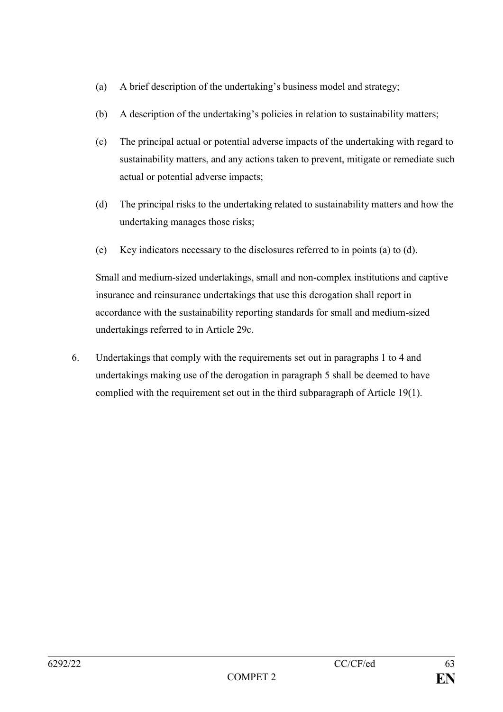- (a) A brief description of the undertaking's business model and strategy;
- (b) A description of the undertaking's policies in relation to sustainability matters;
- (c) The principal actual or potential adverse impacts of the undertaking with regard to sustainability matters, and any actions taken to prevent, mitigate or remediate such actual or potential adverse impacts;
- (d) The principal risks to the undertaking related to sustainability matters and how the undertaking manages those risks;
- (e) Key indicators necessary to the disclosures referred to in points (a) to (d).

Small and medium-sized undertakings, small and non-complex institutions and captive insurance and reinsurance undertakings that use this derogation shall report in accordance with the sustainability reporting standards for small and medium-sized undertakings referred to in Article 29c.

6. Undertakings that comply with the requirements set out in paragraphs 1 to 4 and undertakings making use of the derogation in paragraph 5 shall be deemed to have complied with the requirement set out in the third subparagraph of Article 19(1).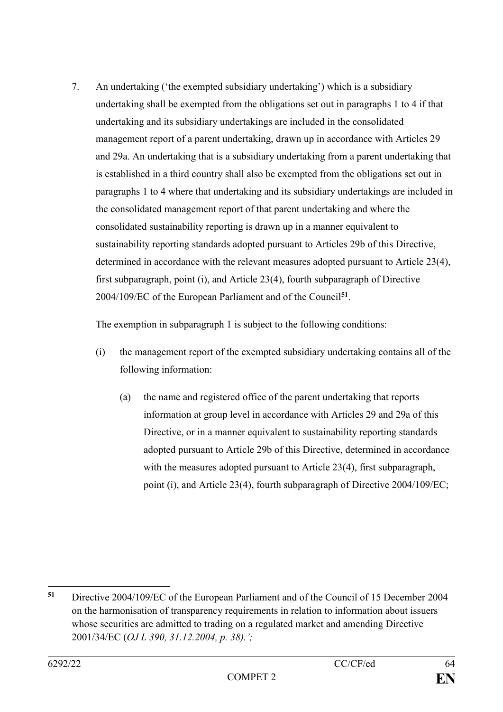7. An undertaking ('the exempted subsidiary undertaking') which is a subsidiary undertaking shall be exempted from the obligations set out in paragraphs 1 to 4 if that undertaking and its subsidiary undertakings are included in the consolidated management report of a parent undertaking, drawn up in accordance with Articles 29 and 29a. An undertaking that is a subsidiary undertaking from a parent undertaking that is established in a third country shall also be exempted from the obligations set out in paragraphs 1 to 4 where that undertaking and its subsidiary undertakings are included in the consolidated management report of that parent undertaking and where the consolidated sustainability reporting is drawn up in a manner equivalent to sustainability reporting standards adopted pursuant to Articles 29b of this Directive, determined in accordance with the relevant measures adopted pursuant to Article 23(4), first subparagraph, point (i), and Article 23(4), fourth subparagraph of Directive 2004/109/EC of the European Parliament and of the Council**<sup>51</sup>** .

The exemption in subparagraph 1 is subject to the following conditions:

- (i) the management report of the exempted subsidiary undertaking contains all of the following information:
	- (a) the name and registered office of the parent undertaking that reports information at group level in accordance with Articles 29 and 29a of this Directive, or in a manner equivalent to sustainability reporting standards adopted pursuant to Article 29b of this Directive, determined in accordance with the measures adopted pursuant to Article 23(4), first subparagraph, point (i), and Article 23(4), fourth subparagraph of Directive 2004/109/EC;

<sup>1</sup> **<sup>51</sup>** Directive 2004/109/EC of the European Parliament and of the Council of 15 December 2004 on the harmonisation of transparency requirements in relation to information about issuers whose securities are admitted to trading on a regulated market and amending Directive 2001/34/EC (*OJ L 390, 31.12.2004, p. 38).';*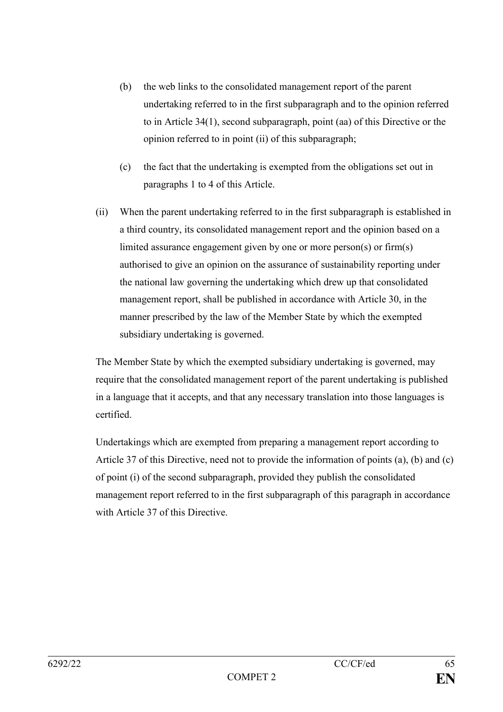- (b) the web links to the consolidated management report of the parent undertaking referred to in the first subparagraph and to the opinion referred to in Article 34(1), second subparagraph, point (aa) of this Directive or the opinion referred to in point (ii) of this subparagraph;
- (c) the fact that the undertaking is exempted from the obligations set out in paragraphs 1 to 4 of this Article.
- (ii) When the parent undertaking referred to in the first subparagraph is established in a third country, its consolidated management report and the opinion based on a limited assurance engagement given by one or more person(s) or firm(s) authorised to give an opinion on the assurance of sustainability reporting under the national law governing the undertaking which drew up that consolidated management report, shall be published in accordance with Article 30, in the manner prescribed by the law of the Member State by which the exempted subsidiary undertaking is governed.

The Member State by which the exempted subsidiary undertaking is governed, may require that the consolidated management report of the parent undertaking is published in a language that it accepts, and that any necessary translation into those languages is certified.

Undertakings which are exempted from preparing a management report according to Article 37 of this Directive, need not to provide the information of points (a), (b) and (c) of point (i) of the second subparagraph, provided they publish the consolidated management report referred to in the first subparagraph of this paragraph in accordance with Article 37 of this Directive.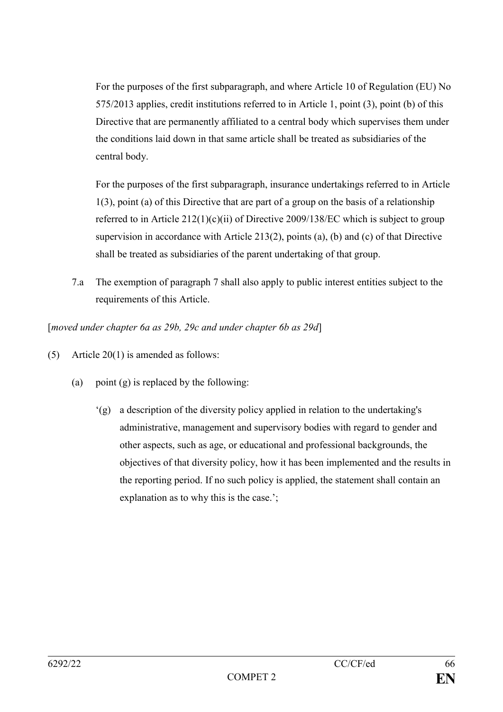For the purposes of the first subparagraph, and where Article 10 of Regulation (EU) No 575/2013 applies, credit institutions referred to in Article 1, point (3), point (b) of this Directive that are permanently affiliated to a central body which supervises them under the conditions laid down in that same article shall be treated as subsidiaries of the central body.

For the purposes of the first subparagraph, insurance undertakings referred to in Article 1(3), point (a) of this Directive that are part of a group on the basis of a relationship referred to in Article 212(1)(c)(ii) of Directive 2009/138/EC which is subject to group supervision in accordance with Article 213(2), points (a), (b) and (c) of that Directive shall be treated as subsidiaries of the parent undertaking of that group.

7.a The exemption of paragraph 7 shall also apply to public interest entities subject to the requirements of this Article.

[*moved under chapter 6a as 29b, 29c and under chapter 6b as 29d*]

- (5) Article 20(1) is amended as follows:
	- (a) point (g) is replaced by the following:
		- '(g) a description of the diversity policy applied in relation to the undertaking's administrative, management and supervisory bodies with regard to gender and other aspects, such as age, or educational and professional backgrounds, the objectives of that diversity policy, how it has been implemented and the results in the reporting period. If no such policy is applied, the statement shall contain an explanation as to why this is the case.';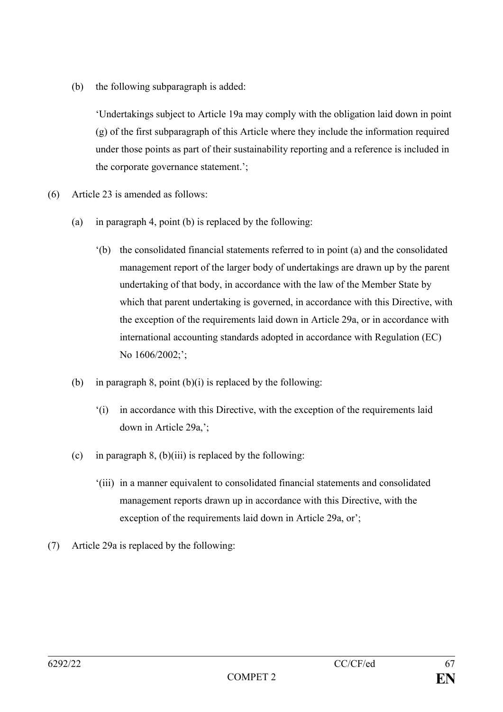(b) the following subparagraph is added:

'Undertakings subject to Article 19a may comply with the obligation laid down in point (g) of the first subparagraph of this Article where they include the information required under those points as part of their sustainability reporting and a reference is included in the corporate governance statement.';

- (6) Article 23 is amended as follows:
	- (a) in paragraph 4, point (b) is replaced by the following:
		- '(b) the consolidated financial statements referred to in point (a) and the consolidated management report of the larger body of undertakings are drawn up by the parent undertaking of that body, in accordance with the law of the Member State by which that parent undertaking is governed, in accordance with this Directive, with the exception of the requirements laid down in Article 29a, or in accordance with international accounting standards adopted in accordance with Regulation (EC) No  $1606/2002$ ;';
	- (b) in paragraph 8, point  $(b)(i)$  is replaced by the following:
		- '(i) in accordance with this Directive, with the exception of the requirements laid down in Article 29a,';
	- (c) in paragraph 8, (b)(iii) is replaced by the following:
		- '(iii) in a manner equivalent to consolidated financial statements and consolidated management reports drawn up in accordance with this Directive, with the exception of the requirements laid down in Article 29a, or';
- (7) Article 29a is replaced by the following: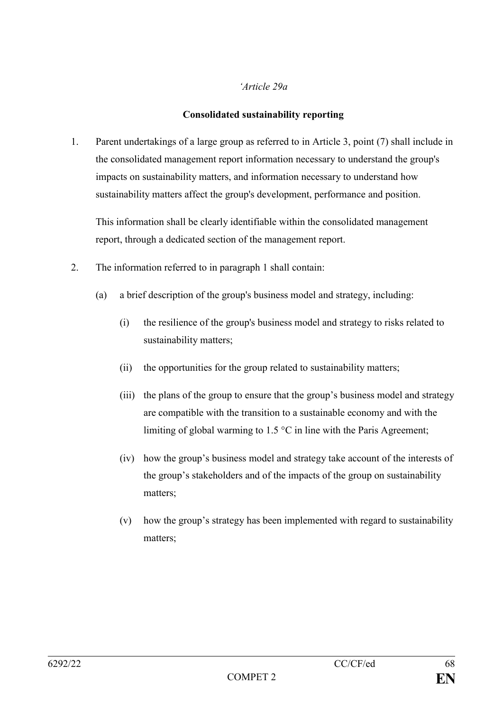#### *'Article 29a*

### **Consolidated sustainability reporting**

1. Parent undertakings of a large group as referred to in Article 3, point (7) shall include in the consolidated management report information necessary to understand the group's impacts on sustainability matters, and information necessary to understand how sustainability matters affect the group's development, performance and position.

This information shall be clearly identifiable within the consolidated management report, through a dedicated section of the management report.

- 2. The information referred to in paragraph 1 shall contain:
	- (a) a brief description of the group's business model and strategy, including:
		- (i) the resilience of the group's business model and strategy to risks related to sustainability matters;
		- (ii) the opportunities for the group related to sustainability matters;
		- (iii) the plans of the group to ensure that the group's business model and strategy are compatible with the transition to a sustainable economy and with the limiting of global warming to 1.5 °C in line with the Paris Agreement;
		- (iv) how the group's business model and strategy take account of the interests of the group's stakeholders and of the impacts of the group on sustainability matters;
		- (v) how the group's strategy has been implemented with regard to sustainability matters;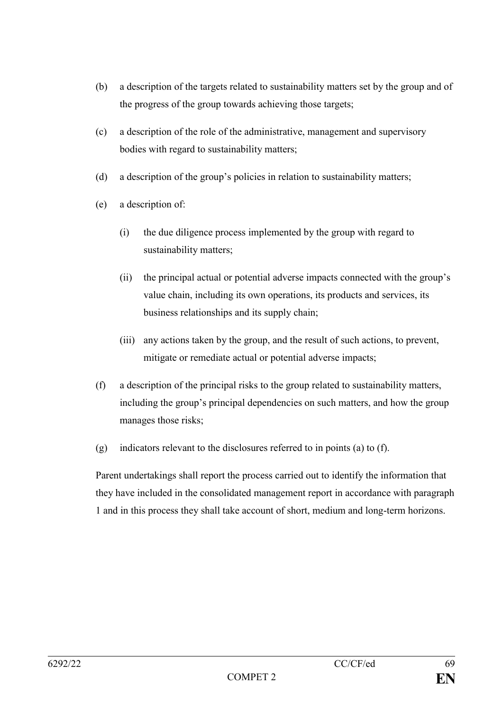- (b) a description of the targets related to sustainability matters set by the group and of the progress of the group towards achieving those targets;
- (c) a description of the role of the administrative, management and supervisory bodies with regard to sustainability matters;
- (d) a description of the group's policies in relation to sustainability matters;
- (e) a description of:
	- (i) the due diligence process implemented by the group with regard to sustainability matters;
	- (ii) the principal actual or potential adverse impacts connected with the group's value chain, including its own operations, its products and services, its business relationships and its supply chain;
	- (iii) any actions taken by the group, and the result of such actions, to prevent, mitigate or remediate actual or potential adverse impacts;
- (f) a description of the principal risks to the group related to sustainability matters, including the group's principal dependencies on such matters, and how the group manages those risks;
- (g) indicators relevant to the disclosures referred to in points (a) to (f).

Parent undertakings shall report the process carried out to identify the information that they have included in the consolidated management report in accordance with paragraph 1 and in this process they shall take account of short, medium and long-term horizons.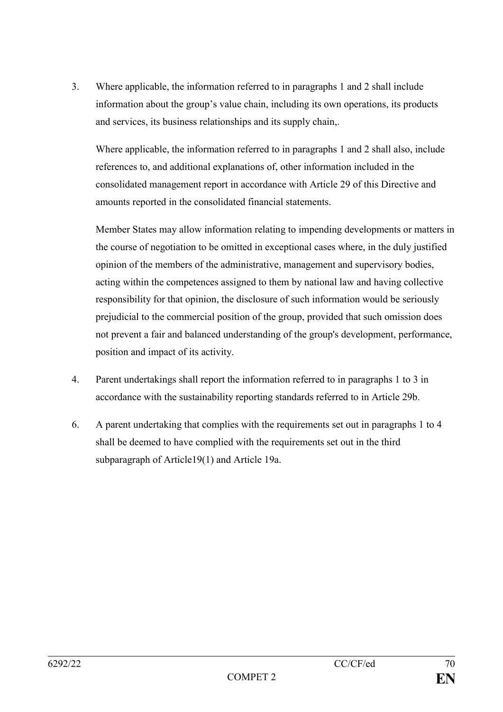3. Where applicable, the information referred to in paragraphs 1 and 2 shall include information about the group's value chain, including its own operations, its products and services, its business relationships and its supply chain,.

Where applicable, the information referred to in paragraphs 1 and 2 shall also, include references to, and additional explanations of, other information included in the consolidated management report in accordance with Article 29 of this Directive and amounts reported in the consolidated financial statements.

Member States may allow information relating to impending developments or matters in the course of negotiation to be omitted in exceptional cases where, in the duly justified opinion of the members of the administrative, management and supervisory bodies, acting within the competences assigned to them by national law and having collective responsibility for that opinion, the disclosure of such information would be seriously prejudicial to the commercial position of the group, provided that such omission does not prevent a fair and balanced understanding of the group's development, performance, position and impact of its activity.

- 4. Parent undertakings shall report the information referred to in paragraphs 1 to 3 in accordance with the sustainability reporting standards referred to in Article 29b.
- 6. A parent undertaking that complies with the requirements set out in paragraphs 1 to 4 shall be deemed to have complied with the requirements set out in the third subparagraph of Article19(1) and Article 19a.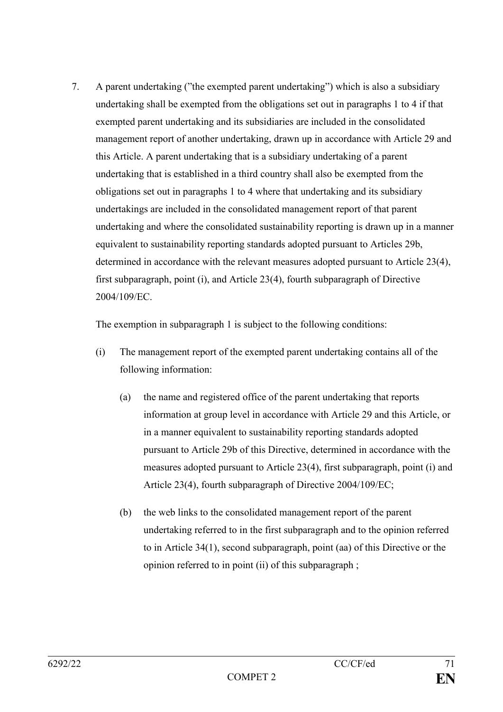7. A parent undertaking ("the exempted parent undertaking") which is also a subsidiary undertaking shall be exempted from the obligations set out in paragraphs 1 to 4 if that exempted parent undertaking and its subsidiaries are included in the consolidated management report of another undertaking, drawn up in accordance with Article 29 and this Article. A parent undertaking that is a subsidiary undertaking of a parent undertaking that is established in a third country shall also be exempted from the obligations set out in paragraphs 1 to 4 where that undertaking and its subsidiary undertakings are included in the consolidated management report of that parent undertaking and where the consolidated sustainability reporting is drawn up in a manner equivalent to sustainability reporting standards adopted pursuant to Articles 29b, determined in accordance with the relevant measures adopted pursuant to Article 23(4), first subparagraph, point (i), and Article 23(4), fourth subparagraph of Directive 2004/109/EC.

The exemption in subparagraph 1 is subject to the following conditions:

- (i) The management report of the exempted parent undertaking contains all of the following information:
	- (a) the name and registered office of the parent undertaking that reports information at group level in accordance with Article 29 and this Article, or in a manner equivalent to sustainability reporting standards adopted pursuant to Article 29b of this Directive, determined in accordance with the measures adopted pursuant to Article 23(4), first subparagraph, point (i) and Article 23(4), fourth subparagraph of Directive 2004/109/EC;
	- (b) the web links to the consolidated management report of the parent undertaking referred to in the first subparagraph and to the opinion referred to in Article 34(1), second subparagraph, point (aa) of this Directive or the opinion referred to in point (ii) of this subparagraph ;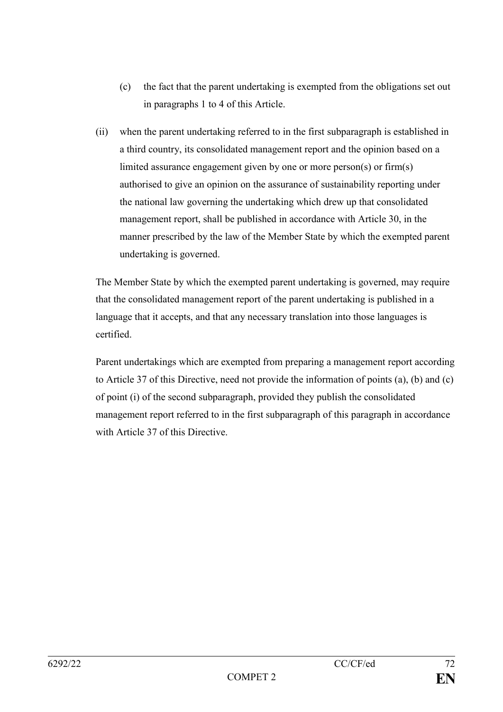- (c) the fact that the parent undertaking is exempted from the obligations set out in paragraphs 1 to 4 of this Article.
- (ii) when the parent undertaking referred to in the first subparagraph is established in a third country, its consolidated management report and the opinion based on a limited assurance engagement given by one or more person(s) or firm(s) authorised to give an opinion on the assurance of sustainability reporting under the national law governing the undertaking which drew up that consolidated management report, shall be published in accordance with Article 30, in the manner prescribed by the law of the Member State by which the exempted parent undertaking is governed.

The Member State by which the exempted parent undertaking is governed, may require that the consolidated management report of the parent undertaking is published in a language that it accepts, and that any necessary translation into those languages is certified.

Parent undertakings which are exempted from preparing a management report according to Article 37 of this Directive, need not provide the information of points (a), (b) and (c) of point (i) of the second subparagraph, provided they publish the consolidated management report referred to in the first subparagraph of this paragraph in accordance with Article 37 of this Directive.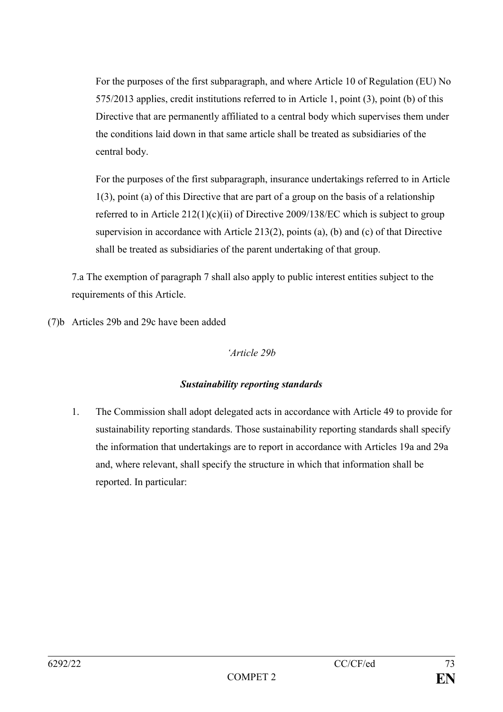For the purposes of the first subparagraph, and where Article 10 of Regulation (EU) No 575/2013 applies, credit institutions referred to in Article 1, point (3), point (b) of this Directive that are permanently affiliated to a central body which supervises them under the conditions laid down in that same article shall be treated as subsidiaries of the central body.

For the purposes of the first subparagraph, insurance undertakings referred to in Article 1(3), point (a) of this Directive that are part of a group on the basis of a relationship referred to in Article  $212(1)(c)(ii)$  of Directive 2009/138/EC which is subject to group supervision in accordance with Article 213(2), points (a), (b) and (c) of that Directive shall be treated as subsidiaries of the parent undertaking of that group.

7.a The exemption of paragraph 7 shall also apply to public interest entities subject to the requirements of this Article.

(7)b Articles 29b and 29c have been added

# *'Article 29b*

# *Sustainability reporting standards*

1. The Commission shall adopt delegated acts in accordance with Article 49 to provide for sustainability reporting standards. Those sustainability reporting standards shall specify the information that undertakings are to report in accordance with Articles 19a and 29a and, where relevant, shall specify the structure in which that information shall be reported. In particular: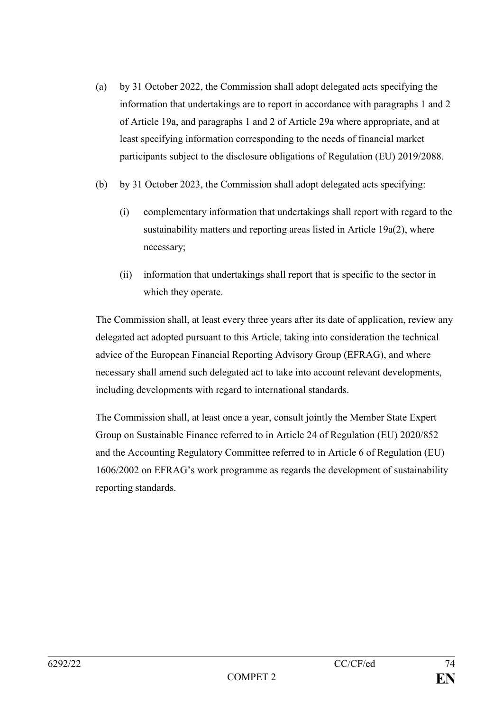- (a) by 31 October 2022, the Commission shall adopt delegated acts specifying the information that undertakings are to report in accordance with paragraphs 1 and 2 of Article 19a, and paragraphs 1 and 2 of Article 29a where appropriate, and at least specifying information corresponding to the needs of financial market participants subject to the disclosure obligations of Regulation (EU) 2019/2088.
- (b) by 31 October 2023, the Commission shall adopt delegated acts specifying:
	- (i) complementary information that undertakings shall report with regard to the sustainability matters and reporting areas listed in Article 19a(2), where necessary;
	- (ii) information that undertakings shall report that is specific to the sector in which they operate.

The Commission shall, at least every three years after its date of application, review any delegated act adopted pursuant to this Article, taking into consideration the technical advice of the European Financial Reporting Advisory Group (EFRAG), and where necessary shall amend such delegated act to take into account relevant developments, including developments with regard to international standards.

The Commission shall, at least once a year, consult jointly the Member State Expert Group on Sustainable Finance referred to in Article 24 of Regulation (EU) 2020/852 and the Accounting Regulatory Committee referred to in Article 6 of Regulation (EU) 1606/2002 on EFRAG's work programme as regards the development of sustainability reporting standards.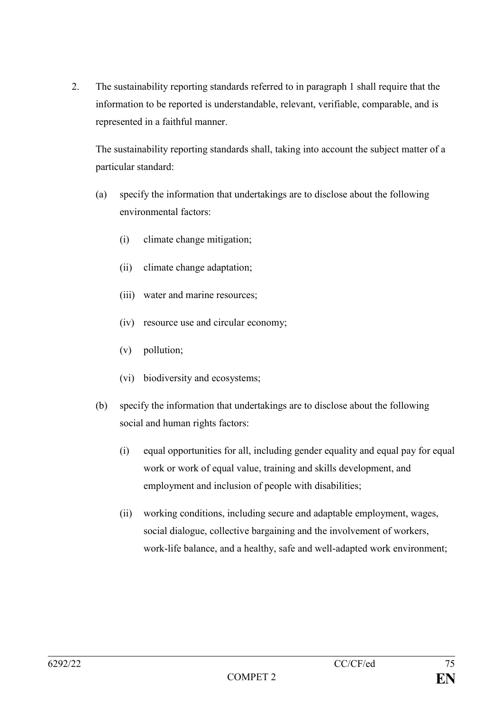2. The sustainability reporting standards referred to in paragraph 1 shall require that the information to be reported is understandable, relevant, verifiable, comparable, and is represented in a faithful manner.

The sustainability reporting standards shall, taking into account the subject matter of a particular standard:

- (a) specify the information that undertakings are to disclose about the following environmental factors:
	- (i) climate change mitigation;
	- (ii) climate change adaptation;
	- (iii) water and marine resources;
	- (iv) resource use and circular economy;
	- (v) pollution;
	- (vi) biodiversity and ecosystems;
- (b) specify the information that undertakings are to disclose about the following social and human rights factors:
	- (i) equal opportunities for all, including gender equality and equal pay for equal work or work of equal value, training and skills development, and employment and inclusion of people with disabilities;
	- (ii) working conditions, including secure and adaptable employment, wages, social dialogue, collective bargaining and the involvement of workers, work-life balance, and a healthy, safe and well-adapted work environment;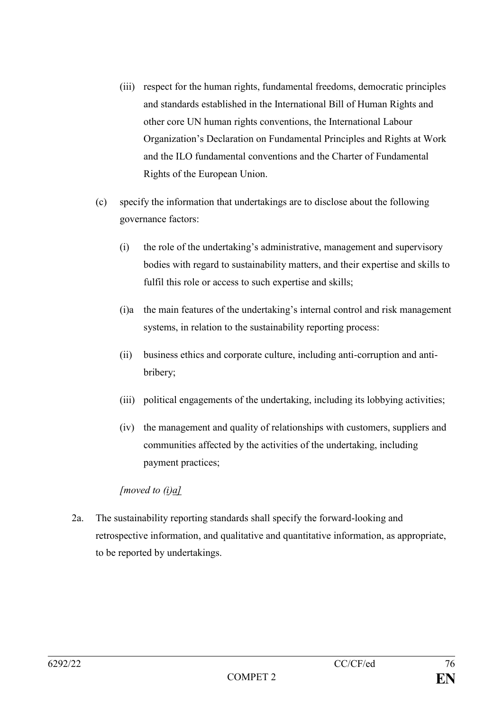- (iii) respect for the human rights, fundamental freedoms, democratic principles and standards established in the International Bill of Human Rights and other core UN human rights conventions, the International Labour Organization's Declaration on Fundamental Principles and Rights at Work and the ILO fundamental conventions and the Charter of Fundamental Rights of the European Union.
- (c) specify the information that undertakings are to disclose about the following governance factors:
	- (i) the role of the undertaking's administrative, management and supervisory bodies with regard to sustainability matters, and their expertise and skills to fulfil this role or access to such expertise and skills;
	- (i)a the main features of the undertaking's internal control and risk management systems, in relation to the sustainability reporting process:
	- (ii) business ethics and corporate culture, including anti-corruption and antibribery;
	- (iii) political engagements of the undertaking, including its lobbying activities;
	- (iv) the management and quality of relationships with customers, suppliers and communities affected by the activities of the undertaking, including payment practices;

*[moved to (i)a]*

2a. The sustainability reporting standards shall specify the forward-looking and retrospective information, and qualitative and quantitative information, as appropriate, to be reported by undertakings.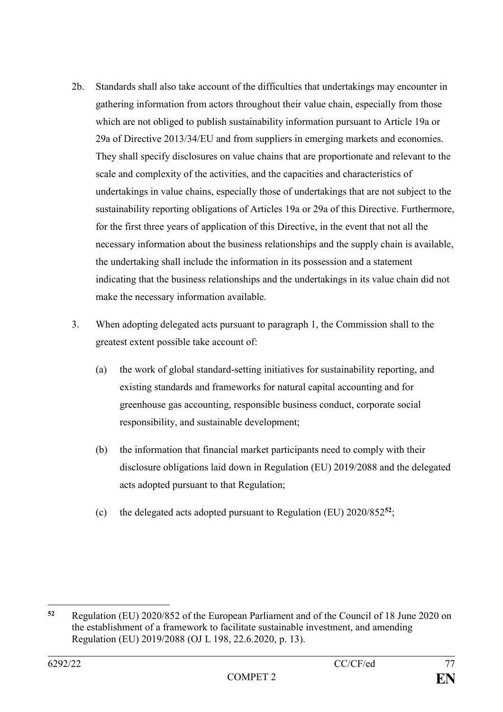- 2b. Standards shall also take account of the difficulties that undertakings may encounter in gathering information from actors throughout their value chain, especially from those which are not obliged to publish sustainability information pursuant to Article 19a or 29a of Directive 2013/34/EU and from suppliers in emerging markets and economies. They shall specify disclosures on value chains that are proportionate and relevant to the scale and complexity of the activities, and the capacities and characteristics of undertakings in value chains, especially those of undertakings that are not subject to the sustainability reporting obligations of Articles 19a or 29a of this Directive. Furthermore, for the first three years of application of this Directive, in the event that not all the necessary information about the business relationships and the supply chain is available, the undertaking shall include the information in its possession and a statement indicating that the business relationships and the undertakings in its value chain did not make the necessary information available.
- 3. When adopting delegated acts pursuant to paragraph 1, the Commission shall to the greatest extent possible take account of:
	- (a) the work of global standard-setting initiatives for sustainability reporting, and existing standards and frameworks for natural capital accounting and for greenhouse gas accounting, responsible business conduct, corporate social responsibility, and sustainable development;
	- (b) the information that financial market participants need to comply with their disclosure obligations laid down in Regulation (EU) 2019/2088 and the delegated acts adopted pursuant to that Regulation;
	- (c) the delegated acts adopted pursuant to Regulation (EU) 2020/852**<sup>52</sup>**;

1

**<sup>52</sup>** Regulation (EU) 2020/852 of the European Parliament and of the Council of 18 June 2020 on the establishment of a framework to facilitate sustainable investment, and amending Regulation (EU) 2019/2088 (OJ L 198, 22.6.2020, p. 13).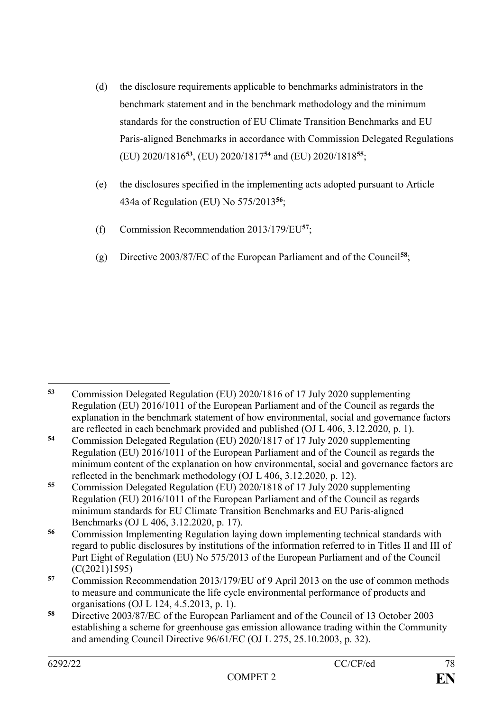- (d) the disclosure requirements applicable to benchmarks administrators in the benchmark statement and in the benchmark methodology and the minimum standards for the construction of EU Climate Transition Benchmarks and EU Paris-aligned Benchmarks in accordance with Commission Delegated Regulations (EU) 2020/1816**<sup>53</sup>**, (EU) 2020/1817**<sup>54</sup>** and (EU) 2020/1818**<sup>55</sup>**;
- (e) the disclosures specified in the implementing acts adopted pursuant to Article 434a of Regulation (EU) No 575/2013**<sup>56</sup>**;
- (f) Commission Recommendation 2013/179/EU**<sup>57</sup>**;
- (g) Directive 2003/87/EC of the European Parliament and of the Council**<sup>58</sup>**;

<sup>&</sup>lt;u>.</u> **<sup>53</sup>** Commission Delegated Regulation (EU) 2020/1816 of 17 July 2020 supplementing Regulation (EU) 2016/1011 of the European Parliament and of the Council as regards the explanation in the benchmark statement of how environmental, social and governance factors are reflected in each benchmark provided and published (OJ L 406, 3.12.2020, p. 1).

**<sup>54</sup>** Commission Delegated Regulation (EU) 2020/1817 of 17 July 2020 supplementing Regulation (EU) 2016/1011 of the European Parliament and of the Council as regards the minimum content of the explanation on how environmental, social and governance factors are reflected in the benchmark methodology (OJ L 406, 3.12.2020, p. 12).

**<sup>55</sup>** Commission Delegated Regulation (EU) 2020/1818 of 17 July 2020 supplementing Regulation (EU) 2016/1011 of the European Parliament and of the Council as regards minimum standards for EU Climate Transition Benchmarks and EU Paris-aligned Benchmarks (OJ L 406, 3.12.2020, p. 17).

**<sup>56</sup>** Commission Implementing Regulation laying down implementing technical standards with regard to public disclosures by institutions of the information referred to in Titles II and III of Part Eight of Regulation (EU) No 575/2013 of the European Parliament and of the Council (C(2021)1595)

**<sup>57</sup>** Commission Recommendation 2013/179/EU of 9 April 2013 on the use of common methods to measure and communicate the life cycle environmental performance of products and organisations (OJ L 124, 4.5.2013, p. 1).

**<sup>58</sup>** Directive 2003/87/EC of the European Parliament and of the Council of 13 October 2003 establishing a scheme for greenhouse gas emission allowance trading within the Community and amending Council Directive 96/61/EC (OJ L 275, 25.10.2003, p. 32).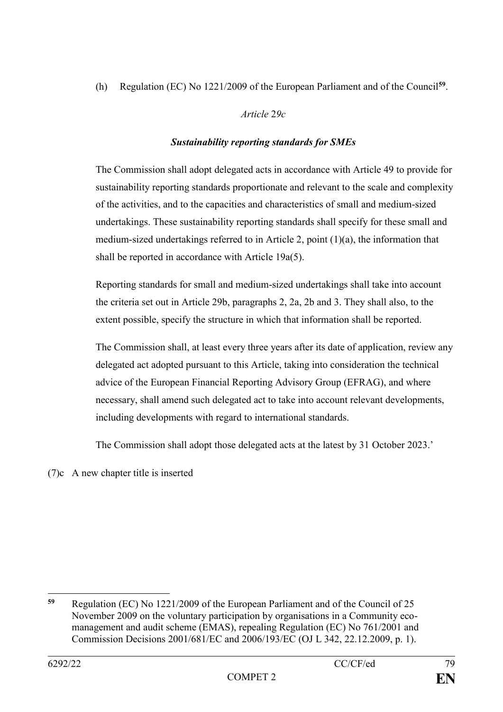(h) Regulation (EC) No 1221/2009 of the European Parliament and of the Council**<sup>59</sup>** .

# *Article* 2*9c*

# *Sustainability reporting standards for SMEs*

The Commission shall adopt delegated acts in accordance with Article 49 to provide for sustainability reporting standards proportionate and relevant to the scale and complexity of the activities, and to the capacities and characteristics of small and medium-sized undertakings. These sustainability reporting standards shall specify for these small and medium-sized undertakings referred to in Article 2, point (1)(a), the information that shall be reported in accordance with Article 19a(5).

Reporting standards for small and medium-sized undertakings shall take into account the criteria set out in Article 29b, paragraphs 2, 2a, 2b and 3. They shall also, to the extent possible, specify the structure in which that information shall be reported.

The Commission shall, at least every three years after its date of application, review any delegated act adopted pursuant to this Article, taking into consideration the technical advice of the European Financial Reporting Advisory Group (EFRAG), and where necessary, shall amend such delegated act to take into account relevant developments, including developments with regard to international standards.

The Commission shall adopt those delegated acts at the latest by 31 October 2023.'

(7)c A new chapter title is inserted

<sup>1</sup> **<sup>59</sup>** Regulation (EC) No 1221/2009 of the European Parliament and of the Council of 25 November 2009 on the voluntary participation by organisations in a Community ecomanagement and audit scheme (EMAS), repealing Regulation (EC) No 761/2001 and Commission Decisions 2001/681/EC and 2006/193/EC (OJ L 342, 22.12.2009, p. 1).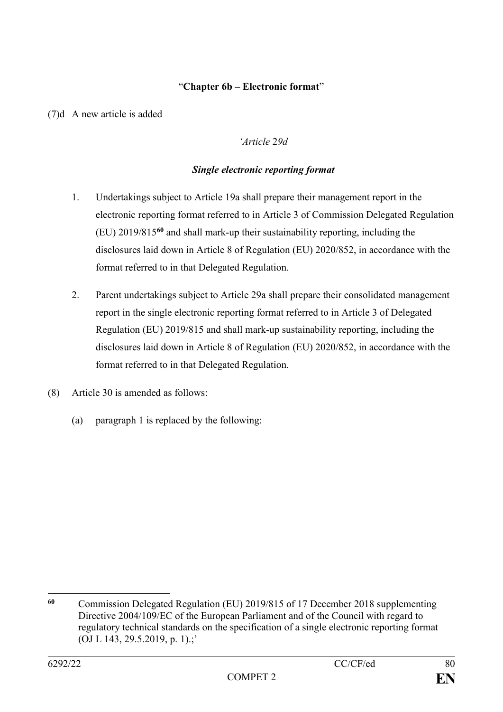## "**Chapter 6b – Electronic format**"

(7)d A new article is added

## *'Article* 2*9d*

## *Single electronic reporting format*

- 1. Undertakings subject to Article 19a shall prepare their management report in the electronic reporting format referred to in Article 3 of Commission Delegated Regulation (EU) 2019/815**<sup>60</sup>** and shall mark-up their sustainability reporting, including the disclosures laid down in Article 8 of Regulation (EU) 2020/852, in accordance with the format referred to in that Delegated Regulation.
- 2. Parent undertakings subject to Article 29a shall prepare their consolidated management report in the single electronic reporting format referred to in Article 3 of Delegated Regulation (EU) 2019/815 and shall mark-up sustainability reporting, including the disclosures laid down in Article 8 of Regulation (EU) 2020/852, in accordance with the format referred to in that Delegated Regulation.
- (8) Article 30 is amended as follows:
	- (a) paragraph 1 is replaced by the following:

<sup>1</sup> **<sup>60</sup>** Commission Delegated Regulation (EU) 2019/815 of 17 December 2018 supplementing Directive 2004/109/EC of the European Parliament and of the Council with regard to regulatory technical standards on the specification of a single electronic reporting format (OJ L 143, 29.5.2019, p. 1).;'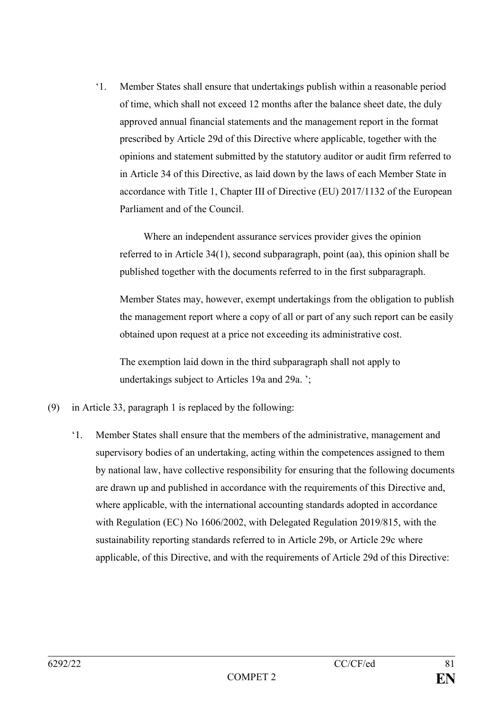'1. Member States shall ensure that undertakings publish within a reasonable period of time, which shall not exceed 12 months after the balance sheet date, the duly approved annual financial statements and the management report in the format prescribed by Article 29d of this Directive where applicable, together with the opinions and statement submitted by the statutory auditor or audit firm referred to in Article 34 of this Directive, as laid down by the laws of each Member State in accordance with Title 1, Chapter III of Directive (EU) 2017/1132 of the European Parliament and of the Council.

Where an independent assurance services provider gives the opinion referred to in Article 34(1), second subparagraph, point (aa), this opinion shall be published together with the documents referred to in the first subparagraph.

Member States may, however, exempt undertakings from the obligation to publish the management report where a copy of all or part of any such report can be easily obtained upon request at a price not exceeding its administrative cost.

The exemption laid down in the third subparagraph shall not apply to undertakings subject to Articles 19a and 29a.  $\cdot$ ;

- (9) in Article 33, paragraph 1 is replaced by the following:
	- '1. Member States shall ensure that the members of the administrative, management and supervisory bodies of an undertaking, acting within the competences assigned to them by national law, have collective responsibility for ensuring that the following documents are drawn up and published in accordance with the requirements of this Directive and, where applicable, with the international accounting standards adopted in accordance with Regulation (EC) No 1606/2002, with Delegated Regulation 2019/815, with the sustainability reporting standards referred to in Article 29b, or Article 29c where applicable, of this Directive, and with the requirements of Article 29d of this Directive: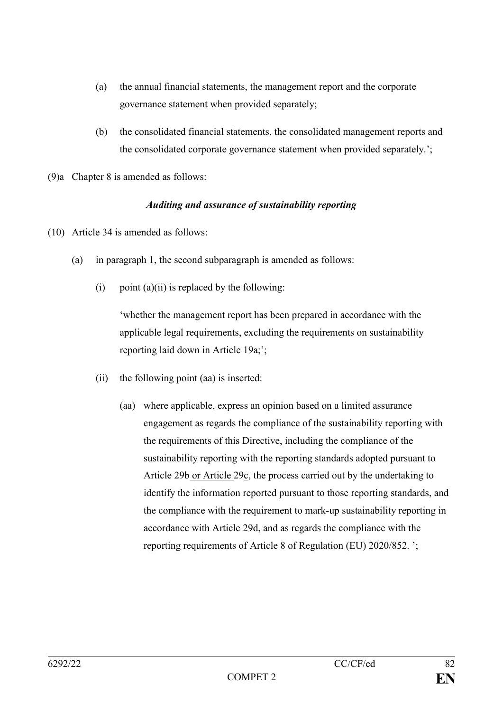- (a) the annual financial statements, the management report and the corporate governance statement when provided separately;
- (b) the consolidated financial statements, the consolidated management reports and the consolidated corporate governance statement when provided separately.';
- (9)a Chapter 8 is amended as follows:

#### *Auditing and assurance of sustainability reporting*

- (10) Article 34 is amended as follows:
	- (a) in paragraph 1, the second subparagraph is amended as follows:
		- (i) point  $(a)(ii)$  is replaced by the following:

'whether the management report has been prepared in accordance with the applicable legal requirements, excluding the requirements on sustainability reporting laid down in Article 19a;';

- (ii) the following point (aa) is inserted:
	- (aa) where applicable, express an opinion based on a limited assurance engagement as regards the compliance of the sustainability reporting with the requirements of this Directive, including the compliance of the sustainability reporting with the reporting standards adopted pursuant to Article 29b or Article 29c, the process carried out by the undertaking to identify the information reported pursuant to those reporting standards, and the compliance with the requirement to mark-up sustainability reporting in accordance with Article 29d, and as regards the compliance with the reporting requirements of Article 8 of Regulation (EU) 2020/852. ';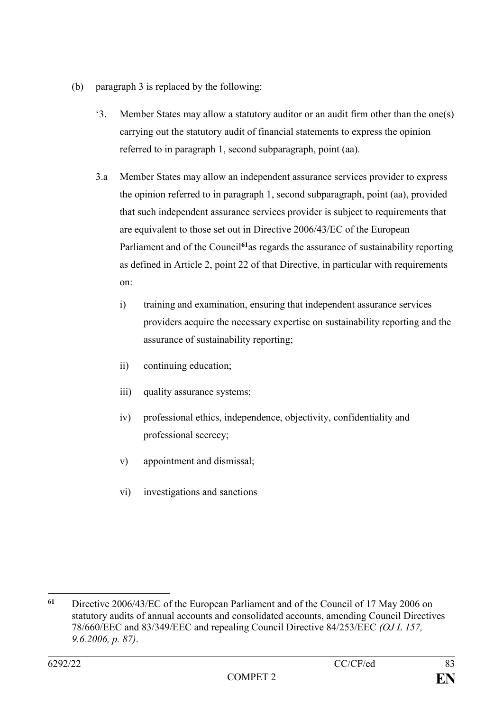- (b) paragraph 3 is replaced by the following:
	- '3. Member States may allow a statutory auditor or an audit firm other than the one(s) carrying out the statutory audit of financial statements to express the opinion referred to in paragraph 1, second subparagraph, point (aa).
	- 3.a Member States may allow an independent assurance services provider to express the opinion referred to in paragraph 1, second subparagraph, point (aa), provided that such independent assurance services provider is subject to requirements that are equivalent to those set out in Directive 2006/43/EC of the European Parliament and of the Council<sup>61</sup>as regards the assurance of sustainability reporting as defined in Article 2, point 22 of that Directive, in particular with requirements on:
		- i) training and examination, ensuring that independent assurance services providers acquire the necessary expertise on sustainability reporting and the assurance of sustainability reporting;
		- ii) continuing education;
		- iii) quality assurance systems;
		- iv) professional ethics, independence, objectivity, confidentiality and professional secrecy;
		- v) appointment and dismissal;
		- vi) investigations and sanctions

<sup>1</sup> **<sup>61</sup>** Directive 2006/43/EC of the European Parliament and of the Council of 17 May 2006 on statutory audits of annual accounts and consolidated accounts, amending Council Directives 78/660/EEC and 83/349/EEC and repealing Council Directive 84/253/EEC *(OJ L 157, 9.6.2006, p. 87)*.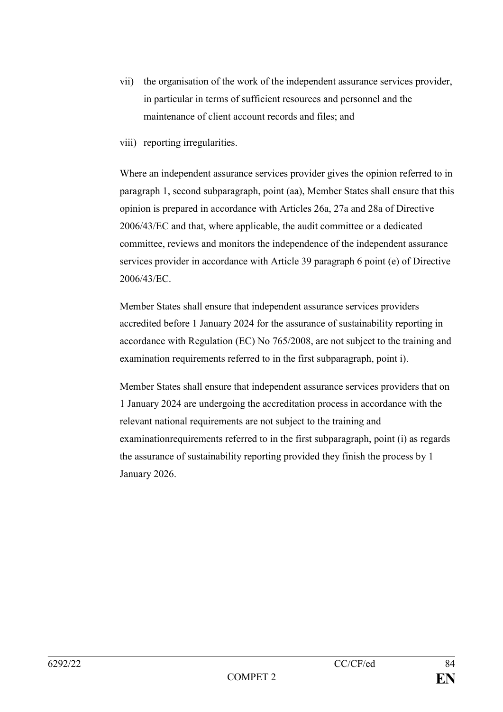- vii) the organisation of the work of the independent assurance services provider, in particular in terms of sufficient resources and personnel and the maintenance of client account records and files; and
- viii) reporting irregularities.

Where an independent assurance services provider gives the opinion referred to in paragraph 1, second subparagraph, point (aa), Member States shall ensure that this opinion is prepared in accordance with Articles 26a, 27a and 28a of Directive 2006/43/EC and that, where applicable, the audit committee or a dedicated committee, reviews and monitors the independence of the independent assurance services provider in accordance with Article 39 paragraph 6 point (e) of Directive 2006/43/EC.

Member States shall ensure that independent assurance services providers accredited before 1 January 2024 for the assurance of sustainability reporting in accordance with Regulation (EC) No 765/2008, are not subject to the training and examination requirements referred to in the first subparagraph, point i).

Member States shall ensure that independent assurance services providers that on 1 January 2024 are undergoing the accreditation process in accordance with the relevant national requirements are not subject to the training and examinationrequirements referred to in the first subparagraph, point (i) as regards the assurance of sustainability reporting provided they finish the process by 1 January 2026.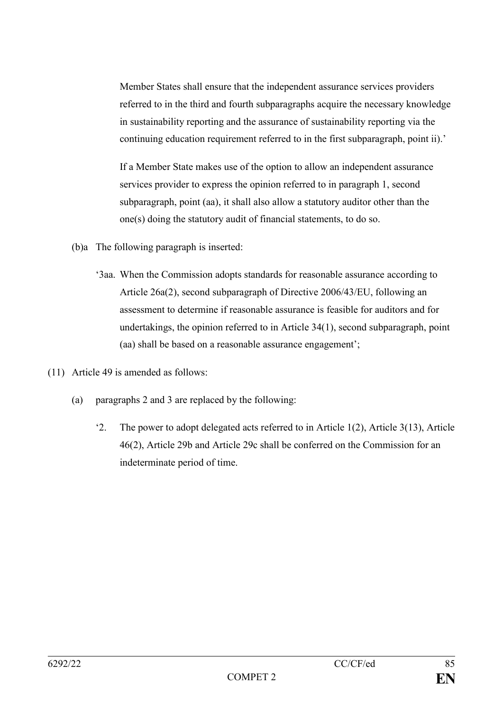Member States shall ensure that the independent assurance services providers referred to in the third and fourth subparagraphs acquire the necessary knowledge in sustainability reporting and the assurance of sustainability reporting via the continuing education requirement referred to in the first subparagraph, point ii).'

If a Member State makes use of the option to allow an independent assurance services provider to express the opinion referred to in paragraph 1, second subparagraph, point (aa), it shall also allow a statutory auditor other than the one(s) doing the statutory audit of financial statements, to do so.

- (b)a The following paragraph is inserted:
	- '3aa. When the Commission adopts standards for reasonable assurance according to Article 26a(2), second subparagraph of Directive 2006/43/EU, following an assessment to determine if reasonable assurance is feasible for auditors and for undertakings, the opinion referred to in Article 34(1), second subparagraph, point (aa) shall be based on a reasonable assurance engagement';
- (11) Article 49 is amended as follows:
	- (a) paragraphs 2 and 3 are replaced by the following:
		- '2. The power to adopt delegated acts referred to in Article 1(2), Article 3(13), Article 46(2), Article 29b and Article 29c shall be conferred on the Commission for an indeterminate period of time.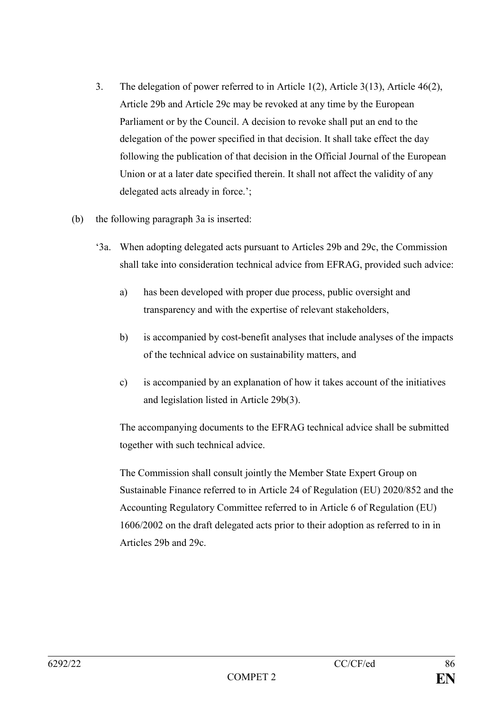- 3. The delegation of power referred to in Article 1(2), Article 3(13), Article 46(2), Article 29b and Article 29c may be revoked at any time by the European Parliament or by the Council. A decision to revoke shall put an end to the delegation of the power specified in that decision. It shall take effect the day following the publication of that decision in the Official Journal of the European Union or at a later date specified therein. It shall not affect the validity of any delegated acts already in force.';
- (b) the following paragraph 3a is inserted:
	- '3a. When adopting delegated acts pursuant to Articles 29b and 29c, the Commission shall take into consideration technical advice from EFRAG, provided such advice:
		- a) has been developed with proper due process, public oversight and transparency and with the expertise of relevant stakeholders,
		- b) is accompanied by cost-benefit analyses that include analyses of the impacts of the technical advice on sustainability matters, and
		- c) is accompanied by an explanation of how it takes account of the initiatives and legislation listed in Article 29b(3).

The accompanying documents to the EFRAG technical advice shall be submitted together with such technical advice.

The Commission shall consult jointly the Member State Expert Group on Sustainable Finance referred to in Article 24 of Regulation (EU) 2020/852 and the Accounting Regulatory Committee referred to in Article 6 of Regulation (EU) 1606/2002 on the draft delegated acts prior to their adoption as referred to in in Articles 29b and 29c.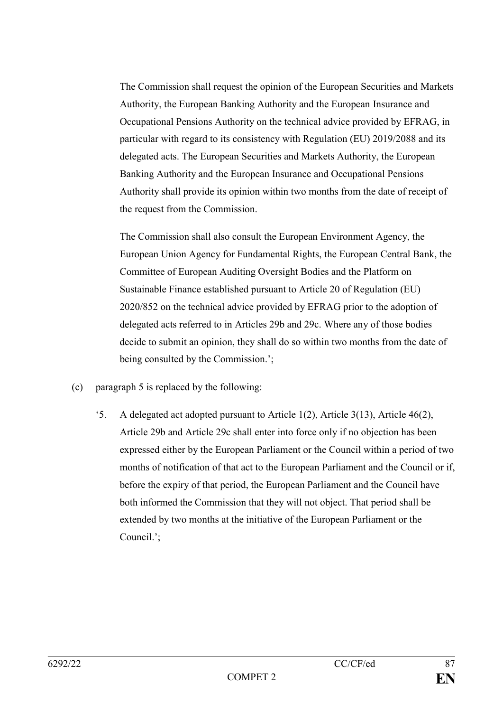The Commission shall request the opinion of the European Securities and Markets Authority, the European Banking Authority and the European Insurance and Occupational Pensions Authority on the technical advice provided by EFRAG, in particular with regard to its consistency with Regulation (EU) 2019/2088 and its delegated acts. The European Securities and Markets Authority, the European Banking Authority and the European Insurance and Occupational Pensions Authority shall provide its opinion within two months from the date of receipt of the request from the Commission.

The Commission shall also consult the European Environment Agency, the European Union Agency for Fundamental Rights, the European Central Bank, the Committee of European Auditing Oversight Bodies and the Platform on Sustainable Finance established pursuant to Article 20 of Regulation (EU) 2020/852 on the technical advice provided by EFRAG prior to the adoption of delegated acts referred to in Articles 29b and 29c. Where any of those bodies decide to submit an opinion, they shall do so within two months from the date of being consulted by the Commission.';

- (c) paragraph 5 is replaced by the following:
	- '5. A delegated act adopted pursuant to Article 1(2), Article 3(13), Article 46(2), Article 29b and Article 29c shall enter into force only if no objection has been expressed either by the European Parliament or the Council within a period of two months of notification of that act to the European Parliament and the Council or if, before the expiry of that period, the European Parliament and the Council have both informed the Commission that they will not object. That period shall be extended by two months at the initiative of the European Parliament or the Council.';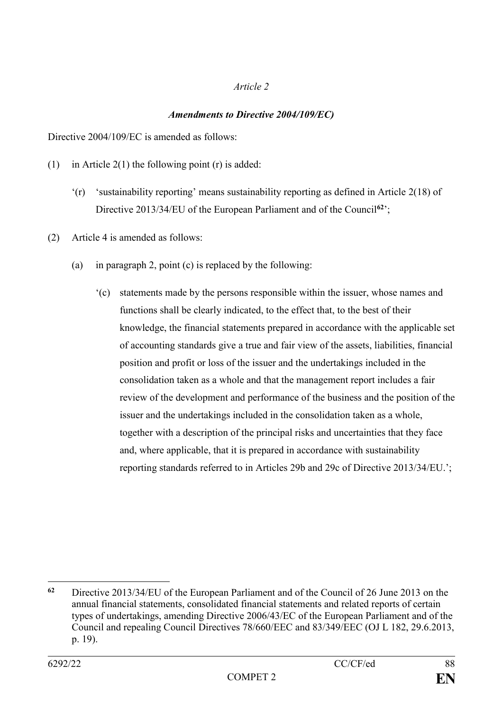#### *Article 2*

# *Amendments to Directive 2004/109/EC)*

Directive 2004/109/EC is amended as follows:

- (1) in Article  $2(1)$  the following point (r) is added:
	- '(r) 'sustainability reporting' means sustainability reporting as defined in Article 2(18) of Directive 2013/34/EU of the European Parliament and of the Council<sup>62</sup>';
- (2) Article 4 is amended as follows:
	- (a) in paragraph 2, point (c) is replaced by the following:
		- '(c) statements made by the persons responsible within the issuer, whose names and functions shall be clearly indicated, to the effect that, to the best of their knowledge, the financial statements prepared in accordance with the applicable set of accounting standards give a true and fair view of the assets, liabilities, financial position and profit or loss of the issuer and the undertakings included in the consolidation taken as a whole and that the management report includes a fair review of the development and performance of the business and the position of the issuer and the undertakings included in the consolidation taken as a whole, together with a description of the principal risks and uncertainties that they face and, where applicable, that it is prepared in accordance with sustainability reporting standards referred to in Articles 29b and 29c of Directive 2013/34/EU.';

1

**<sup>62</sup>** Directive 2013/34/EU of the European Parliament and of the Council of 26 June 2013 on the annual financial statements, consolidated financial statements and related reports of certain types of undertakings, amending Directive 2006/43/EC of the European Parliament and of the Council and repealing Council Directives 78/660/EEC and 83/349/EEC (OJ L 182, 29.6.2013, p. 19).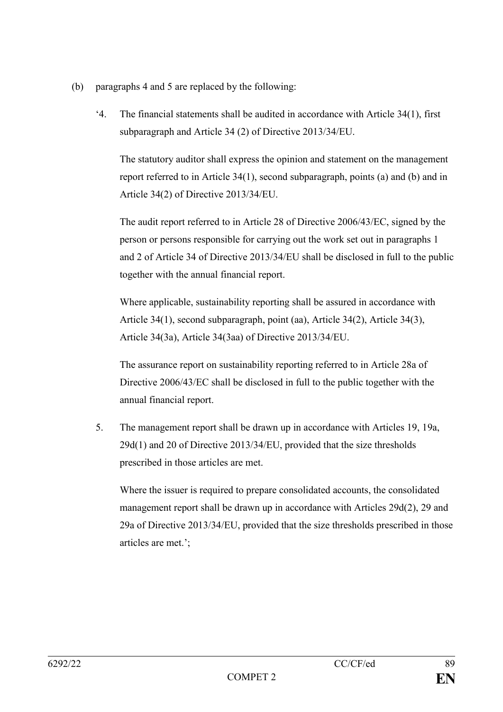- (b) paragraphs 4 and 5 are replaced by the following:
	- '4. The financial statements shall be audited in accordance with Article 34(1), first subparagraph and Article 34 (2) of Directive 2013/34/EU.

The statutory auditor shall express the opinion and statement on the management report referred to in Article 34(1), second subparagraph, points (a) and (b) and in Article 34(2) of Directive 2013/34/EU.

The audit report referred to in Article 28 of Directive 2006/43/EC, signed by the person or persons responsible for carrying out the work set out in paragraphs 1 and 2 of Article 34 of Directive 2013/34/EU shall be disclosed in full to the public together with the annual financial report.

Where applicable, sustainability reporting shall be assured in accordance with Article 34(1), second subparagraph, point (aa), Article 34(2), Article 34(3), Article 34(3a), Article 34(3aa) of Directive 2013/34/EU.

The assurance report on sustainability reporting referred to in Article 28a of Directive 2006/43/EC shall be disclosed in full to the public together with the annual financial report.

5. The management report shall be drawn up in accordance with Articles 19, 19a, 29d(1) and 20 of Directive 2013/34/EU, provided that the size thresholds prescribed in those articles are met.

Where the issuer is required to prepare consolidated accounts, the consolidated management report shall be drawn up in accordance with Articles 29d(2), 29 and 29a of Directive 2013/34/EU, provided that the size thresholds prescribed in those articles are met.';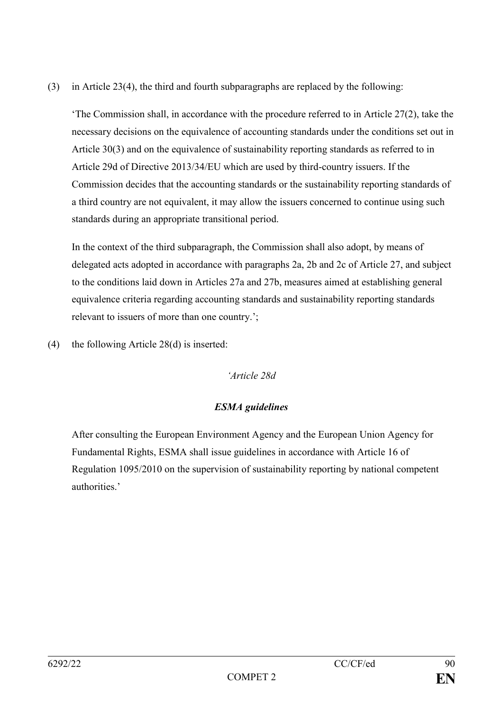(3) in Article 23(4), the third and fourth subparagraphs are replaced by the following:

'The Commission shall, in accordance with the procedure referred to in Article 27(2), take the necessary decisions on the equivalence of accounting standards under the conditions set out in Article 30(3) and on the equivalence of sustainability reporting standards as referred to in Article 29d of Directive 2013/34/EU which are used by third-country issuers. If the Commission decides that the accounting standards or the sustainability reporting standards of a third country are not equivalent, it may allow the issuers concerned to continue using such standards during an appropriate transitional period.

In the context of the third subparagraph, the Commission shall also adopt, by means of delegated acts adopted in accordance with paragraphs 2a, 2b and 2c of Article 27, and subject to the conditions laid down in Articles 27a and 27b, measures aimed at establishing general equivalence criteria regarding accounting standards and sustainability reporting standards relevant to issuers of more than one country.';

(4) the following Article 28(d) is inserted:

#### *'Article 28d*

# *ESMA guidelines*

After consulting the European Environment Agency and the European Union Agency for Fundamental Rights, ESMA shall issue guidelines in accordance with Article 16 of Regulation 1095/2010 on the supervision of sustainability reporting by national competent authorities.'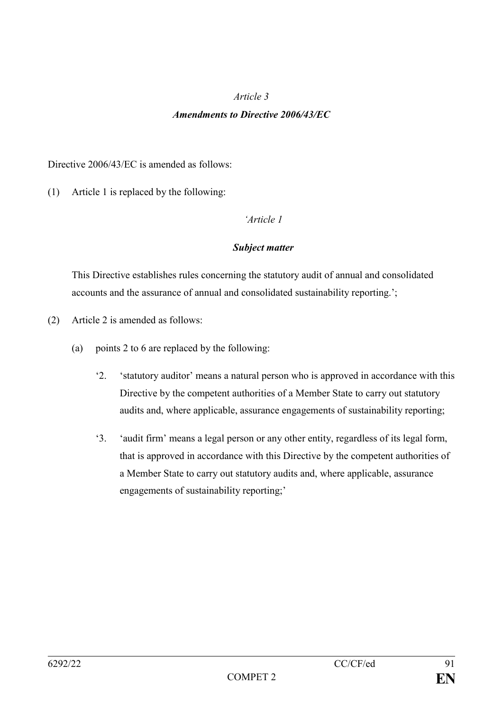#### *Article 3*

#### *Amendments to Directive 2006/43/EC*

Directive 2006/43/EC is amended as follows:

(1) Article 1 is replaced by the following:

#### *'Article 1*

## *Subject matter*

This Directive establishes rules concerning the statutory audit of annual and consolidated accounts and the assurance of annual and consolidated sustainability reporting.';

- (2) Article 2 is amended as follows:
	- (a) points 2 to 6 are replaced by the following:
		- '2. 'statutory auditor' means a natural person who is approved in accordance with this Directive by the competent authorities of a Member State to carry out statutory audits and, where applicable, assurance engagements of sustainability reporting;
		- '3. 'audit firm' means a legal person or any other entity, regardless of its legal form, that is approved in accordance with this Directive by the competent authorities of a Member State to carry out statutory audits and, where applicable, assurance engagements of sustainability reporting;'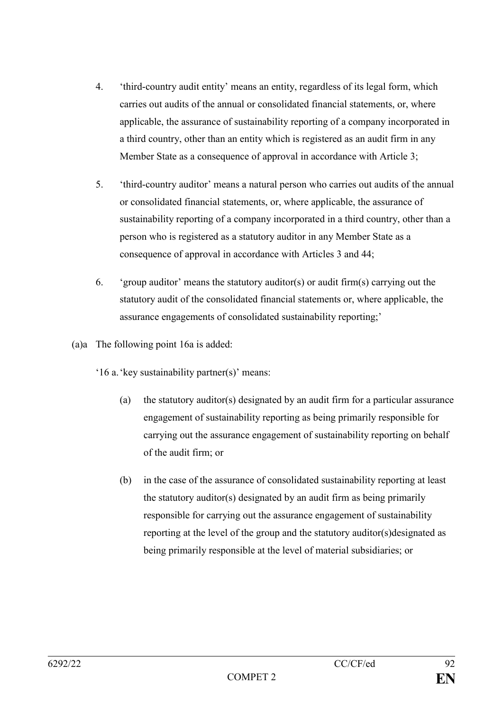- 4. 'third-country audit entity' means an entity, regardless of its legal form, which carries out audits of the annual or consolidated financial statements, or, where applicable, the assurance of sustainability reporting of a company incorporated in a third country, other than an entity which is registered as an audit firm in any Member State as a consequence of approval in accordance with Article 3:
- 5. 'third-country auditor' means a natural person who carries out audits of the annual or consolidated financial statements, or, where applicable, the assurance of sustainability reporting of a company incorporated in a third country, other than a person who is registered as a statutory auditor in any Member State as a consequence of approval in accordance with Articles 3 and 44;
- 6. 'group auditor' means the statutory auditor(s) or audit firm(s) carrying out the statutory audit of the consolidated financial statements or, where applicable, the assurance engagements of consolidated sustainability reporting;'
- (a)a The following point 16a is added:
	- '16 a.'key sustainability partner(s)' means:
		- (a) the statutory auditor(s) designated by an audit firm for a particular assurance engagement of sustainability reporting as being primarily responsible for carrying out the assurance engagement of sustainability reporting on behalf of the audit firm; or
		- (b) in the case of the assurance of consolidated sustainability reporting at least the statutory auditor(s) designated by an audit firm as being primarily responsible for carrying out the assurance engagement of sustainability reporting at the level of the group and the statutory auditor(s)designated as being primarily responsible at the level of material subsidiaries; or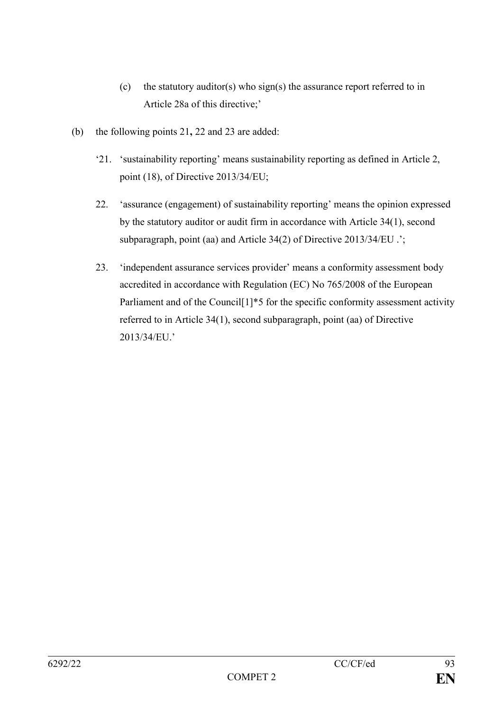- (c) the statutory auditor(s) who sign(s) the assurance report referred to in Article 28a of this directive;'
- (b) the following points 21**,** 22 and 23 are added:
	- '21. 'sustainability reporting' means sustainability reporting as defined in Article 2, point (18), of Directive 2013/34/EU;
	- 22. 'assurance (engagement) of sustainability reporting' means the opinion expressed by the statutory auditor or audit firm in accordance with Article 34(1), second subparagraph, point (aa) and Article 34(2) of Directive 2013/34/EU .';
	- 23. 'independent assurance services provider' means a conformity assessment body accredited in accordance with Regulation (EC) No 765/2008 of the European Parliament and of the Council<sup>[1]\*5</sup> for the specific conformity assessment activity referred to in Article 34(1), second subparagraph, point (aa) of Directive 2013/34/EU.'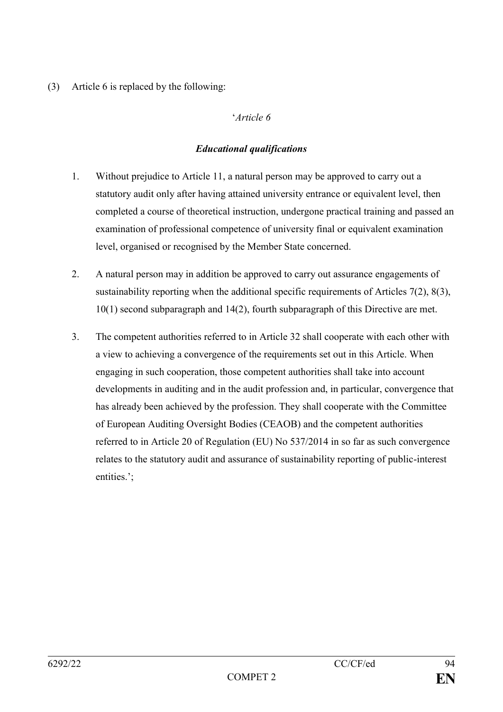(3) Article 6 is replaced by the following:

## '*Article 6*

#### *Educational qualifications*

- 1. Without prejudice to Article 11, a natural person may be approved to carry out a statutory audit only after having attained university entrance or equivalent level, then completed a course of theoretical instruction, undergone practical training and passed an examination of professional competence of university final or equivalent examination level, organised or recognised by the Member State concerned.
- 2. A natural person may in addition be approved to carry out assurance engagements of sustainability reporting when the additional specific requirements of Articles 7(2), 8(3), 10(1) second subparagraph and 14(2), fourth subparagraph of this Directive are met.
- 3. The competent authorities referred to in Article 32 shall cooperate with each other with a view to achieving a convergence of the requirements set out in this Article. When engaging in such cooperation, those competent authorities shall take into account developments in auditing and in the audit profession and, in particular, convergence that has already been achieved by the profession. They shall cooperate with the Committee of European Auditing Oversight Bodies (CEAOB) and the competent authorities referred to in Article 20 of Regulation (EU) No 537/2014 in so far as such convergence relates to the statutory audit and assurance of sustainability reporting of public-interest entities.';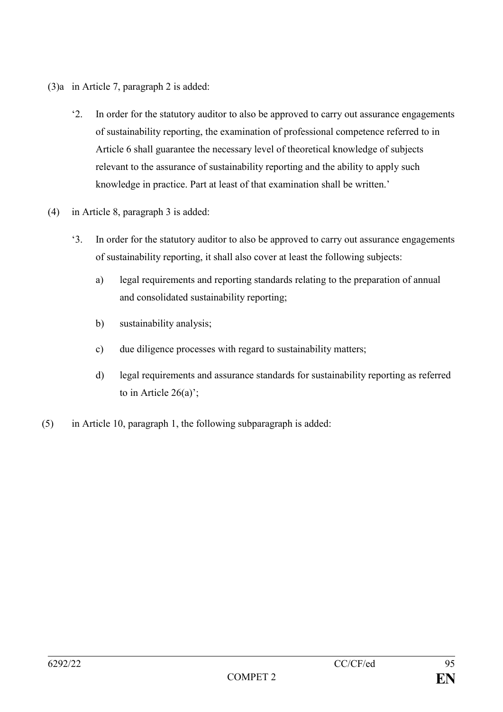- (3)a in Article 7, paragraph 2 is added:
	- '2. In order for the statutory auditor to also be approved to carry out assurance engagements of sustainability reporting, the examination of professional competence referred to in Article 6 shall guarantee the necessary level of theoretical knowledge of subjects relevant to the assurance of sustainability reporting and the ability to apply such knowledge in practice. Part at least of that examination shall be written.'
- (4) in Article 8, paragraph 3 is added:
	- '3. In order for the statutory auditor to also be approved to carry out assurance engagements of sustainability reporting, it shall also cover at least the following subjects:
		- a) legal requirements and reporting standards relating to the preparation of annual and consolidated sustainability reporting;
		- b) sustainability analysis;
		- c) due diligence processes with regard to sustainability matters;
		- d) legal requirements and assurance standards for sustainability reporting as referred to in Article 26(a)';
- (5) in Article 10, paragraph 1, the following subparagraph is added: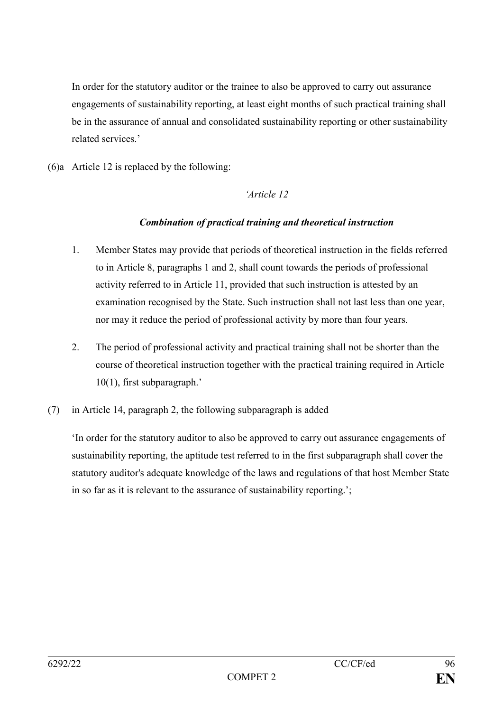In order for the statutory auditor or the trainee to also be approved to carry out assurance engagements of sustainability reporting, at least eight months of such practical training shall be in the assurance of annual and consolidated sustainability reporting or other sustainability related services.'

(6)a Article 12 is replaced by the following:

## *'Article 12*

## *Combination of practical training and theoretical instruction*

- 1. Member States may provide that periods of theoretical instruction in the fields referred to in Article 8, paragraphs 1 and 2, shall count towards the periods of professional activity referred to in Article 11, provided that such instruction is attested by an examination recognised by the State. Such instruction shall not last less than one year, nor may it reduce the period of professional activity by more than four years.
- 2. The period of professional activity and practical training shall not be shorter than the course of theoretical instruction together with the practical training required in Article 10(1), first subparagraph.'
- (7) in Article 14, paragraph 2, the following subparagraph is added

'In order for the statutory auditor to also be approved to carry out assurance engagements of sustainability reporting, the aptitude test referred to in the first subparagraph shall cover the statutory auditor's adequate knowledge of the laws and regulations of that host Member State in so far as it is relevant to the assurance of sustainability reporting.';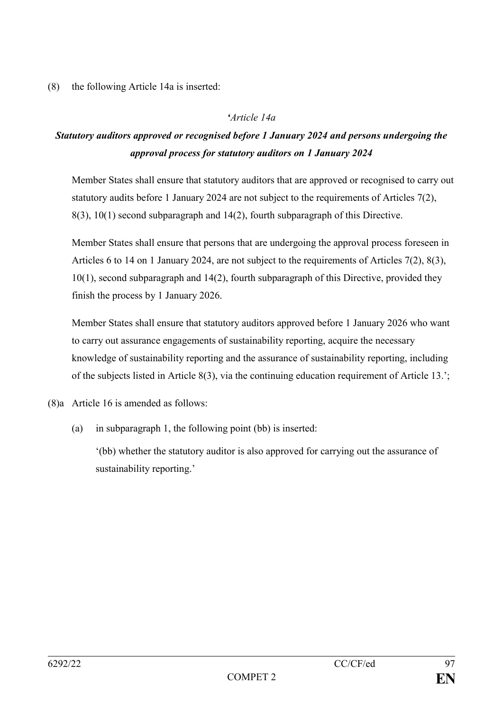(8) the following Article 14a is inserted:

# *'Article 14a*

# *Statutory auditors approved or recognised before 1 January 2024 and persons undergoing the approval process for statutory auditors on 1 January 2024*

Member States shall ensure that statutory auditors that are approved or recognised to carry out statutory audits before 1 January 2024 are not subject to the requirements of Articles 7(2), 8(3), 10(1) second subparagraph and 14(2), fourth subparagraph of this Directive.

Member States shall ensure that persons that are undergoing the approval process foreseen in Articles 6 to 14 on 1 January 2024, are not subject to the requirements of Articles 7(2), 8(3), 10(1), second subparagraph and 14(2), fourth subparagraph of this Directive, provided they finish the process by 1 January 2026.

Member States shall ensure that statutory auditors approved before 1 January 2026 who want to carry out assurance engagements of sustainability reporting, acquire the necessary knowledge of sustainability reporting and the assurance of sustainability reporting, including of the subjects listed in Article 8(3), via the continuing education requirement of Article 13.';

(8)a Article 16 is amended as follows:

(a) in subparagraph 1, the following point (bb) is inserted:

'(bb) whether the statutory auditor is also approved for carrying out the assurance of sustainability reporting.'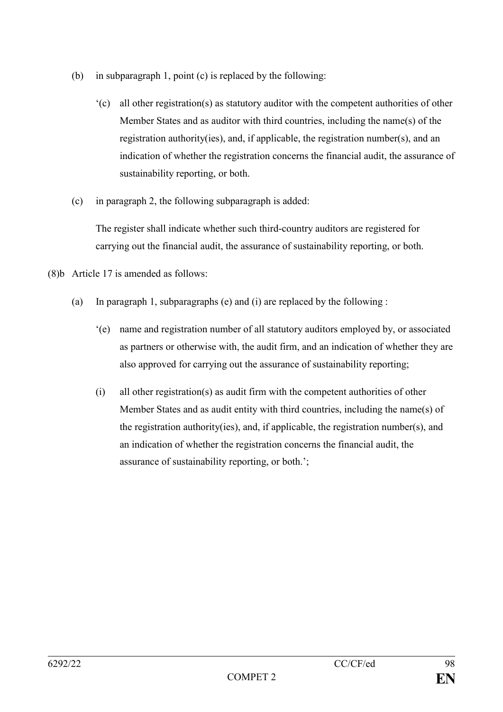- (b) in subparagraph 1, point (c) is replaced by the following:
	- '(c) all other registration(s) as statutory auditor with the competent authorities of other Member States and as auditor with third countries, including the name(s) of the registration authority(ies), and, if applicable, the registration number(s), and an indication of whether the registration concerns the financial audit, the assurance of sustainability reporting, or both.
- (c) in paragraph 2, the following subparagraph is added:

The register shall indicate whether such third-country auditors are registered for carrying out the financial audit, the assurance of sustainability reporting, or both.

- (8)b Article 17 is amended as follows:
	- (a) In paragraph 1, subparagraphs (e) and (i) are replaced by the following :
		- '(e) name and registration number of all statutory auditors employed by, or associated as partners or otherwise with, the audit firm, and an indication of whether they are also approved for carrying out the assurance of sustainability reporting;
		- (i) all other registration(s) as audit firm with the competent authorities of other Member States and as audit entity with third countries, including the name(s) of the registration authority(ies), and, if applicable, the registration number(s), and an indication of whether the registration concerns the financial audit, the assurance of sustainability reporting, or both.';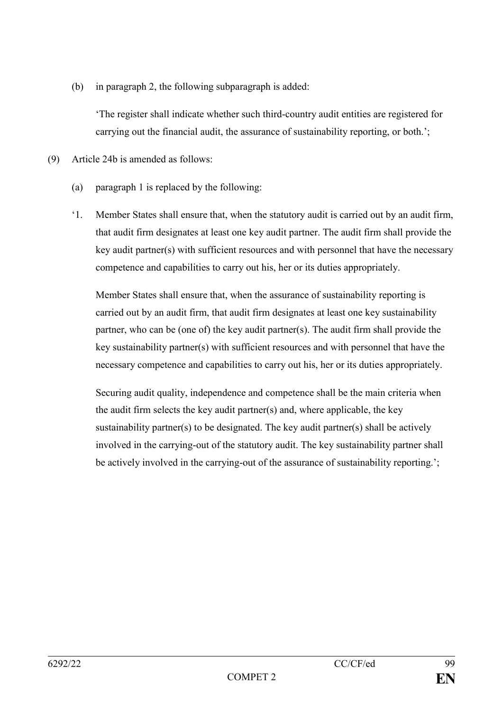(b) in paragraph 2, the following subparagraph is added:

'The register shall indicate whether such third-country audit entities are registered for carrying out the financial audit, the assurance of sustainability reporting, or both.';

- (9) Article 24b is amended as follows:
	- (a) paragraph 1 is replaced by the following:
	- '1. Member States shall ensure that, when the statutory audit is carried out by an audit firm, that audit firm designates at least one key audit partner. The audit firm shall provide the key audit partner(s) with sufficient resources and with personnel that have the necessary competence and capabilities to carry out his, her or its duties appropriately.

Member States shall ensure that, when the assurance of sustainability reporting is carried out by an audit firm, that audit firm designates at least one key sustainability partner, who can be (one of) the key audit partner(s). The audit firm shall provide the key sustainability partner(s) with sufficient resources and with personnel that have the necessary competence and capabilities to carry out his, her or its duties appropriately.

Securing audit quality, independence and competence shall be the main criteria when the audit firm selects the key audit partner(s) and, where applicable, the key sustainability partner(s) to be designated. The key audit partner(s) shall be actively involved in the carrying-out of the statutory audit. The key sustainability partner shall be actively involved in the carrying-out of the assurance of sustainability reporting.';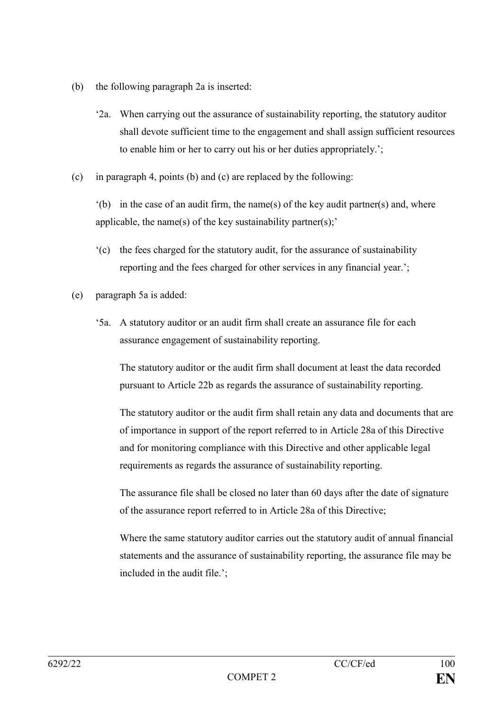- (b) the following paragraph 2a is inserted:
	- '2a. When carrying out the assurance of sustainability reporting, the statutory auditor shall devote sufficient time to the engagement and shall assign sufficient resources to enable him or her to carry out his or her duties appropriately.';
- (c) in paragraph 4, points (b) and (c) are replaced by the following:

 $'(b)$  in the case of an audit firm, the name(s) of the key audit partner(s) and, where applicable, the name(s) of the key sustainability partner(s);'

- '(c) the fees charged for the statutory audit, for the assurance of sustainability reporting and the fees charged for other services in any financial year.';
- (e) paragraph 5a is added:
	- '5a. A statutory auditor or an audit firm shall create an assurance file for each assurance engagement of sustainability reporting.

The statutory auditor or the audit firm shall document at least the data recorded pursuant to Article 22b as regards the assurance of sustainability reporting.

The statutory auditor or the audit firm shall retain any data and documents that are of importance in support of the report referred to in Article 28a of this Directive and for monitoring compliance with this Directive and other applicable legal requirements as regards the assurance of sustainability reporting.

The assurance file shall be closed no later than 60 days after the date of signature of the assurance report referred to in Article 28a of this Directive;

Where the same statutory auditor carries out the statutory audit of annual financial statements and the assurance of sustainability reporting, the assurance file may be included in the audit file.';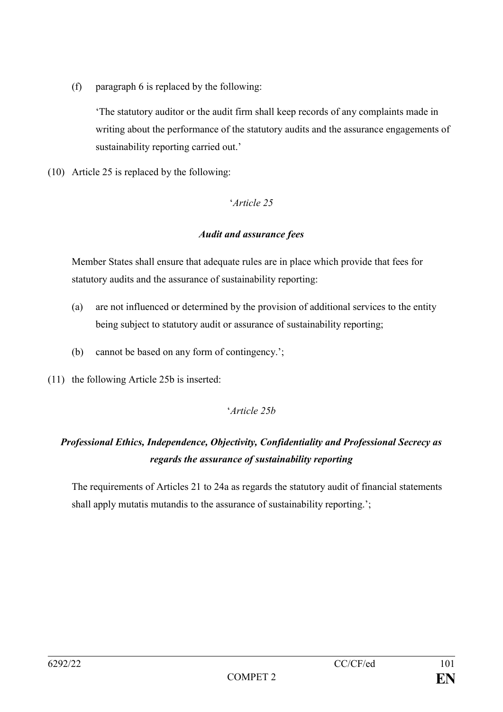(f) paragraph 6 is replaced by the following:

'The statutory auditor or the audit firm shall keep records of any complaints made in writing about the performance of the statutory audits and the assurance engagements of sustainability reporting carried out.'

(10) Article 25 is replaced by the following:

## '*Article 25*

## *Audit and assurance fees*

Member States shall ensure that adequate rules are in place which provide that fees for statutory audits and the assurance of sustainability reporting:

- (a) are not influenced or determined by the provision of additional services to the entity being subject to statutory audit or assurance of sustainability reporting;
- (b) cannot be based on any form of contingency.';
- (11) the following Article 25b is inserted:

# '*Article 25b*

# *Professional Ethics, Independence, Objectivity, Confidentiality and Professional Secrecy as regards the assurance of sustainability reporting*

The requirements of Articles 21 to 24a as regards the statutory audit of financial statements shall apply mutatis mutandis to the assurance of sustainability reporting.';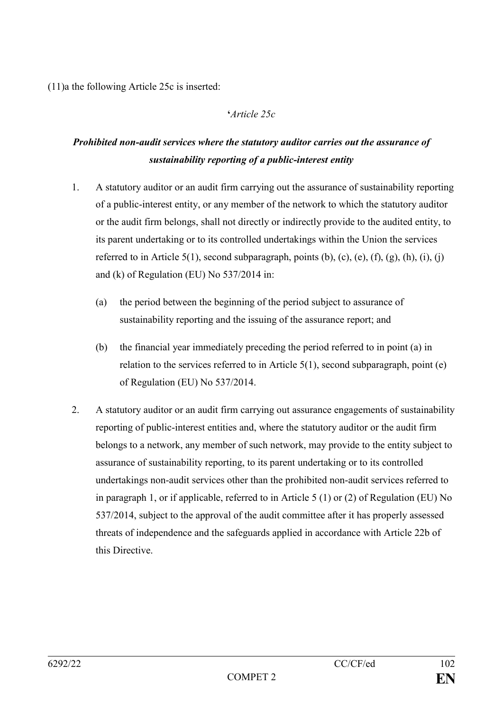(11)a the following Article 25c is inserted:

#### **'***Article 25c*

# *Prohibited non-audit services where the statutory auditor carries out the assurance of sustainability reporting of a public-interest entity*

- 1. A statutory auditor or an audit firm carrying out the assurance of sustainability reporting of a public-interest entity, or any member of the network to which the statutory auditor or the audit firm belongs, shall not directly or indirectly provide to the audited entity, to its parent undertaking or to its controlled undertakings within the Union the services referred to in Article 5(1), second subparagraph, points  $(b)$ ,  $(c)$ ,  $(e)$ ,  $(f)$ ,  $(g)$ ,  $(h)$ ,  $(i)$ ,  $(i)$ and (k) of Regulation (EU) No 537/2014 in:
	- (a) the period between the beginning of the period subject to assurance of sustainability reporting and the issuing of the assurance report; and
	- (b) the financial year immediately preceding the period referred to in point (a) in relation to the services referred to in Article 5(1), second subparagraph, point (e) of Regulation (EU) No 537/2014.
- 2. A statutory auditor or an audit firm carrying out assurance engagements of sustainability reporting of public-interest entities and, where the statutory auditor or the audit firm belongs to a network, any member of such network, may provide to the entity subject to assurance of sustainability reporting, to its parent undertaking or to its controlled undertakings non-audit services other than the prohibited non-audit services referred to in paragraph 1, or if applicable, referred to in Article 5 (1) or (2) of Regulation (EU) No 537/2014, subject to the approval of the audit committee after it has properly assessed threats of independence and the safeguards applied in accordance with Article 22b of this Directive.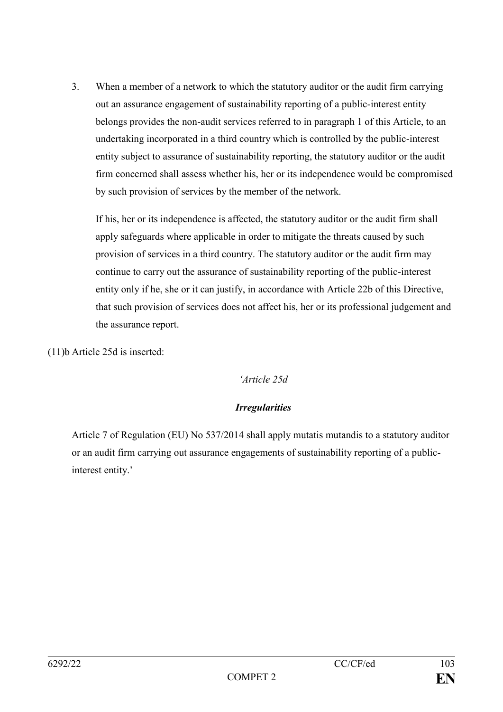3. When a member of a network to which the statutory auditor or the audit firm carrying out an assurance engagement of sustainability reporting of a public-interest entity belongs provides the non-audit services referred to in paragraph 1 of this Article, to an undertaking incorporated in a third country which is controlled by the public-interest entity subject to assurance of sustainability reporting, the statutory auditor or the audit firm concerned shall assess whether his, her or its independence would be compromised by such provision of services by the member of the network.

If his, her or its independence is affected, the statutory auditor or the audit firm shall apply safeguards where applicable in order to mitigate the threats caused by such provision of services in a third country. The statutory auditor or the audit firm may continue to carry out the assurance of sustainability reporting of the public-interest entity only if he, she or it can justify, in accordance with Article 22b of this Directive, that such provision of services does not affect his, her or its professional judgement and the assurance report.

(11)b Article 25d is inserted:

#### *'Article 25d*

# *Irregularities*

Article 7 of Regulation (EU) No 537/2014 shall apply mutatis mutandis to a statutory auditor or an audit firm carrying out assurance engagements of sustainability reporting of a publicinterest entity.'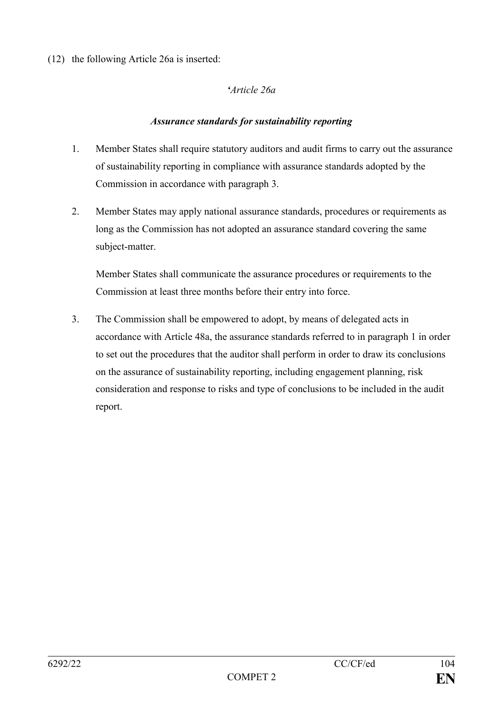(12) the following Article 26a is inserted:

## *'Article 26a*

#### *Assurance standards for sustainability reporting*

- 1. Member States shall require statutory auditors and audit firms to carry out the assurance of sustainability reporting in compliance with assurance standards adopted by the Commission in accordance with paragraph 3.
- 2. Member States may apply national assurance standards, procedures or requirements as long as the Commission has not adopted an assurance standard covering the same subject-matter.

Member States shall communicate the assurance procedures or requirements to the Commission at least three months before their entry into force.

3. The Commission shall be empowered to adopt, by means of delegated acts in accordance with Article 48a, the assurance standards referred to in paragraph 1 in order to set out the procedures that the auditor shall perform in order to draw its conclusions on the assurance of sustainability reporting, including engagement planning, risk consideration and response to risks and type of conclusions to be included in the audit report.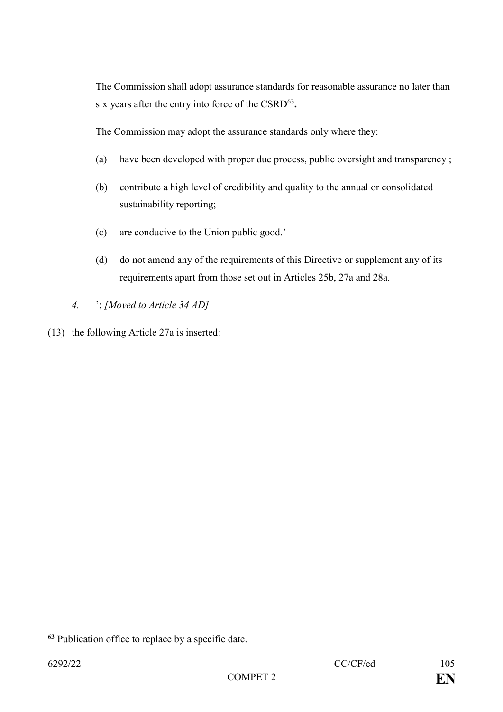The Commission shall adopt assurance standards for reasonable assurance no later than six years after the entry into force of the CSRD<sup>63</sup>.

The Commission may adopt the assurance standards only where they:

- (a) have been developed with proper due process, public oversight and transparency ;
- (b) contribute a high level of credibility and quality to the annual or consolidated sustainability reporting;
- (c) are conducive to the Union public good.'
- (d) do not amend any of the requirements of this Directive or supplement any of its requirements apart from those set out in Articles 25b, 27a and 28a.
- *4.* '; *[Moved to Article 34 AD]*
- (13) the following Article 27a is inserted:

<sup>&</sup>lt;u>.</u> **<sup>63</sup>** Publication office to replace by a specific date.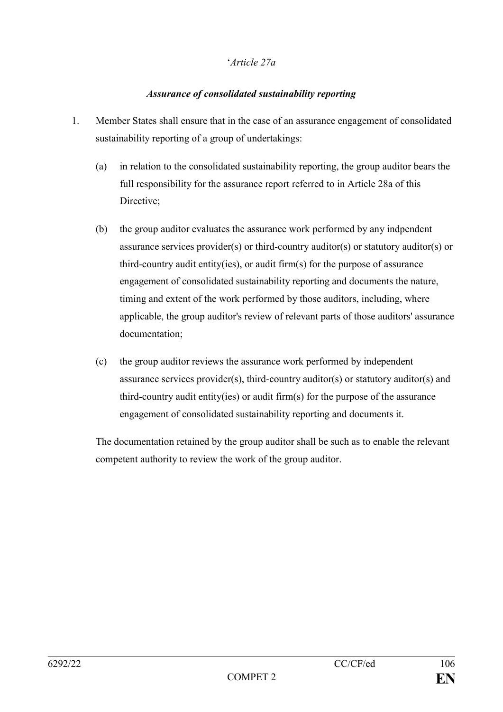#### '*Article 27a*

#### *Assurance of consolidated sustainability reporting*

- 1. Member States shall ensure that in the case of an assurance engagement of consolidated sustainability reporting of a group of undertakings:
	- (a) in relation to the consolidated sustainability reporting, the group auditor bears the full responsibility for the assurance report referred to in Article 28a of this Directive:
	- (b) the group auditor evaluates the assurance work performed by any indpendent assurance services provider(s) or third-country auditor(s) or statutory auditor(s) or third-country audit entity(ies), or audit firm(s) for the purpose of assurance engagement of consolidated sustainability reporting and documents the nature, timing and extent of the work performed by those auditors, including, where applicable, the group auditor's review of relevant parts of those auditors' assurance documentation;
	- (c) the group auditor reviews the assurance work performed by independent assurance services provider(s), third-country auditor(s) or statutory auditor(s) and third-country audit entity(ies) or audit firm(s) for the purpose of the assurance engagement of consolidated sustainability reporting and documents it.

The documentation retained by the group auditor shall be such as to enable the relevant competent authority to review the work of the group auditor.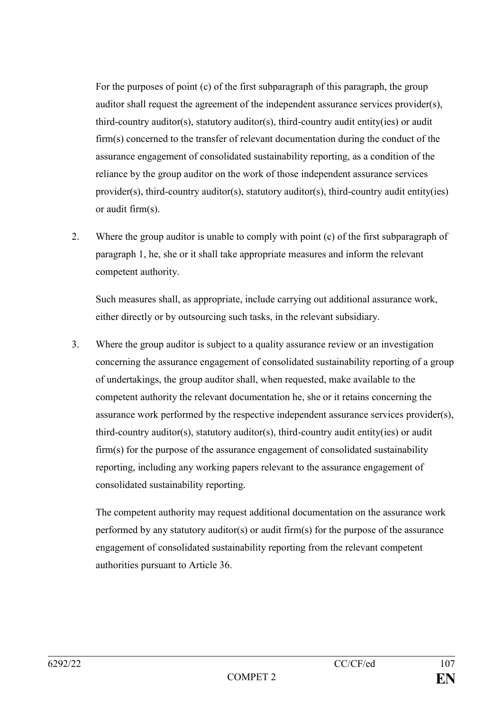For the purposes of point (c) of the first subparagraph of this paragraph, the group auditor shall request the agreement of the independent assurance services provider(s), third-country auditor(s), statutory auditor(s), third-country audit entity(ies) or audit firm(s) concerned to the transfer of relevant documentation during the conduct of the assurance engagement of consolidated sustainability reporting, as a condition of the reliance by the group auditor on the work of those independent assurance services provider(s), third-country auditor(s), statutory auditor(s), third-country audit entity(ies) or audit firm(s).

2. Where the group auditor is unable to comply with point (c) of the first subparagraph of paragraph 1, he, she or it shall take appropriate measures and inform the relevant competent authority.

Such measures shall, as appropriate, include carrying out additional assurance work, either directly or by outsourcing such tasks, in the relevant subsidiary.

3. Where the group auditor is subject to a quality assurance review or an investigation concerning the assurance engagement of consolidated sustainability reporting of a group of undertakings, the group auditor shall, when requested, make available to the competent authority the relevant documentation he, she or it retains concerning the assurance work performed by the respective independent assurance services provider(s), third-country auditor(s), statutory auditor(s), third-country audit entity(ies) or audit firm(s) for the purpose of the assurance engagement of consolidated sustainability reporting, including any working papers relevant to the assurance engagement of consolidated sustainability reporting.

The competent authority may request additional documentation on the assurance work performed by any statutory auditor(s) or audit firm(s) for the purpose of the assurance engagement of consolidated sustainability reporting from the relevant competent authorities pursuant to Article 36.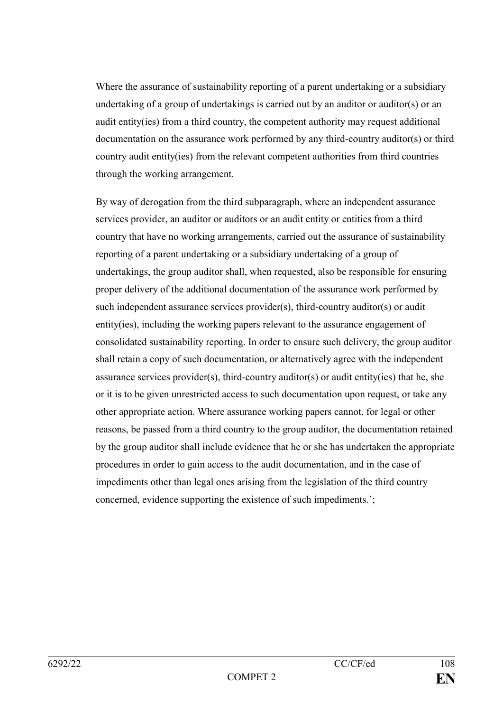Where the assurance of sustainability reporting of a parent undertaking or a subsidiary undertaking of a group of undertakings is carried out by an auditor or auditor(s) or an audit entity(ies) from a third country, the competent authority may request additional documentation on the assurance work performed by any third-country auditor(s) or third country audit entity(ies) from the relevant competent authorities from third countries through the working arrangement.

By way of derogation from the third subparagraph, where an independent assurance services provider, an auditor or auditors or an audit entity or entities from a third country that have no working arrangements, carried out the assurance of sustainability reporting of a parent undertaking or a subsidiary undertaking of a group of undertakings, the group auditor shall, when requested, also be responsible for ensuring proper delivery of the additional documentation of the assurance work performed by such independent assurance services provider(s), third-country auditor(s) or audit entity(ies), including the working papers relevant to the assurance engagement of consolidated sustainability reporting. In order to ensure such delivery, the group auditor shall retain a copy of such documentation, or alternatively agree with the independent assurance services provider(s), third-country auditor(s) or audit entity(ies) that he, she or it is to be given unrestricted access to such documentation upon request, or take any other appropriate action. Where assurance working papers cannot, for legal or other reasons, be passed from a third country to the group auditor, the documentation retained by the group auditor shall include evidence that he or she has undertaken the appropriate procedures in order to gain access to the audit documentation, and in the case of impediments other than legal ones arising from the legislation of the third country concerned, evidence supporting the existence of such impediments.';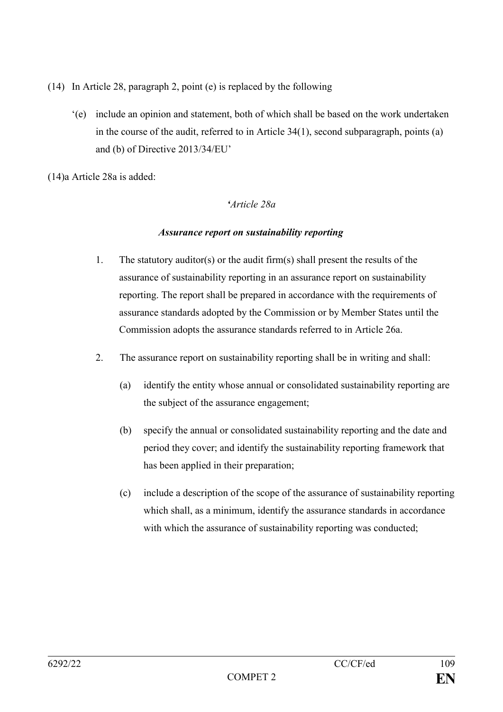- (14) In Article 28, paragraph 2, point (e) is replaced by the following
	- '(e) include an opinion and statement, both of which shall be based on the work undertaken in the course of the audit, referred to in Article 34(1), second subparagraph, points (a) and (b) of Directive 2013/34/EU'

(14)a Article 28a is added:

### *'Article 28a*

### *Assurance report on sustainability reporting*

- 1. The statutory auditor(s) or the audit firm(s) shall present the results of the assurance of sustainability reporting in an assurance report on sustainability reporting. The report shall be prepared in accordance with the requirements of assurance standards adopted by the Commission or by Member States until the Commission adopts the assurance standards referred to in Article 26a.
- 2. The assurance report on sustainability reporting shall be in writing and shall:
	- (a) identify the entity whose annual or consolidated sustainability reporting are the subject of the assurance engagement;
	- (b) specify the annual or consolidated sustainability reporting and the date and period they cover; and identify the sustainability reporting framework that has been applied in their preparation;
	- (c) include a description of the scope of the assurance of sustainability reporting which shall, as a minimum, identify the assurance standards in accordance with which the assurance of sustainability reporting was conducted;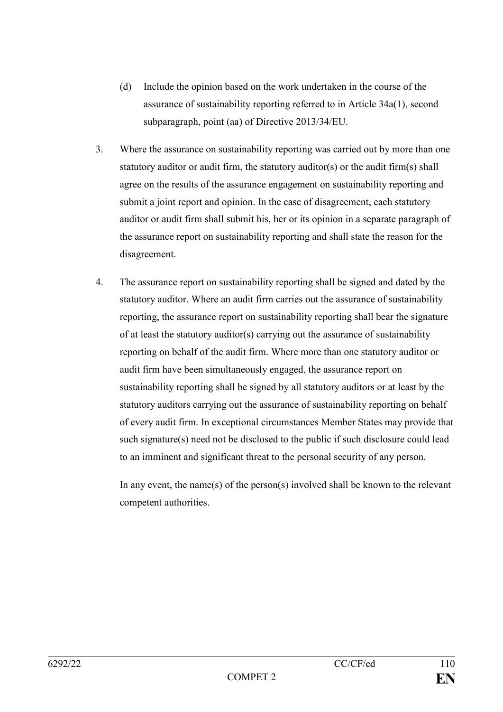- (d) Include the opinion based on the work undertaken in the course of the assurance of sustainability reporting referred to in Article 34a(1), second subparagraph, point (aa) of Directive 2013/34/EU.
- 3. Where the assurance on sustainability reporting was carried out by more than one statutory auditor or audit firm, the statutory auditor(s) or the audit firm(s) shall agree on the results of the assurance engagement on sustainability reporting and submit a joint report and opinion. In the case of disagreement, each statutory auditor or audit firm shall submit his, her or its opinion in a separate paragraph of the assurance report on sustainability reporting and shall state the reason for the disagreement.
- 4. The assurance report on sustainability reporting shall be signed and dated by the statutory auditor. Where an audit firm carries out the assurance of sustainability reporting, the assurance report on sustainability reporting shall bear the signature of at least the statutory auditor(s) carrying out the assurance of sustainability reporting on behalf of the audit firm. Where more than one statutory auditor or audit firm have been simultaneously engaged, the assurance report on sustainability reporting shall be signed by all statutory auditors or at least by the statutory auditors carrying out the assurance of sustainability reporting on behalf of every audit firm. In exceptional circumstances Member States may provide that such signature(s) need not be disclosed to the public if such disclosure could lead to an imminent and significant threat to the personal security of any person.

In any event, the name(s) of the person(s) involved shall be known to the relevant competent authorities.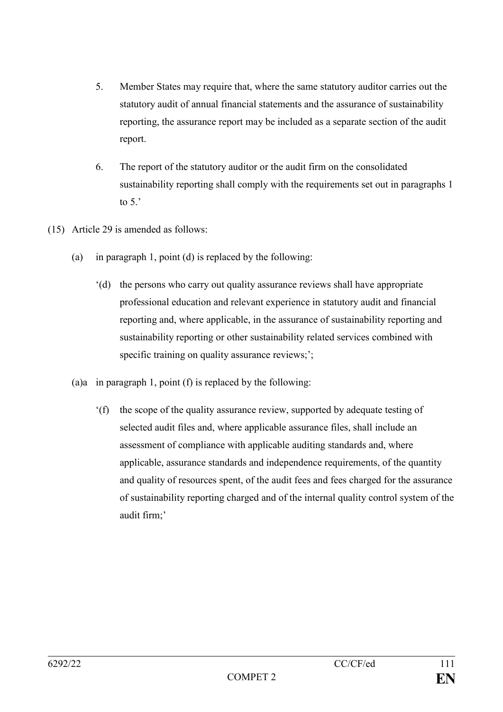- 5. Member States may require that, where the same statutory auditor carries out the statutory audit of annual financial statements and the assurance of sustainability reporting, the assurance report may be included as a separate section of the audit report.
- 6. The report of the statutory auditor or the audit firm on the consolidated sustainability reporting shall comply with the requirements set out in paragraphs 1 to  $5$ .
- (15) Article 29 is amended as follows:
	- (a) in paragraph 1, point (d) is replaced by the following:
		- '(d) the persons who carry out quality assurance reviews shall have appropriate professional education and relevant experience in statutory audit and financial reporting and, where applicable, in the assurance of sustainability reporting and sustainability reporting or other sustainability related services combined with specific training on quality assurance reviews;';
	- (a)a in paragraph 1, point (f) is replaced by the following:
		- '(f) the scope of the quality assurance review, supported by adequate testing of selected audit files and, where applicable assurance files, shall include an assessment of compliance with applicable auditing standards and, where applicable, assurance standards and independence requirements, of the quantity and quality of resources spent, of the audit fees and fees charged for the assurance of sustainability reporting charged and of the internal quality control system of the audit firm;'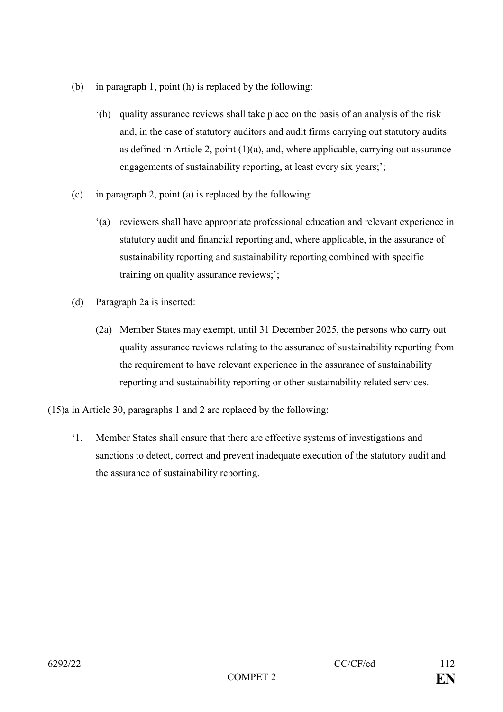- (b) in paragraph 1, point (h) is replaced by the following:
	- '(h) quality assurance reviews shall take place on the basis of an analysis of the risk and, in the case of statutory auditors and audit firms carrying out statutory audits as defined in Article 2, point  $(1)(a)$ , and, where applicable, carrying out assurance engagements of sustainability reporting, at least every six years;';
- (c) in paragraph 2, point (a) is replaced by the following:
	- '(a) reviewers shall have appropriate professional education and relevant experience in statutory audit and financial reporting and, where applicable, in the assurance of sustainability reporting and sustainability reporting combined with specific training on quality assurance reviews;';
- (d) Paragraph 2a is inserted:
	- (2a) Member States may exempt, until 31 December 2025, the persons who carry out quality assurance reviews relating to the assurance of sustainability reporting from the requirement to have relevant experience in the assurance of sustainability reporting and sustainability reporting or other sustainability related services.

(15)a in Article 30, paragraphs 1 and 2 are replaced by the following:

'1. Member States shall ensure that there are effective systems of investigations and sanctions to detect, correct and prevent inadequate execution of the statutory audit and the assurance of sustainability reporting.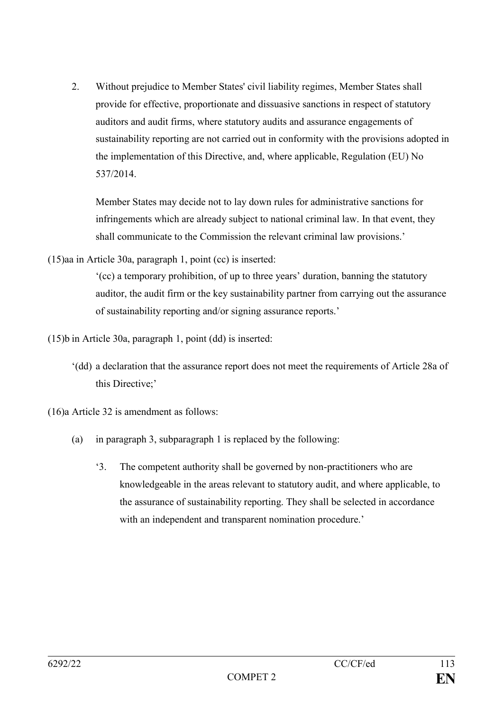2. Without prejudice to Member States' civil liability regimes, Member States shall provide for effective, proportionate and dissuasive sanctions in respect of statutory auditors and audit firms, where statutory audits and assurance engagements of sustainability reporting are not carried out in conformity with the provisions adopted in the implementation of this Directive, and, where applicable, Regulation (EU) No 537/2014.

Member States may decide not to lay down rules for administrative sanctions for infringements which are already subject to national criminal law. In that event, they shall communicate to the Commission the relevant criminal law provisions.'

(15)aa in Article 30a, paragraph 1, point (cc) is inserted:

'(cc) a temporary prohibition, of up to three years' duration, banning the statutory auditor, the audit firm or the key sustainability partner from carrying out the assurance of sustainability reporting and/or signing assurance reports.'

- (15)b in Article 30a, paragraph 1, point (dd) is inserted:
	- '(dd) a declaration that the assurance report does not meet the requirements of Article 28a of this Directive;'

(16)a Article 32 is amendment as follows:

- (a) in paragraph 3, subparagraph 1 is replaced by the following:
	- '3. The competent authority shall be governed by non-practitioners who are knowledgeable in the areas relevant to statutory audit, and where applicable, to the assurance of sustainability reporting. They shall be selected in accordance with an independent and transparent nomination procedure.'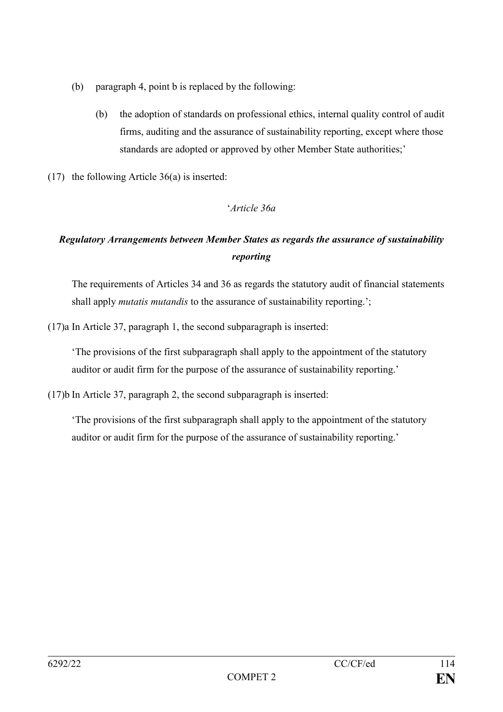- (b) paragraph 4, point b is replaced by the following:
	- (b) the adoption of standards on professional ethics, internal quality control of audit firms, auditing and the assurance of sustainability reporting, except where those standards are adopted or approved by other Member State authorities;'
- (17) the following Article 36(a) is inserted:

# '*Article 36a*

# *Regulatory Arrangements between Member States as regards the assurance of sustainability reporting*

The requirements of Articles 34 and 36 as regards the statutory audit of financial statements shall apply *mutatis mutandis* to the assurance of sustainability reporting.';

(17)a In Article 37, paragraph 1, the second subparagraph is inserted:

'The provisions of the first subparagraph shall apply to the appointment of the statutory auditor or audit firm for the purpose of the assurance of sustainability reporting.'

(17)b In Article 37, paragraph 2, the second subparagraph is inserted:

'The provisions of the first subparagraph shall apply to the appointment of the statutory auditor or audit firm for the purpose of the assurance of sustainability reporting.'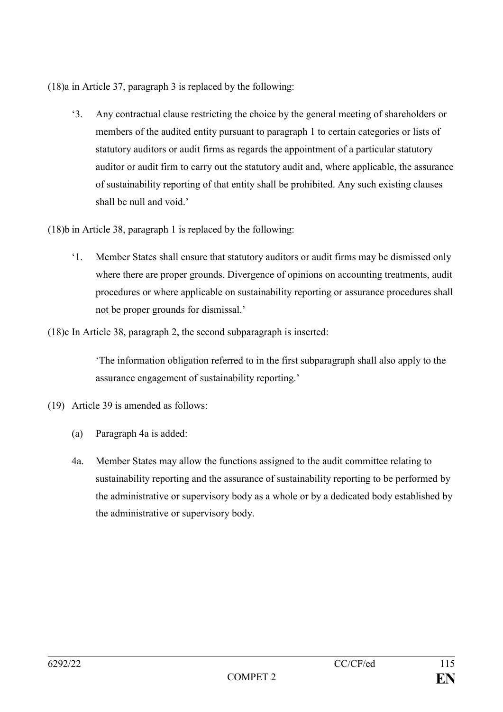(18)a in Article 37, paragraph 3 is replaced by the following:

'3. Any contractual clause restricting the choice by the general meeting of shareholders or members of the audited entity pursuant to paragraph 1 to certain categories or lists of statutory auditors or audit firms as regards the appointment of a particular statutory auditor or audit firm to carry out the statutory audit and, where applicable, the assurance of sustainability reporting of that entity shall be prohibited. Any such existing clauses shall be null and void.'

(18)b in Article 38, paragraph 1 is replaced by the following:

'1. Member States shall ensure that statutory auditors or audit firms may be dismissed only where there are proper grounds. Divergence of opinions on accounting treatments, audit procedures or where applicable on sustainability reporting or assurance procedures shall not be proper grounds for dismissal.'

(18)c In Article 38, paragraph 2, the second subparagraph is inserted:

'The information obligation referred to in the first subparagraph shall also apply to the assurance engagement of sustainability reporting.'

- (19) Article 39 is amended as follows:
	- (a) Paragraph 4a is added:
	- 4a. Member States may allow the functions assigned to the audit committee relating to sustainability reporting and the assurance of sustainability reporting to be performed by the administrative or supervisory body as a whole or by a dedicated body established by the administrative or supervisory body.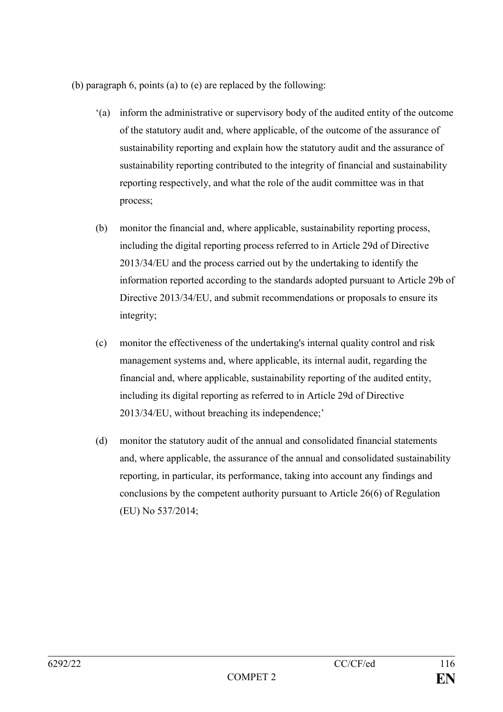(b) paragraph 6, points (a) to (e) are replaced by the following:

- '(a) inform the administrative or supervisory body of the audited entity of the outcome of the statutory audit and, where applicable, of the outcome of the assurance of sustainability reporting and explain how the statutory audit and the assurance of sustainability reporting contributed to the integrity of financial and sustainability reporting respectively, and what the role of the audit committee was in that process;
- (b) monitor the financial and, where applicable, sustainability reporting process, including the digital reporting process referred to in Article 29d of Directive 2013/34/EU and the process carried out by the undertaking to identify the information reported according to the standards adopted pursuant to Article 29b of Directive 2013/34/EU, and submit recommendations or proposals to ensure its integrity;
- (c) monitor the effectiveness of the undertaking's internal quality control and risk management systems and, where applicable, its internal audit, regarding the financial and, where applicable, sustainability reporting of the audited entity, including its digital reporting as referred to in Article 29d of Directive 2013/34/EU, without breaching its independence;'
- (d) monitor the statutory audit of the annual and consolidated financial statements and, where applicable, the assurance of the annual and consolidated sustainability reporting, in particular, its performance, taking into account any findings and conclusions by the competent authority pursuant to Article 26(6) of Regulation (EU) No 537/2014;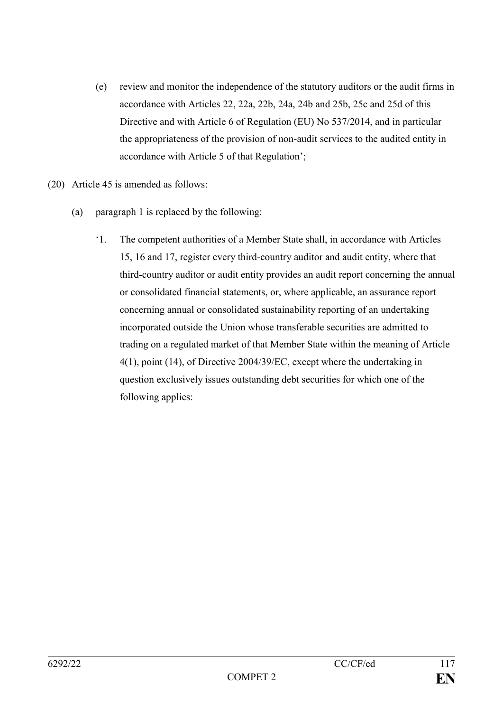- (e) review and monitor the independence of the statutory auditors or the audit firms in accordance with Articles 22, 22a, 22b, 24a, 24b and 25b, 25c and 25d of this Directive and with Article 6 of Regulation (EU) No 537/2014, and in particular the appropriateness of the provision of non-audit services to the audited entity in accordance with Article 5 of that Regulation';
- (20) Article 45 is amended as follows:
	- (a) paragraph 1 is replaced by the following:
		- '1. The competent authorities of a Member State shall, in accordance with Articles 15, 16 and 17, register every third-country auditor and audit entity, where that third-country auditor or audit entity provides an audit report concerning the annual or consolidated financial statements, or, where applicable, an assurance report concerning annual or consolidated sustainability reporting of an undertaking incorporated outside the Union whose transferable securities are admitted to trading on a regulated market of that Member State within the meaning of Article 4(1), point (14), of Directive 2004/39/EC, except where the undertaking in question exclusively issues outstanding debt securities for which one of the following applies: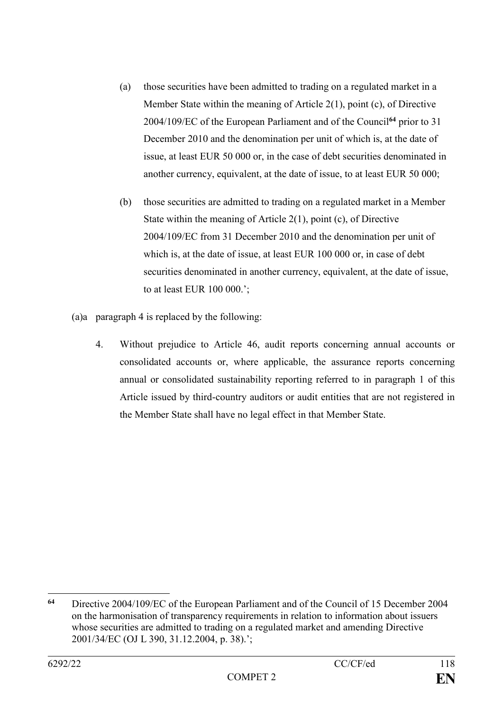- (a) those securities have been admitted to trading on a regulated market in a Member State within the meaning of Article 2(1), point (c), of Directive 2004/109/EC of the European Parliament and of the Council**<sup>64</sup>** prior to 31 December 2010 and the denomination per unit of which is, at the date of issue, at least EUR 50 000 or, in the case of debt securities denominated in another currency, equivalent, at the date of issue, to at least EUR 50 000;
- (b) those securities are admitted to trading on a regulated market in a Member State within the meaning of Article 2(1), point (c), of Directive 2004/109/EC from 31 December 2010 and the denomination per unit of which is, at the date of issue, at least EUR 100 000 or, in case of debt securities denominated in another currency, equivalent, at the date of issue, to at least EUR 100 000.';
- (a)a paragraph 4 is replaced by the following:
	- 4. Without prejudice to Article 46, audit reports concerning annual accounts or consolidated accounts or, where applicable, the assurance reports concerning annual or consolidated sustainability reporting referred to in paragraph 1 of this Article issued by third-country auditors or audit entities that are not registered in the Member State shall have no legal effect in that Member State.

<sup>1</sup> **<sup>64</sup>** Directive 2004/109/EC of the European Parliament and of the Council of 15 December 2004 on the harmonisation of transparency requirements in relation to information about issuers whose securities are admitted to trading on a regulated market and amending Directive 2001/34/EC (OJ L 390, 31.12.2004, p. 38).';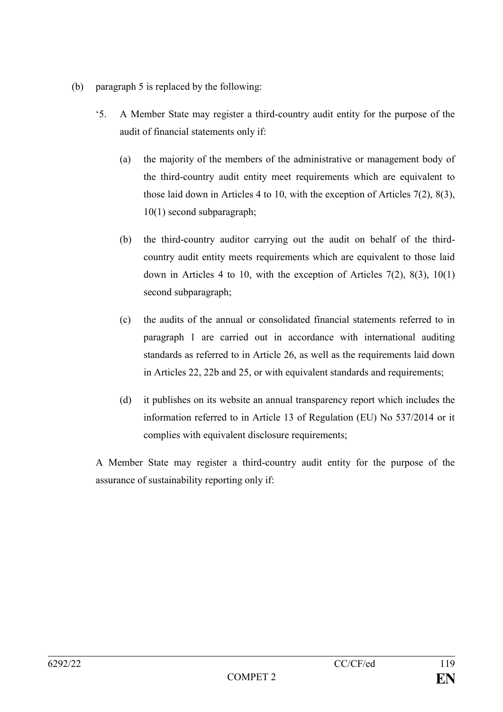- (b) paragraph 5 is replaced by the following:
	- '5. A Member State may register a third-country audit entity for the purpose of the audit of financial statements only if:
		- (a) the majority of the members of the administrative or management body of the third-country audit entity meet requirements which are equivalent to those laid down in Articles 4 to 10, with the exception of Articles 7(2), 8(3), 10(1) second subparagraph;
		- (b) the third-country auditor carrying out the audit on behalf of the thirdcountry audit entity meets requirements which are equivalent to those laid down in Articles 4 to 10, with the exception of Articles  $7(2)$ ,  $8(3)$ ,  $10(1)$ second subparagraph;
		- (c) the audits of the annual or consolidated financial statements referred to in paragraph 1 are carried out in accordance with international auditing standards as referred to in Article 26, as well as the requirements laid down in Articles 22, 22b and 25, or with equivalent standards and requirements;
		- (d) it publishes on its website an annual transparency report which includes the information referred to in Article 13 of Regulation (EU) No 537/2014 or it complies with equivalent disclosure requirements;

A Member State may register a third-country audit entity for the purpose of the assurance of sustainability reporting only if: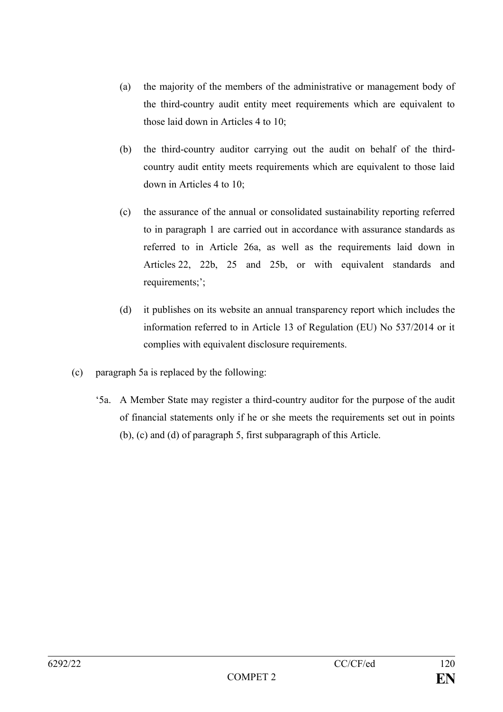- (a) the majority of the members of the administrative or management body of the third-country audit entity meet requirements which are equivalent to those laid down in Articles 4 to 10;
- (b) the third-country auditor carrying out the audit on behalf of the thirdcountry audit entity meets requirements which are equivalent to those laid down in Articles 4 to 10;
- (c) the assurance of the annual or consolidated sustainability reporting referred to in paragraph 1 are carried out in accordance with assurance standards as referred to in Article 26a, as well as the requirements laid down in Articles 22, 22b, 25 and 25b, or with equivalent standards and requirements;';
- (d) it publishes on its website an annual transparency report which includes the information referred to in Article 13 of Regulation (EU) No 537/2014 or it complies with equivalent disclosure requirements.
- (c) paragraph 5a is replaced by the following:
	- '5a. A Member State may register a third-country auditor for the purpose of the audit of financial statements only if he or she meets the requirements set out in points (b), (c) and (d) of paragraph 5, first subparagraph of this Article.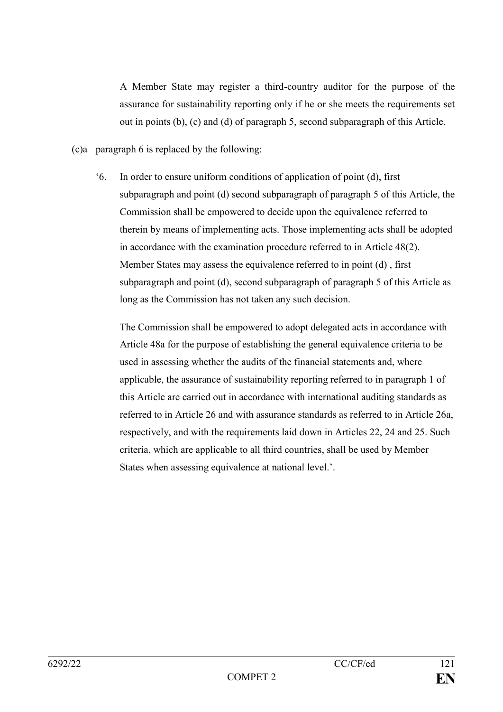A Member State may register a third-country auditor for the purpose of the assurance for sustainability reporting only if he or she meets the requirements set out in points (b), (c) and (d) of paragraph 5, second subparagraph of this Article.

- (c)a paragraph 6 is replaced by the following:
	- '6. In order to ensure uniform conditions of application of point (d), first subparagraph and point (d) second subparagraph of paragraph 5 of this Article, the Commission shall be empowered to decide upon the equivalence referred to therein by means of implementing acts. Those implementing acts shall be adopted in accordance with the examination procedure referred to in Article 48(2). Member States may assess the equivalence referred to in point (d) , first subparagraph and point (d), second subparagraph of paragraph 5 of this Article as long as the Commission has not taken any such decision.

The Commission shall be empowered to adopt delegated acts in accordance with Article 48a for the purpose of establishing the general equivalence criteria to be used in assessing whether the audits of the financial statements and, where applicable, the assurance of sustainability reporting referred to in paragraph 1 of this Article are carried out in accordance with international auditing standards as referred to in Article 26 and with assurance standards as referred to in Article 26a, respectively, and with the requirements laid down in Articles 22, 24 and 25. Such criteria, which are applicable to all third countries, shall be used by Member States when assessing equivalence at national level.'.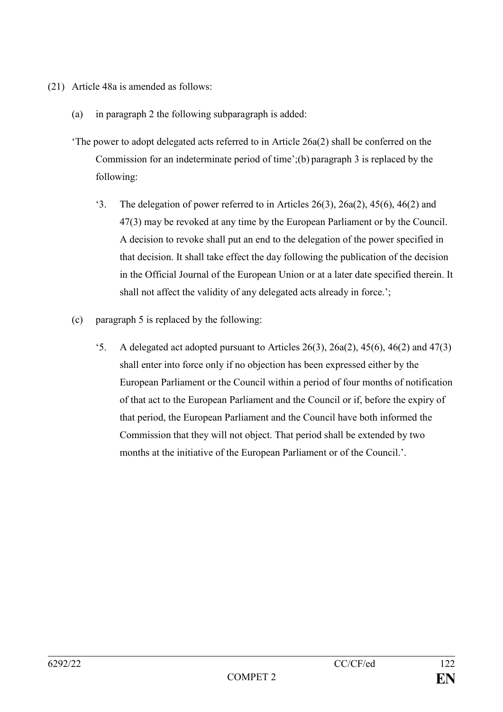- (21) Article 48a is amended as follows:
	- (a) in paragraph 2 the following subparagraph is added:
	- 'The power to adopt delegated acts referred to in Article 26a(2) shall be conferred on the Commission for an indeterminate period of time';(b) paragraph 3 is replaced by the following:
		- '3. The delegation of power referred to in Articles 26(3), 26a(2), 45(6), 46(2) and 47(3) may be revoked at any time by the European Parliament or by the Council. A decision to revoke shall put an end to the delegation of the power specified in that decision. It shall take effect the day following the publication of the decision in the Official Journal of the European Union or at a later date specified therein. It shall not affect the validity of any delegated acts already in force.';
	- (c) paragraph 5 is replaced by the following:
		- $\cdot$ 5. A delegated act adopted pursuant to Articles 26(3), 26a(2), 45(6), 46(2) and 47(3) shall enter into force only if no objection has been expressed either by the European Parliament or the Council within a period of four months of notification of that act to the European Parliament and the Council or if, before the expiry of that period, the European Parliament and the Council have both informed the Commission that they will not object. That period shall be extended by two months at the initiative of the European Parliament or of the Council.'.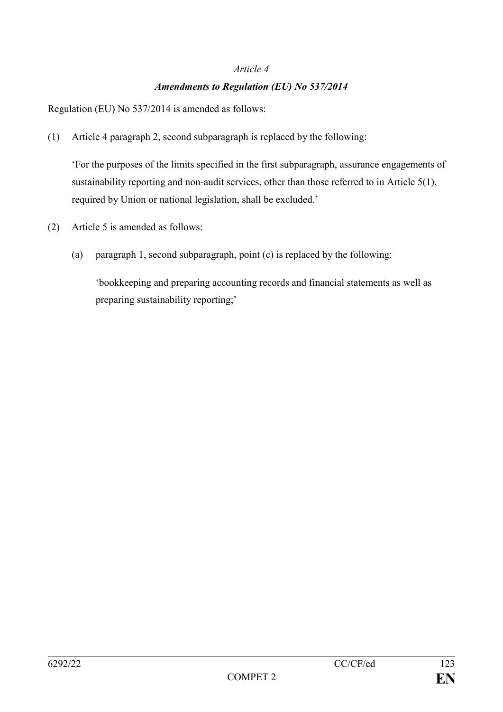#### *Article 4*

## *Amendments to Regulation (EU) No 537/2014*

Regulation (EU) No 537/2014 is amended as follows:

(1) Article 4 paragraph 2, second subparagraph is replaced by the following:

'For the purposes of the limits specified in the first subparagraph, assurance engagements of sustainability reporting and non-audit services, other than those referred to in Article 5(1), required by Union or national legislation, shall be excluded.'

- (2) Article 5 is amended as follows:
	- (a) paragraph 1, second subparagraph, point (c) is replaced by the following:

'bookkeeping and preparing accounting records and financial statements as well as preparing sustainability reporting;'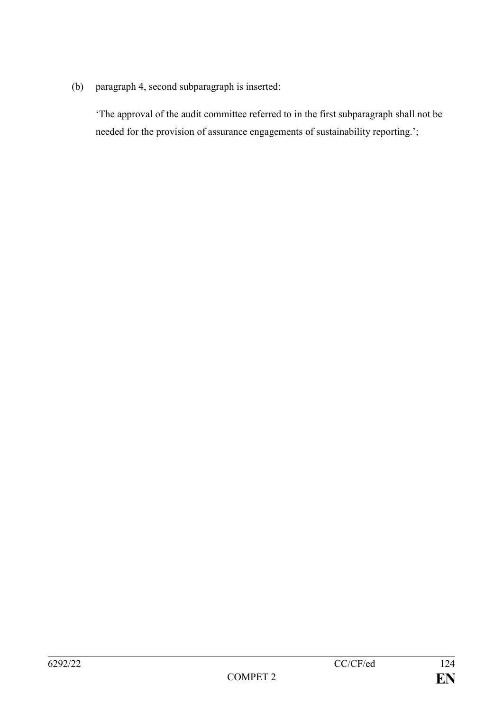(b) paragraph 4, second subparagraph is inserted:

'The approval of the audit committee referred to in the first subparagraph shall not be needed for the provision of assurance engagements of sustainability reporting.';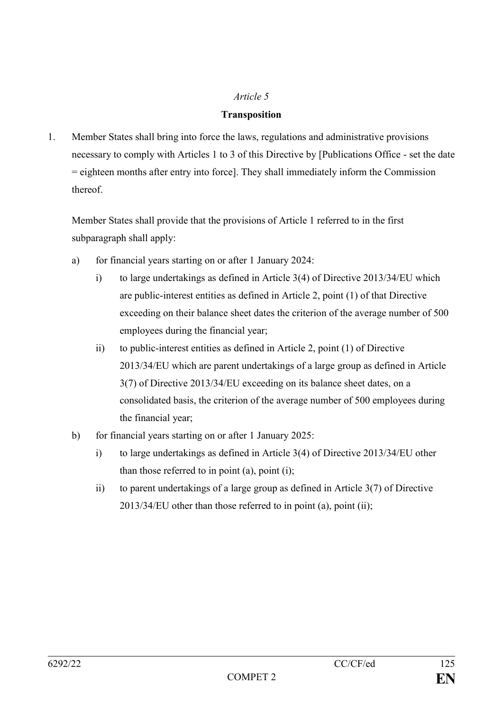## *Article 5*

### **Transposition**

1. Member States shall bring into force the laws, regulations and administrative provisions necessary to comply with Articles 1 to 3 of this Directive by [Publications Office - set the date = eighteen months after entry into force]. They shall immediately inform the Commission thereof.

Member States shall provide that the provisions of Article 1 referred to in the first subparagraph shall apply:

- a) for financial years starting on or after 1 January 2024:
	- i) to large undertakings as defined in Article 3(4) of Directive 2013/34/EU which are public-interest entities as defined in Article 2, point (1) of that Directive exceeding on their balance sheet dates the criterion of the average number of 500 employees during the financial year;
	- ii) to public-interest entities as defined in Article 2, point (1) of Directive 2013/34/EU which are parent undertakings of a large group as defined in Article 3(7) of Directive 2013/34/EU exceeding on its balance sheet dates, on a consolidated basis, the criterion of the average number of 500 employees during the financial year;
- b) for financial years starting on or after 1 January 2025:
	- i) to large undertakings as defined in Article 3(4) of Directive 2013/34/EU other than those referred to in point (a), point (i);
	- ii) to parent undertakings of a large group as defined in Article 3(7) of Directive 2013/34/EU other than those referred to in point (a), point (ii);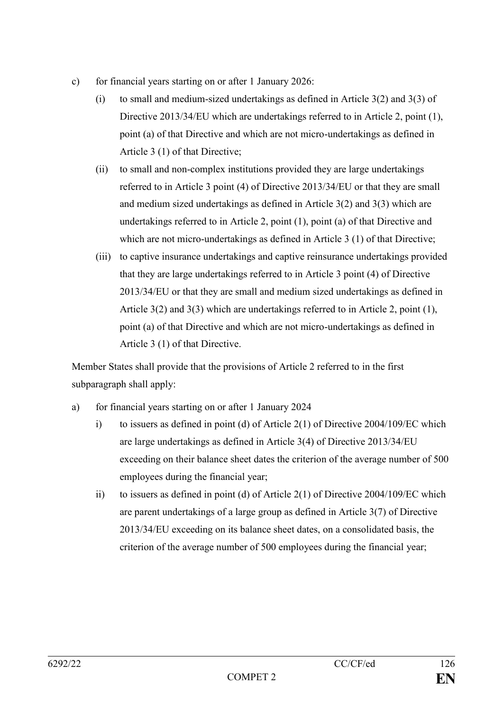- c) for financial years starting on or after 1 January 2026:
	- (i) to small and medium-sized undertakings as defined in Article 3(2) and 3(3) of Directive 2013/34/EU which are undertakings referred to in Article 2, point (1), point (a) of that Directive and which are not micro-undertakings as defined in Article 3 (1) of that Directive;
	- (ii) to small and non-complex institutions provided they are large undertakings referred to in Article 3 point (4) of Directive 2013/34/EU or that they are small and medium sized undertakings as defined in Article 3(2) and 3(3) which are undertakings referred to in Article 2, point (1), point (a) of that Directive and which are not micro-undertakings as defined in Article 3 (1) of that Directive;
	- (iii) to captive insurance undertakings and captive reinsurance undertakings provided that they are large undertakings referred to in Article 3 point (4) of Directive 2013/34/EU or that they are small and medium sized undertakings as defined in Article 3(2) and 3(3) which are undertakings referred to in Article 2, point (1), point (a) of that Directive and which are not micro-undertakings as defined in Article 3 (1) of that Directive.

Member States shall provide that the provisions of Article 2 referred to in the first subparagraph shall apply:

- a) for financial years starting on or after 1 January 2024
	- i) to issuers as defined in point (d) of Article 2(1) of Directive 2004/109/EC which are large undertakings as defined in Article 3(4) of Directive 2013/34/EU exceeding on their balance sheet dates the criterion of the average number of 500 employees during the financial year;
	- ii) to issuers as defined in point (d) of Article 2(1) of Directive 2004/109/EC which are parent undertakings of a large group as defined in Article 3(7) of Directive 2013/34/EU exceeding on its balance sheet dates, on a consolidated basis, the criterion of the average number of 500 employees during the financial year;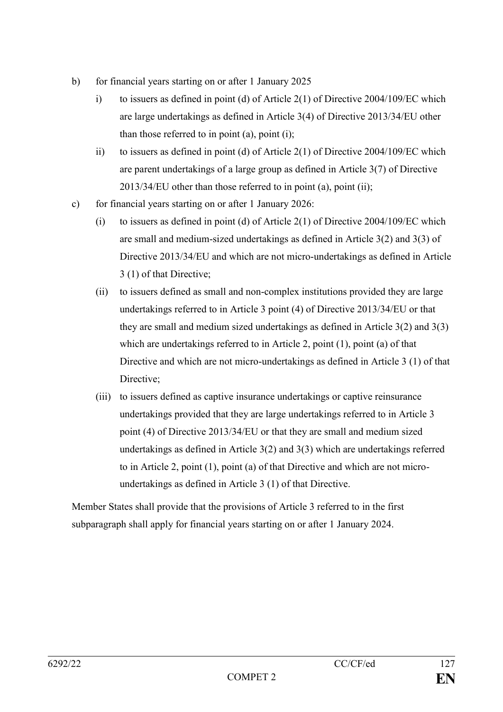- b) for financial years starting on or after 1 January 2025
	- i) to issuers as defined in point (d) of Article 2(1) of Directive 2004/109/EC which are large undertakings as defined in Article 3(4) of Directive 2013/34/EU other than those referred to in point (a), point (i);
	- ii) to issuers as defined in point (d) of Article 2(1) of Directive 2004/109/EC which are parent undertakings of a large group as defined in Article 3(7) of Directive 2013/34/EU other than those referred to in point (a), point (ii);
- c) for financial years starting on or after 1 January 2026:
	- (i) to issuers as defined in point (d) of Article  $2(1)$  of Directive 2004/109/EC which are small and medium-sized undertakings as defined in Article 3(2) and 3(3) of Directive 2013/34/EU and which are not micro-undertakings as defined in Article 3 (1) of that Directive;
	- (ii) to issuers defined as small and non-complex institutions provided they are large undertakings referred to in Article 3 point (4) of Directive 2013/34/EU or that they are small and medium sized undertakings as defined in Article 3(2) and 3(3) which are undertakings referred to in Article 2, point (1), point (a) of that Directive and which are not micro-undertakings as defined in Article 3 (1) of that Directive;
	- (iii) to issuers defined as captive insurance undertakings or captive reinsurance undertakings provided that they are large undertakings referred to in Article 3 point (4) of Directive 2013/34/EU or that they are small and medium sized undertakings as defined in Article 3(2) and 3(3) which are undertakings referred to in Article 2, point (1), point (a) of that Directive and which are not microundertakings as defined in Article 3 (1) of that Directive.

Member States shall provide that the provisions of Article 3 referred to in the first subparagraph shall apply for financial years starting on or after 1 January 2024.